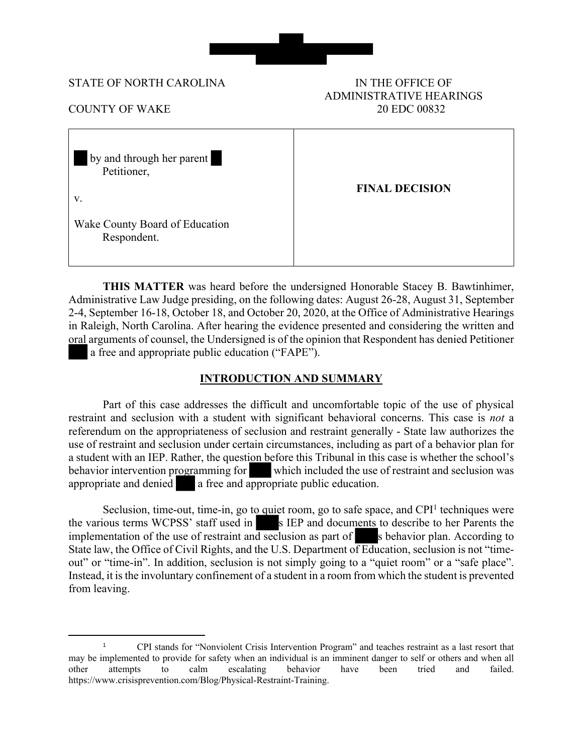

#### STATE OF NORTH CAROLINA IN THE OFFICE OF

# ADMINISTRATIVE HEARINGS COUNTY OF WAKE 20 EDC 00832

| by and through her parent<br>Petitioner,<br>V. | <b>FINAL DECISION</b> |
|------------------------------------------------|-----------------------|
| Wake County Board of Education<br>Respondent.  |                       |

**THIS MATTER** was heard before the undersigned Honorable Stacey B. Bawtinhimer, Administrative Law Judge presiding, on the following dates: August 26-28, August 31, September 2-4, September 16-18, October 18, and October 20, 2020, at the Office of Administrative Hearings in Raleigh, North Carolina. After hearing the evidence presented and considering the written and oral arguments of counsel, the Undersigned is of the opinion that Respondent has denied Petitioner a free and appropriate public education ("FAPE").

# **INTRODUCTION AND SUMMARY**

Part of this case addresses the difficult and uncomfortable topic of the use of physical restraint and seclusion with a student with significant behavioral concerns. This case is *not* a referendum on the appropriateness of seclusion and restraint generally - State law authorizes the use of restraint and seclusion under certain circumstances, including as part of a behavior plan for a student with an IEP. Rather, the question before this Tribunal in this case is whether the school's behavior intervention programming for which included the use of restraint and seclusion was appropriate and denied a free and appropriate public education.

Seclusion, time-out, time-in, go to quiet room, go to safe space, and CPI<sup>1</sup> techniques were the various terms WCPSS' staff used in s IEP and documents to describe to her Parents the implementation of the use of restraint and seclusion as part of  $\blacksquare$  s behavior plan. According to State law, the Office of Civil Rights, and the U.S. Department of Education, seclusion is not "timeout" or "time-in". In addition, seclusion is not simply going to a "quiet room" or a "safe place". Instead, it is the involuntary confinement of a student in a room from which the student is prevented from leaving.

<sup>1</sup> CPI stands for "Nonviolent Crisis Intervention Program" and teaches restraint as a last resort that may be implemented to provide for safety when an individual is an imminent danger to self or others and when all other attempts to calm escalating behavior have been tried and failed. https://www.crisisprevention.com/Blog/Physical-Restraint-Training.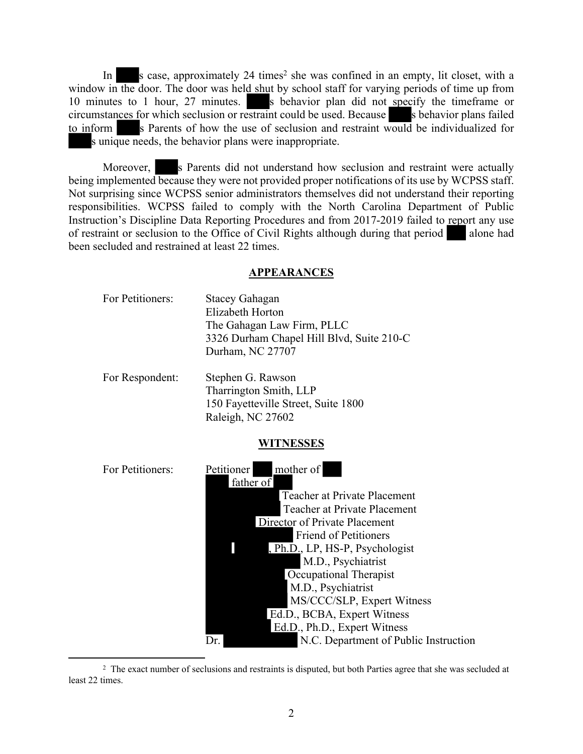In s case, approximately 24 times<sup>2</sup> she was confined in an empty, lit closet, with a window in the door. The door was held shut by school staff for varying periods of time up from 10 minutes to 1 hour, 27 minutes. S behavior plan did not specify the timeframe or circumstances for which seclusion or restraint could be used. Because  $\Box$  is behavior plans failed to inform s Parents of how the use of seclusion and restraint would be individualized for s unique needs, the behavior plans were inappropriate.

Moreover, s Parents did not understand how seclusion and restraint were actually being implemented because they were not provided proper notifications of its use by WCPSS staff. Not surprising since WCPSS senior administrators themselves did not understand their reporting responsibilities. WCPSS failed to comply with the North Carolina Department of Public Instruction's Discipline Data Reporting Procedures and from 2017-2019 failed to report any use of restraint or seclusion to the Office of Civil Rights although during that period alone had been secluded and restrained at least 22 times.

#### **APPEARANCES**

| For Petitioners: | Stacey Gahagan                            |
|------------------|-------------------------------------------|
|                  | Elizabeth Horton                          |
|                  | The Gahagan Law Firm, PLLC                |
|                  | 3326 Durham Chapel Hill Blvd, Suite 210-C |
|                  | Durham, NC 27707                          |
|                  |                                           |

For Respondent: Stephen G. Rawson Tharrington Smith, LLP 150 Fayetteville Street, Suite 1800 Raleigh, NC 27602

#### **WITNESSES**

| For Petitioners: | mother of<br>Petitioner<br>father of         |
|------------------|----------------------------------------------|
|                  | Teacher at Private Placement                 |
|                  | Teacher at Private Placement                 |
|                  | Director of Private Placement                |
|                  | <b>Friend of Petitioners</b>                 |
|                  | Ph.D., LP, HS-P, Psychologist                |
|                  | M.D., Psychiatrist                           |
|                  | Occupational Therapist                       |
|                  | M.D., Psychiatrist                           |
|                  | MS/CCC/SLP, Expert Witness                   |
|                  | Ed.D., BCBA, Expert Witness                  |
|                  | Ed.D., Ph.D., Expert Witness                 |
|                  | N.C. Department of Public Instruction<br>Dr. |

<sup>&</sup>lt;sup>2</sup> The exact number of seclusions and restraints is disputed, but both Parties agree that she was secluded at least 22 times.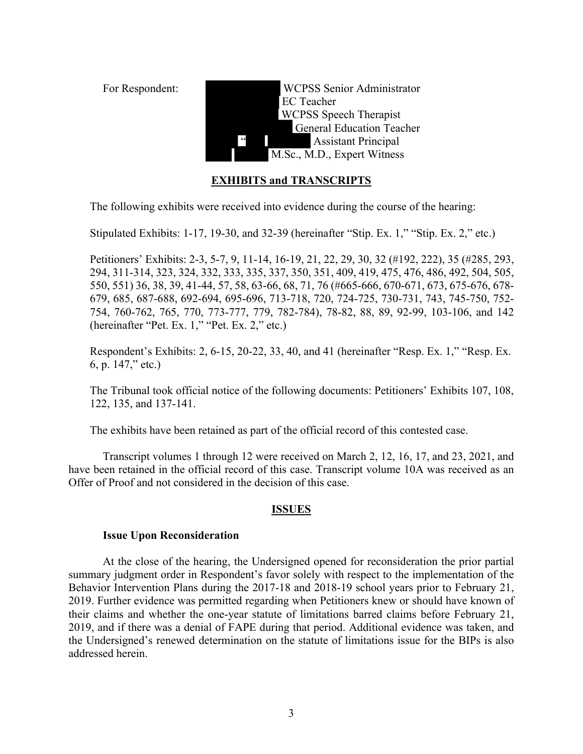For Respondent: WCPSS Senior Administrator EC Teacher WCPSS Speech Therapist General Education Teacher " Assistant Principal M.Sc., M.D., Expert Witness

# **EXHIBITS and TRANSCRIPTS**

The following exhibits were received into evidence during the course of the hearing:

Stipulated Exhibits: 1-17, 19-30, and 32-39 (hereinafter "Stip. Ex. 1," "Stip. Ex. 2," etc.)

Petitioners' Exhibits: 2-3, 5-7, 9, 11-14, 16-19, 21, 22, 29, 30, 32 (#192, 222), 35 (#285, 293, 294, 311-314, 323, 324, 332, 333, 335, 337, 350, 351, 409, 419, 475, 476, 486, 492, 504, 505, 550, 551) 36, 38, 39, 41-44, 57, 58, 63-66, 68, 71, 76 (#665-666, 670-671, 673, 675-676, 678- 679, 685, 687-688, 692-694, 695-696, 713-718, 720, 724-725, 730-731, 743, 745-750, 752- 754, 760-762, 765, 770, 773-777, 779, 782-784), 78-82, 88, 89, 92-99, 103-106, and 142 (hereinafter "Pet. Ex. 1," "Pet. Ex. 2," etc.)

Respondent's Exhibits: 2, 6-15, 20-22, 33, 40, and 41 (hereinafter "Resp. Ex. 1," "Resp. Ex. 6, p. 147," etc.)

The Tribunal took official notice of the following documents: Petitioners' Exhibits 107, 108, 122, 135, and 137-141.

The exhibits have been retained as part of the official record of this contested case.

Transcript volumes 1 through 12 were received on March 2, 12, 16, 17, and 23, 2021, and have been retained in the official record of this case. Transcript volume 10A was received as an Offer of Proof and not considered in the decision of this case.

#### **ISSUES**

#### **Issue Upon Reconsideration**

At the close of the hearing, the Undersigned opened for reconsideration the prior partial summary judgment order in Respondent's favor solely with respect to the implementation of the Behavior Intervention Plans during the 2017-18 and 2018-19 school years prior to February 21, 2019. Further evidence was permitted regarding when Petitioners knew or should have known of their claims and whether the one-year statute of limitations barred claims before February 21, 2019, and if there was a denial of FAPE during that period. Additional evidence was taken, and the Undersigned's renewed determination on the statute of limitations issue for the BIPs is also addressed herein.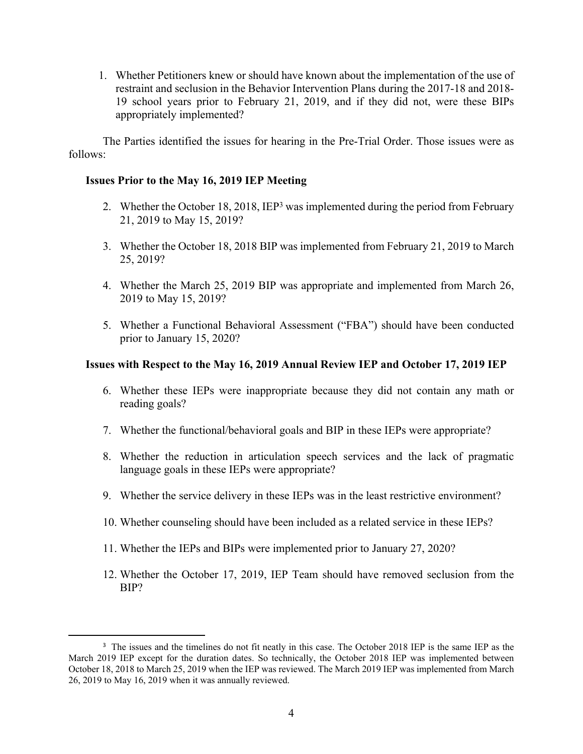1. Whether Petitioners knew or should have known about the implementation of the use of restraint and seclusion in the Behavior Intervention Plans during the 2017-18 and 2018- 19 school years prior to February 21, 2019, and if they did not, were these BIPs appropriately implemented?

The Parties identified the issues for hearing in the Pre-Trial Order. Those issues were as follows:

# **Issues Prior to the May 16, 2019 IEP Meeting**

- 2. Whether the October 18, 2018, IEP<sup>3</sup> was implemented during the period from February 21, 2019 to May 15, 2019?
- 3. Whether the October 18, 2018 BIP was implemented from February 21, 2019 to March 25, 2019?
- 4. Whether the March 25, 2019 BIP was appropriate and implemented from March 26, 2019 to May 15, 2019?
- 5. Whether a Functional Behavioral Assessment ("FBA") should have been conducted prior to January 15, 2020?

#### **Issues with Respect to the May 16, 2019 Annual Review IEP and October 17, 2019 IEP**

- 6. Whether these IEPs were inappropriate because they did not contain any math or reading goals?
- 7. Whether the functional/behavioral goals and BIP in these IEPs were appropriate?
- 8. Whether the reduction in articulation speech services and the lack of pragmatic language goals in these IEPs were appropriate?
- 9. Whether the service delivery in these IEPs was in the least restrictive environment?
- 10. Whether counseling should have been included as a related service in these IEPs?
- 11. Whether the IEPs and BIPs were implemented prior to January 27, 2020?
- 12. Whether the October 17, 2019, IEP Team should have removed seclusion from the BIP?

<sup>&</sup>lt;sup>3</sup> The issues and the timelines do not fit neatly in this case. The October 2018 IEP is the same IEP as the March 2019 IEP except for the duration dates. So technically, the October 2018 IEP was implemented between October 18, 2018 to March 25, 2019 when the IEP was reviewed. The March 2019 IEP was implemented from March 26, 2019 to May 16, 2019 when it was annually reviewed.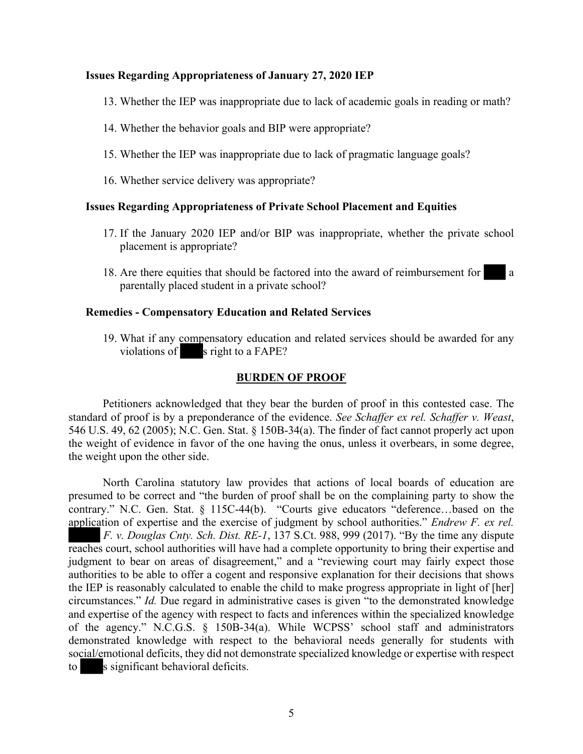#### **Issues Regarding Appropriateness of January 27, 2020 IEP**

- 13. Whether the IEP was inappropriate due to lack of academic goals in reading or math?
- 14. Whether the behavior goals and BIP were appropriate?
- 15. Whether the IEP was inappropriate due to lack of pragmatic language goals?
- 16. Whether service delivery was appropriate?

#### **Issues Regarding Appropriateness of Private School Placement and Equities**

- 17. If the January 2020 IEP and/or BIP was inappropriate, whether the private school placement is appropriate?
- 18. Are there equities that should be factored into the award of reimbursement for a parentally placed student in a private school?

#### **Remedies - Compensatory Education and Related Services**

19. What if any compensatory education and related services should be awarded for any violations of s right to a FAPE?

#### **BURDEN OF PROOF**

Petitioners acknowledged that they bear the burden of proof in this contested case. The standard of proof is by a preponderance of the evidence. *See Schaffer ex rel. Schaffer v. Weast*, 546 U.S. 49, 62 (2005); N.C. Gen. Stat. § 150B-34(a). The finder of fact cannot properly act upon the weight of evidence in favor of the one having the onus, unless it overbears, in some degree, the weight upon the other side.

North Carolina statutory law provides that actions of local boards of education are presumed to be correct and "the burden of proof shall be on the complaining party to show the contrary." N.C. Gen. Stat. § 115C-44(b). "Courts give educators "deference…based on the application of expertise and the exercise of judgment by school authorities." *Endrew F. ex rel. F. v. Douglas Cnty. Sch. Dist. RE-1*, 137 S.Ct. 988, 999 (2017). "By the time any dispute reaches court, school authorities will have had a complete opportunity to bring their expertise and judgment to bear on areas of disagreement," and a "reviewing court may fairly expect those authorities to be able to offer a cogent and responsive explanation for their decisions that shows the IEP is reasonably calculated to enable the child to make progress appropriate in light of [her] circumstances." *Id.* Due regard in administrative cases is given "to the demonstrated knowledge and expertise of the agency with respect to facts and inferences within the specialized knowledge of the agency." N.C.G.S. § 150B-34(a). While WCPSS' school staff and administrators demonstrated knowledge with respect to the behavioral needs generally for students with social/emotional deficits, they did not demonstrate specialized knowledge or expertise with respect to s significant behavioral deficits.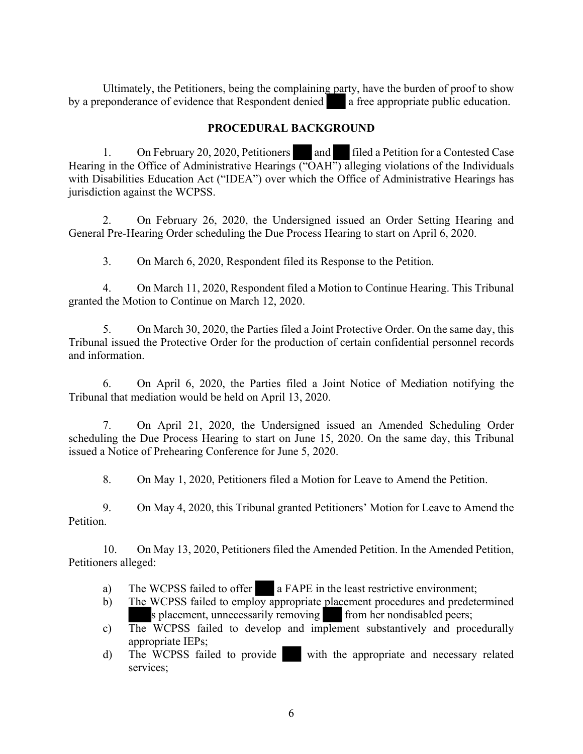Ultimately, the Petitioners, being the complaining party, have the burden of proof to show by a preponderance of evidence that Respondent denied a free appropriate public education.

# **PROCEDURAL BACKGROUND**

1. On February 20, 2020, Petitioners and filed a Petition for a Contested Case Hearing in the Office of Administrative Hearings ("OAH") alleging violations of the Individuals with Disabilities Education Act ("IDEA") over which the Office of Administrative Hearings has jurisdiction against the WCPSS.

2. On February 26, 2020, the Undersigned issued an Order Setting Hearing and General Pre-Hearing Order scheduling the Due Process Hearing to start on April 6, 2020.

3. On March 6, 2020, Respondent filed its Response to the Petition.

4. On March 11, 2020, Respondent filed a Motion to Continue Hearing. This Tribunal granted the Motion to Continue on March 12, 2020.

5. On March 30, 2020, the Parties filed a Joint Protective Order. On the same day, this Tribunal issued the Protective Order for the production of certain confidential personnel records and information.

6. On April 6, 2020, the Parties filed a Joint Notice of Mediation notifying the Tribunal that mediation would be held on April 13, 2020.

7. On April 21, 2020, the Undersigned issued an Amended Scheduling Order scheduling the Due Process Hearing to start on June 15, 2020. On the same day, this Tribunal issued a Notice of Prehearing Conference for June 5, 2020.

8. On May 1, 2020, Petitioners filed a Motion for Leave to Amend the Petition.

9. On May 4, 2020, this Tribunal granted Petitioners' Motion for Leave to Amend the **Petition** 

10. On May 13, 2020, Petitioners filed the Amended Petition. In the Amended Petition, Petitioners alleged:

- a) The WCPSS failed to offer a FAPE in the least restrictive environment;
- b) The WCPSS failed to employ appropriate placement procedures and predetermined s placement, unnecessarily removing from her nondisabled peers;
- c) The WCPSS failed to develop and implement substantively and procedurally appropriate IEPs;
- d) The WCPSS failed to provide with the appropriate and necessary related services;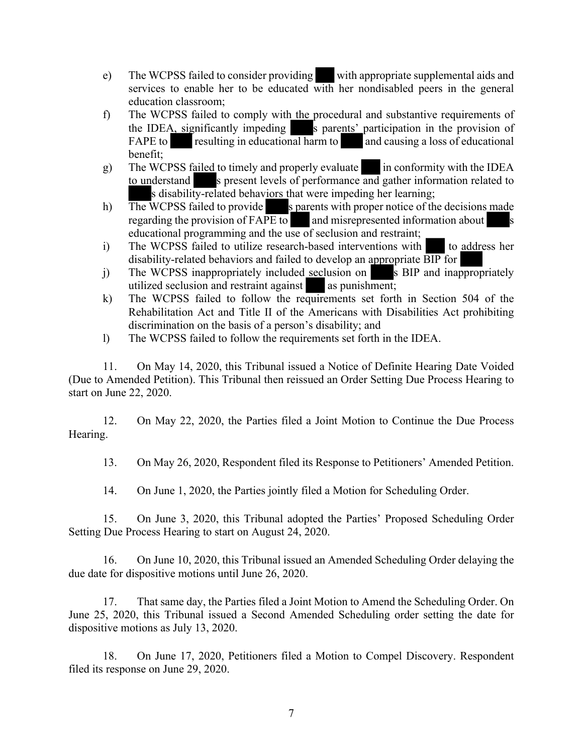- e) The WCPSS failed to consider providing with appropriate supplemental aids and services to enable her to be educated with her nondisabled peers in the general education classroom;
- f) The WCPSS failed to comply with the procedural and substantive requirements of the IDEA, significantly impeding s parents' participation in the provision of FAPE to resulting in educational harm to and causing a loss of educational benefit;
- g) The WCPSS failed to timely and properly evaluate in conformity with the IDEA to understand s present levels of performance and gather information related to s disability-related behaviors that were impeding her learning;
- h) The WCPSS failed to provide s parents with proper notice of the decisions made regarding the provision of  $FAPE$  to and misrepresented information about educational programming and the use of seclusion and restraint;
- i) The WCPSS failed to utilize research-based interventions with to address her disability-related behaviors and failed to develop an appropriate BIP for
- j) The WCPSS inappropriately included seclusion on s BIP and inappropriately utilized seclusion and restraint against as punishment;
- k) The WCPSS failed to follow the requirements set forth in Section 504 of the Rehabilitation Act and Title II of the Americans with Disabilities Act prohibiting discrimination on the basis of a person's disability; and
- l) The WCPSS failed to follow the requirements set forth in the IDEA.

11. On May 14, 2020, this Tribunal issued a Notice of Definite Hearing Date Voided (Due to Amended Petition). This Tribunal then reissued an Order Setting Due Process Hearing to start on June 22, 2020.

12. On May 22, 2020, the Parties filed a Joint Motion to Continue the Due Process Hearing.

13. On May 26, 2020, Respondent filed its Response to Petitioners' Amended Petition.

14. On June 1, 2020, the Parties jointly filed a Motion for Scheduling Order.

15. On June 3, 2020, this Tribunal adopted the Parties' Proposed Scheduling Order Setting Due Process Hearing to start on August 24, 2020.

16. On June 10, 2020, this Tribunal issued an Amended Scheduling Order delaying the due date for dispositive motions until June 26, 2020.

17. That same day, the Parties filed a Joint Motion to Amend the Scheduling Order. On June 25, 2020, this Tribunal issued a Second Amended Scheduling order setting the date for dispositive motions as July 13, 2020.

18. On June 17, 2020, Petitioners filed a Motion to Compel Discovery. Respondent filed its response on June 29, 2020.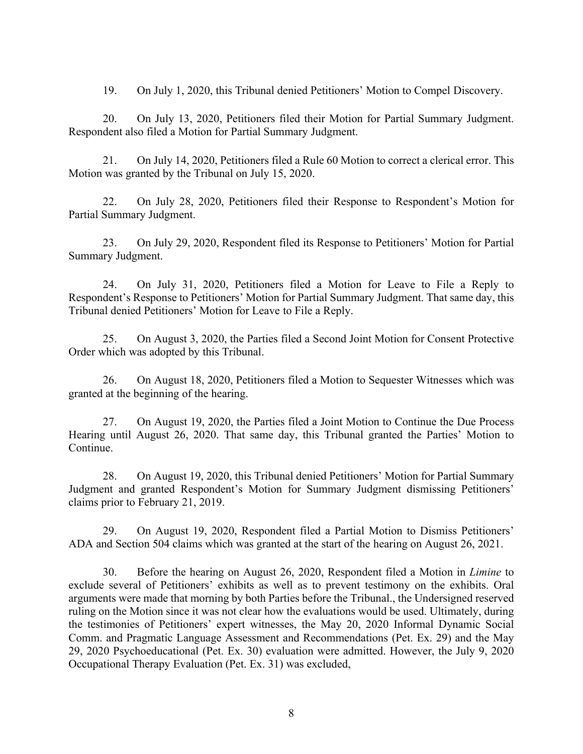19. On July 1, 2020, this Tribunal denied Petitioners' Motion to Compel Discovery.

20. On July 13, 2020, Petitioners filed their Motion for Partial Summary Judgment. Respondent also filed a Motion for Partial Summary Judgment.

21. On July 14, 2020, Petitioners filed a Rule 60 Motion to correct a clerical error. This Motion was granted by the Tribunal on July 15, 2020.

22. On July 28, 2020, Petitioners filed their Response to Respondent's Motion for Partial Summary Judgment.

23. On July 29, 2020, Respondent filed its Response to Petitioners' Motion for Partial Summary Judgment.

24. On July 31, 2020, Petitioners filed a Motion for Leave to File a Reply to Respondent's Response to Petitioners' Motion for Partial Summary Judgment. That same day, this Tribunal denied Petitioners' Motion for Leave to File a Reply.

25. On August 3, 2020, the Parties filed a Second Joint Motion for Consent Protective Order which was adopted by this Tribunal.

26. On August 18, 2020, Petitioners filed a Motion to Sequester Witnesses which was granted at the beginning of the hearing.

27. On August 19, 2020, the Parties filed a Joint Motion to Continue the Due Process Hearing until August 26, 2020. That same day, this Tribunal granted the Parties' Motion to Continue.

28. On August 19, 2020, this Tribunal denied Petitioners' Motion for Partial Summary Judgment and granted Respondent's Motion for Summary Judgment dismissing Petitioners' claims prior to February 21, 2019.

29. On August 19, 2020, Respondent filed a Partial Motion to Dismiss Petitioners' ADA and Section 504 claims which was granted at the start of the hearing on August 26, 2021.

30. Before the hearing on August 26, 2020, Respondent filed a Motion in *Limine* to exclude several of Petitioners' exhibits as well as to prevent testimony on the exhibits. Oral arguments were made that morning by both Parties before the Tribunal., the Undersigned reserved ruling on the Motion since it was not clear how the evaluations would be used. Ultimately, during the testimonies of Petitioners' expert witnesses, the May 20, 2020 Informal Dynamic Social Comm. and Pragmatic Language Assessment and Recommendations (Pet. Ex. 29) and the May 29, 2020 Psychoeducational (Pet. Ex. 30) evaluation were admitted. However, the July 9, 2020 Occupational Therapy Evaluation (Pet. Ex. 31) was excluded,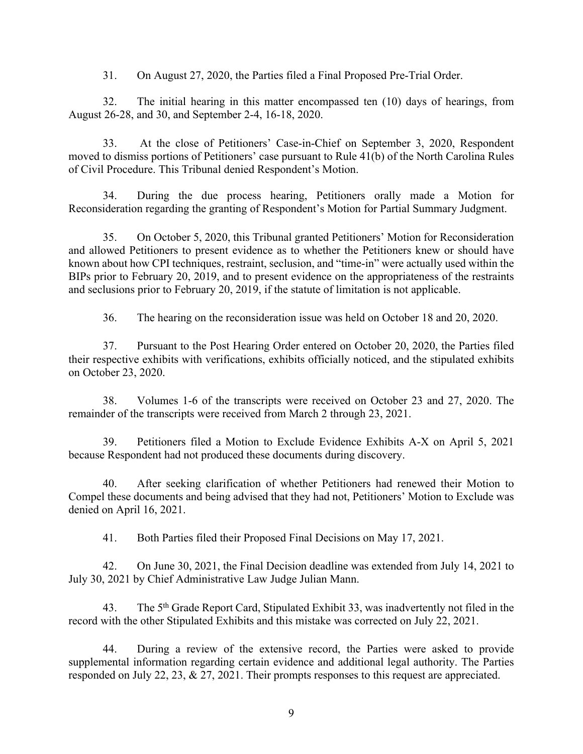31. On August 27, 2020, the Parties filed a Final Proposed Pre-Trial Order.

32. The initial hearing in this matter encompassed ten (10) days of hearings, from August 26-28, and 30, and September 2-4, 16-18, 2020.

33. At the close of Petitioners' Case-in-Chief on September 3, 2020, Respondent moved to dismiss portions of Petitioners' case pursuant to Rule 41(b) of the North Carolina Rules of Civil Procedure. This Tribunal denied Respondent's Motion.

34. During the due process hearing, Petitioners orally made a Motion for Reconsideration regarding the granting of Respondent's Motion for Partial Summary Judgment.

35. On October 5, 2020, this Tribunal granted Petitioners' Motion for Reconsideration and allowed Petitioners to present evidence as to whether the Petitioners knew or should have known about how CPI techniques, restraint, seclusion, and "time-in" were actually used within the BIPs prior to February 20, 2019, and to present evidence on the appropriateness of the restraints and seclusions prior to February 20, 2019, if the statute of limitation is not applicable.

36. The hearing on the reconsideration issue was held on October 18 and 20, 2020.

37. Pursuant to the Post Hearing Order entered on October 20, 2020, the Parties filed their respective exhibits with verifications, exhibits officially noticed, and the stipulated exhibits on October 23, 2020.

38. Volumes 1-6 of the transcripts were received on October 23 and 27, 2020. The remainder of the transcripts were received from March 2 through 23, 2021.

39. Petitioners filed a Motion to Exclude Evidence Exhibits A-X on April 5, 2021 because Respondent had not produced these documents during discovery.

40. After seeking clarification of whether Petitioners had renewed their Motion to Compel these documents and being advised that they had not, Petitioners' Motion to Exclude was denied on April 16, 2021.

41. Both Parties filed their Proposed Final Decisions on May 17, 2021.

42. On June 30, 2021, the Final Decision deadline was extended from July 14, 2021 to July 30, 2021 by Chief Administrative Law Judge Julian Mann.

43. The 5<sup>th</sup> Grade Report Card, Stipulated Exhibit 33, was inadvertently not filed in the record with the other Stipulated Exhibits and this mistake was corrected on July 22, 2021.

44. During a review of the extensive record, the Parties were asked to provide supplemental information regarding certain evidence and additional legal authority. The Parties responded on July 22, 23, & 27, 2021. Their prompts responses to this request are appreciated.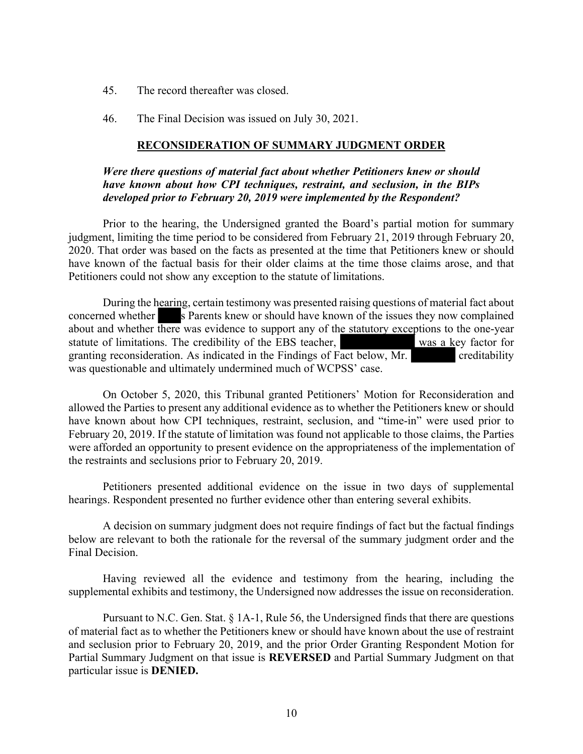- 45. The record thereafter was closed.
- 46. The Final Decision was issued on July 30, 2021.

#### **RECONSIDERATION OF SUMMARY JUDGMENT ORDER**

#### *Were there questions of material fact about whether Petitioners knew or should have known about how CPI techniques, restraint, and seclusion, in the BIPs developed prior to February 20, 2019 were implemented by the Respondent?*

Prior to the hearing, the Undersigned granted the Board's partial motion for summary judgment, limiting the time period to be considered from February 21, 2019 through February 20, 2020. That order was based on the facts as presented at the time that Petitioners knew or should have known of the factual basis for their older claims at the time those claims arose, and that Petitioners could not show any exception to the statute of limitations.

During the hearing, certain testimony was presented raising questions of material fact about concerned whether s Parents knew or should have known of the issues they now complained about and whether there was evidence to support any of the statutory exceptions to the one-year statute of limitations. The credibility of the EBS teacher, was a key factor for granting reconsideration. As indicated in the Findings of Fact below, Mr. creditability was questionable and ultimately undermined much of WCPSS' case.

On October 5, 2020, this Tribunal granted Petitioners' Motion for Reconsideration and allowed the Parties to present any additional evidence as to whether the Petitioners knew or should have known about how CPI techniques, restraint, seclusion, and "time-in" were used prior to February 20, 2019. If the statute of limitation was found not applicable to those claims, the Parties were afforded an opportunity to present evidence on the appropriateness of the implementation of the restraints and seclusions prior to February 20, 2019.

Petitioners presented additional evidence on the issue in two days of supplemental hearings. Respondent presented no further evidence other than entering several exhibits.

A decision on summary judgment does not require findings of fact but the factual findings below are relevant to both the rationale for the reversal of the summary judgment order and the Final Decision.

Having reviewed all the evidence and testimony from the hearing, including the supplemental exhibits and testimony, the Undersigned now addresses the issue on reconsideration.

Pursuant to N.C. Gen. Stat. § 1A-1, Rule 56, the Undersigned finds that there are questions of material fact as to whether the Petitioners knew or should have known about the use of restraint and seclusion prior to February 20, 2019, and the prior Order Granting Respondent Motion for Partial Summary Judgment on that issue is **REVERSED** and Partial Summary Judgment on that particular issue is **DENIED.**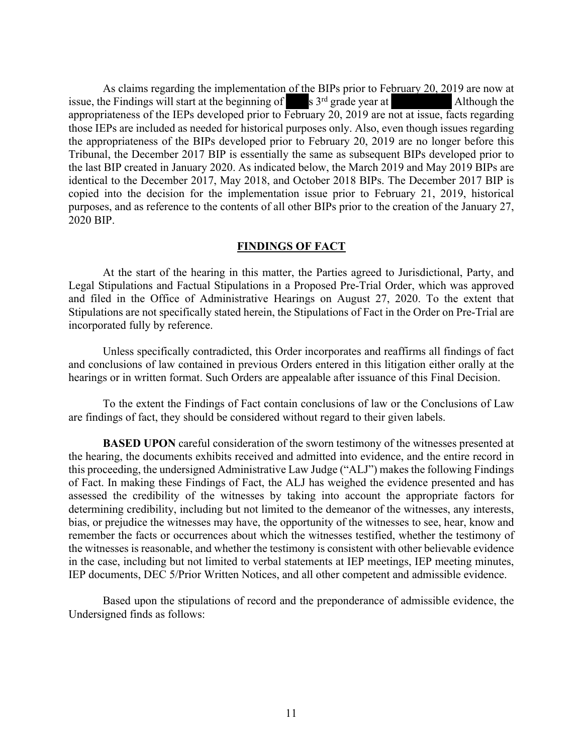As claims regarding the implementation of the BIPs prior to February 20, 2019 are now at issue, the Findings will start at the beginning of  $s$  3<sup>rd</sup> grade year at  $\blacksquare$  Although the appropriateness of the IEPs developed prior to February 20, 2019 are not at issue, facts regarding those IEPs are included as needed for historical purposes only. Also, even though issues regarding the appropriateness of the BIPs developed prior to February 20, 2019 are no longer before this Tribunal, the December 2017 BIP is essentially the same as subsequent BIPs developed prior to the last BIP created in January 2020. As indicated below, the March 2019 and May 2019 BIPs are identical to the December 2017, May 2018, and October 2018 BIPs. The December 2017 BIP is copied into the decision for the implementation issue prior to February 21, 2019, historical purposes, and as reference to the contents of all other BIPs prior to the creation of the January 27, 2020 BIP.

#### **FINDINGS OF FACT**

At the start of the hearing in this matter, the Parties agreed to Jurisdictional, Party, and Legal Stipulations and Factual Stipulations in a Proposed Pre-Trial Order, which was approved and filed in the Office of Administrative Hearings on August 27, 2020. To the extent that Stipulations are not specifically stated herein, the Stipulations of Fact in the Order on Pre-Trial are incorporated fully by reference.

Unless specifically contradicted, this Order incorporates and reaffirms all findings of fact and conclusions of law contained in previous Orders entered in this litigation either orally at the hearings or in written format. Such Orders are appealable after issuance of this Final Decision.

To the extent the Findings of Fact contain conclusions of law or the Conclusions of Law are findings of fact, they should be considered without regard to their given labels.

**BASED UPON** careful consideration of the sworn testimony of the witnesses presented at the hearing, the documents exhibits received and admitted into evidence, and the entire record in this proceeding, the undersigned Administrative Law Judge ("ALJ") makes the following Findings of Fact. In making these Findings of Fact, the ALJ has weighed the evidence presented and has assessed the credibility of the witnesses by taking into account the appropriate factors for determining credibility, including but not limited to the demeanor of the witnesses, any interests, bias, or prejudice the witnesses may have, the opportunity of the witnesses to see, hear, know and remember the facts or occurrences about which the witnesses testified, whether the testimony of the witnesses is reasonable, and whether the testimony is consistent with other believable evidence in the case, including but not limited to verbal statements at IEP meetings, IEP meeting minutes, IEP documents, DEC 5/Prior Written Notices, and all other competent and admissible evidence.

Based upon the stipulations of record and the preponderance of admissible evidence, the Undersigned finds as follows: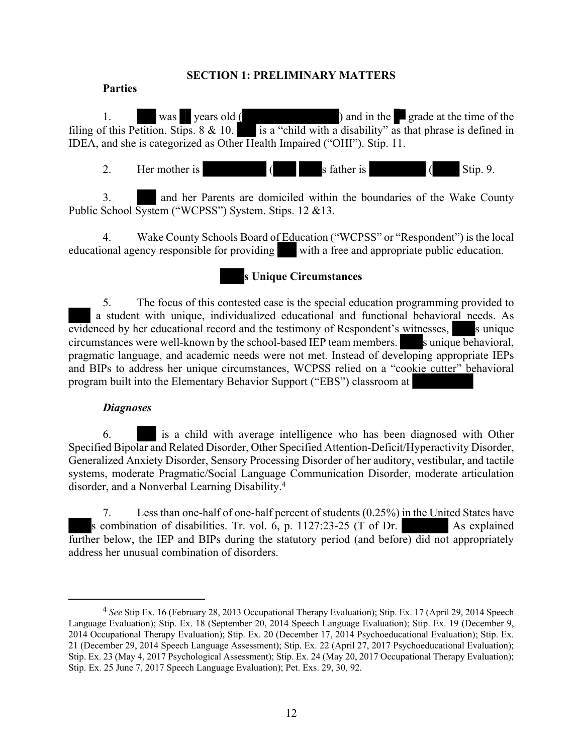#### **SECTION 1: PRELIMINARY MATTERS**

#### **Parties**

1. was years old ( ) and in the grade at the time of the filing of this Petition. Stips. 8  $\&$  10. is a "child with a disability" as that phrase is defined in IDEA, and she is categorized as Other Health Impaired ("OHI"). Stip. 11.

2. Her mother is  $($  s father is  $($  Stip. 9.

3. and her Parents are domiciled within the boundaries of the Wake County Public School System ("WCPSS") System. Stips. 12 &13.

4. Wake County Schools Board of Education ("WCPSS" or "Respondent") is the local educational agency responsible for providing with a free and appropriate public education.

# **s Unique Circumstances**

5. The focus of this contested case is the special education programming provided to a student with unique, individualized educational and functional behavioral needs. As  $\overline{\text{evidence}}$  by her educational record and the testimony of Respondent's witnesses, so unique circumstances were well-known by the school-based IEP team members. S unique behavioral, pragmatic language, and academic needs were not met. Instead of developing appropriate IEPs and BIPs to address her unique circumstances, WCPSS relied on a "cookie cutter" behavioral program built into the Elementary Behavior Support ("EBS") classroom at

#### *Diagnoses*

6. is a child with average intelligence who has been diagnosed with Other Specified Bipolar and Related Disorder, Other Specified Attention-Deficit/Hyperactivity Disorder, Generalized Anxiety Disorder, Sensory Processing Disorder of her auditory, vestibular, and tactile systems, moderate Pragmatic/Social Language Communication Disorder, moderate articulation disorder, and a Nonverbal Learning Disability.<sup>4</sup>

7. Less than one-half of one-half percent of students (0.25%) in the United States have s combination of disabilities. Tr. vol. 6, p.  $1127:23-25$  (T of Dr. As explained further below, the IEP and BIPs during the statutory period (and before) did not appropriately address her unusual combination of disorders.

<sup>4</sup> *See* Stip Ex. 16 (February 28, 2013 Occupational Therapy Evaluation); Stip. Ex. 17 (April 29, 2014 Speech Language Evaluation); Stip. Ex. 18 (September 20, 2014 Speech Language Evaluation); Stip. Ex. 19 (December 9, 2014 Occupational Therapy Evaluation); Stip. Ex. 20 (December 17, 2014 Psychoeducational Evaluation); Stip. Ex. 21 (December 29, 2014 Speech Language Assessment); Stip. Ex. 22 (April 27, 2017 Psychoeducational Evaluation); Stip. Ex. 23 (May 4, 2017 Psychological Assessment); Stip. Ex. 24 (May 20, 2017 Occupational Therapy Evaluation); Stip. Ex. 25 June 7, 2017 Speech Language Evaluation); Pet. Exs. 29, 30, 92.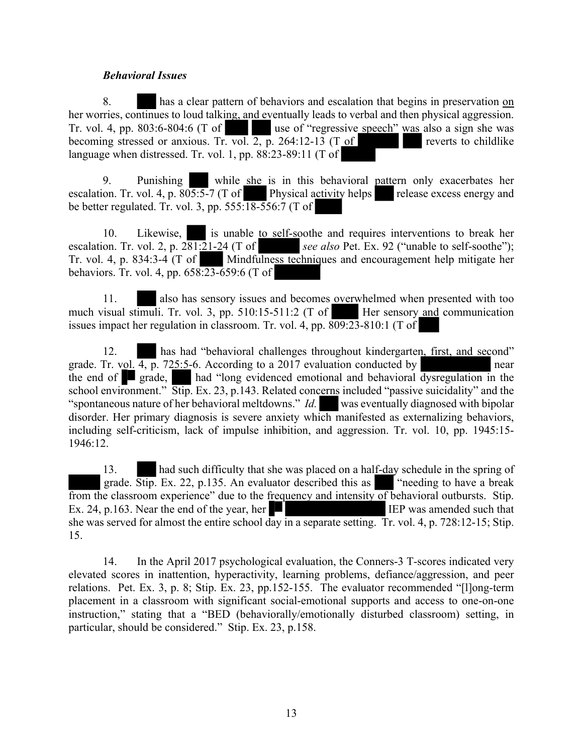#### *Behavioral Issues*

8. has a clear pattern of behaviors and escalation that begins in preservation on her worries, continues to loud talking, and eventually leads to verbal and then physical aggression. Tr. vol. 4, pp. 803:6-804:6 (T of use of "regressive speech" was also a sign she was becoming stressed or anxious. Tr. vol. 2, p. 264:12-13 (T of reverts to childlike language when distressed. Tr. vol. 1, pp. 88:23-89:11 (T of

9. Punishing while she is in this behavioral pattern only exacerbates her escalation. Tr. vol. 4, p.  $805:5-7$  (T of Physical activity helps release excess energy and be better regulated. Tr. vol. 3, pp.  $555:18-556:7$  (T of

10. Likewise, is unable to self-soothe and requires interventions to break her escalation. Tr. vol. 2, p. 281:21-24 (T of *see also* Pet. Ex. 92 ("unable to self-soothe"); Tr. vol. 4, p. 834:3-4 (T of Mindfulness techniques and encouragement help mitigate her behaviors. Tr. vol. 4, pp. 658:23-659:6 (T of

11. also has sensory issues and becomes overwhelmed when presented with too much visual stimuli. Tr. vol. 3, pp. 510:15-511:2 (T of Her sensory and communication issues impact her regulation in classroom. Tr. vol. 4, pp. 809:23-810:1 (T of

12. has had "behavioral challenges throughout kindergarten, first, and second" grade. Tr. vol.  $\overline{4, p}$ . 725:5-6. According to a 2017 evaluation conducted by near the end of  $\Box$  grade, had "long evidenced emotional and behavioral dysregulation in the school environment." Stip. Ex. 23, p.143. Related concerns included "passive suicidality" and the "spontaneous nature of her behavioral meltdowns." *Id.* was eventually diagnosed with bipolar disorder. Her primary diagnosis is severe anxiety which manifested as externalizing behaviors, including self-criticism, lack of impulse inhibition, and aggression. Tr. vol. 10, pp. 1945:15- 1946:12.

13. had such difficulty that she was placed on a half-day schedule in the spring of grade. Stip. Ex. 22, p.135. An evaluator described this as "needing to have a break from the classroom experience" due to the frequency and intensity of behavioral outbursts. Stip. Ex. 24, p.163. Near the end of the year, her  $\blacksquare$  IEP was amended such that she was served for almost the entire school day in a separate setting. Tr. vol. 4, p. 728:12-15; Stip. 15.

14. In the April 2017 psychological evaluation, the Conners-3 T-scores indicated very elevated scores in inattention, hyperactivity, learning problems, defiance/aggression, and peer relations. Pet. Ex. 3, p. 8; Stip. Ex. 23, pp.152-155. The evaluator recommended "[l]ong-term placement in a classroom with significant social-emotional supports and access to one-on-one instruction," stating that a "BED (behaviorally/emotionally disturbed classroom) setting, in particular, should be considered." Stip. Ex. 23, p.158.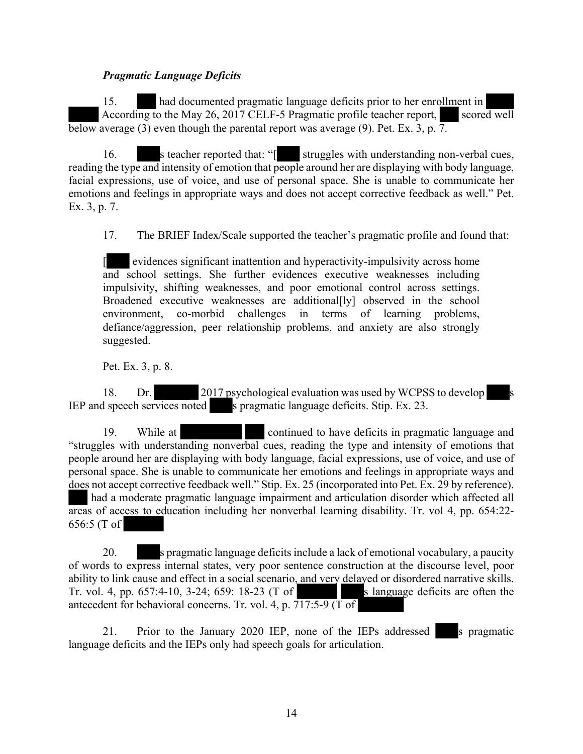#### *Pragmatic Language Deficits*

15. had documented pragmatic language deficits prior to her enrollment in According to the May 26, 2017 CELF-5 Pragmatic profile teacher report, scored well below average (3) even though the parental report was average (9). Pet. Ex. 3, p.  $\overline{7}$ .

16. s teacher reported that: "[ struggles with understanding non-verbal cues, reading the type and intensity of emotion that people around her are displaying with body language, facial expressions, use of voice, and use of personal space. She is unable to communicate her emotions and feelings in appropriate ways and does not accept corrective feedback as well." Pet. Ex. 3, p. 7.

17. The BRIEF Index/Scale supported the teacher's pragmatic profile and found that:

[ evidences significant inattention and hyperactivity-impulsivity across home and school settings. She further evidences executive weaknesses including impulsivity, shifting weaknesses, and poor emotional control across settings. Broadened executive weaknesses are additional[ly] observed in the school environment, co-morbid challenges in terms of learning problems, defiance/aggression, peer relationship problems, and anxiety are also strongly suggested.

Pet. Ex. 3, p. 8.

18. Dr. 2017 psychological evaluation was used by WCPSS to develop IEP and speech services noted s pragmatic language deficits. Stip. Ex. 23.

19. While at **continued** to have deficits in pragmatic language and "struggles with understanding nonverbal cues, reading the type and intensity of emotions that people around her are displaying with body language, facial expressions, use of voice, and use of personal space. She is unable to communicate her emotions and feelings in appropriate ways and does not accept corrective feedback well." Stip. Ex. 25 (incorporated into Pet. Ex. 29 by reference). had a moderate pragmatic language impairment and articulation disorder which affected all areas of access to education including her nonverbal learning disability. Tr. vol 4, pp. 654:22- 656:5 (T of

20. s pragmatic language deficits include a lack of emotional vocabulary, a paucity of words to express internal states, very poor sentence construction at the discourse level, poor ability to link cause and effect in a social scenario, and very delayed or disordered narrative skills. Tr. vol. 4, pp.  $657:4-10$ ,  $3-24$ ;  $659:18-23$  (T of s language deficits are often the antecedent for behavioral concerns. Tr. vol. 4, p. 717:5-9 (T of

21. Prior to the January 2020 IEP, none of the IEPs addressed s pragmatic language deficits and the IEPs only had speech goals for articulation.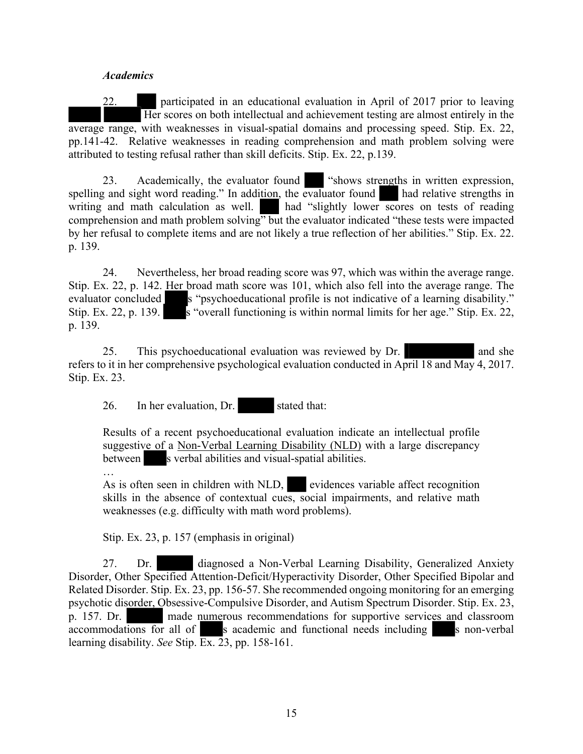#### *Academics*

22. participated in an educational evaluation in April of 2017 prior to leaving Her scores on both intellectual and achievement testing are almost entirely in the average range, with weaknesses in visual-spatial domains and processing speed. Stip. Ex. 22, pp.141-42. Relative weaknesses in reading comprehension and math problem solving were attributed to testing refusal rather than skill deficits. Stip. Ex. 22, p.139.

23. Academically, the evaluator found "shows strengths in written expression, spelling and sight word reading." In addition, the evaluator found had relative strengths in writing and math calculation as well. had "slightly lower scores on tests of reading comprehension and math problem solving" but the evaluator indicated "these tests were impacted by her refusal to complete items and are not likely a true reflection of her abilities." Stip. Ex. 22. p. 139.

24. Nevertheless, her broad reading score was 97, which was within the average range. Stip. Ex. 22, p. 142. Her broad math score was 101, which also fell into the average range. The evaluator concluded s "psychoeducational profile is not indicative of a learning disability." Stip. Ex. 22, p. 139. s "overall functioning is within normal limits for her age." Stip. Ex. 22, p. 139.

25. This psychoeducational evaluation was reviewed by Dr. and she and she refers to it in her comprehensive psychological evaluation conducted in April 18 and May 4, 2017. Stip. Ex. 23.

26. In her evaluation, Dr. stated that:

Results of a recent psychoeducational evaluation indicate an intellectual profile suggestive of a Non-Verbal Learning Disability (NLD) with a large discrepancy between s verbal abilities and visual-spatial abilities.

… As is often seen in children with NLD, evidences variable affect recognition skills in the absence of contextual cues, social impairments, and relative math weaknesses (e.g. difficulty with math word problems).

Stip. Ex. 23, p. 157 (emphasis in original)

27. Dr. diagnosed a Non-Verbal Learning Disability, Generalized Anxiety Disorder, Other Specified Attention-Deficit/Hyperactivity Disorder, Other Specified Bipolar and Related Disorder. Stip. Ex. 23, pp. 156-57. She recommended ongoing monitoring for an emerging psychotic disorder, Obsessive-Compulsive Disorder, and Autism Spectrum Disorder. Stip. Ex. 23, p. 157. Dr. made numerous recommendations for supportive services and classroom accommodations for all of s academic and functional needs including s non-verbal s academic and functional needs including s non-verbal learning disability. *See* Stip. Ex. 23, pp. 158-161.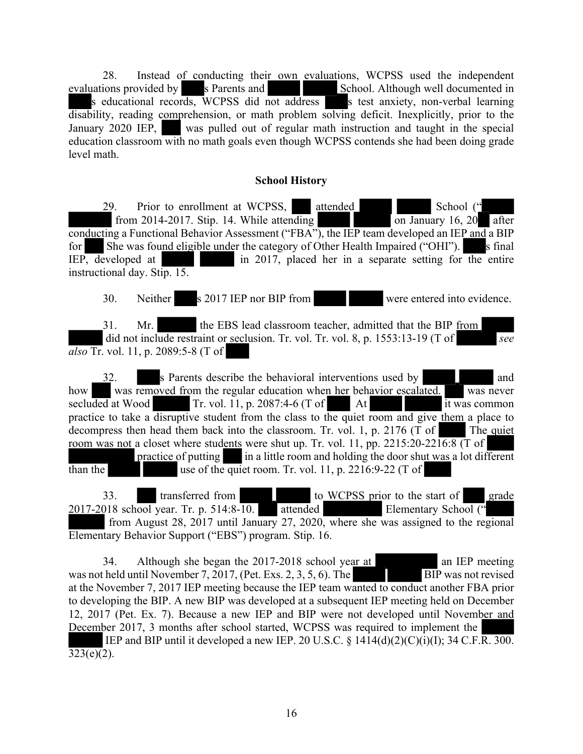28. Instead of conducting their own evaluations, WCPSS used the independent evaluations provided by s Parents and School. Although well documented in s educational records, WCPSS did not address s test anxiety, non-verbal learning disability, reading comprehension, or math problem solving deficit. Inexplicitly, prior to the January 2020 IEP, was pulled out of regular math instruction and taught in the special education classroom with no math goals even though WCPSS contends she had been doing grade level math.

#### **School History**

29. Prior to enrollment at WCPSS, attended School (" from 2014-2017. Stip. 14. While attending on January 16, 20 after conducting a Functional Behavior Assessment ("FBA"), the IEP team developed an IEP and a BIP for She was found eligible under the category of Other Health Impaired ("OHI"). s final IEP, developed at in 2017, placed her in a separate setting for the entire instructional day. Stip. 15.

30. Neither s 2017 IEP nor BIP from were entered into evidence.

31. Mr. the EBS lead classroom teacher, admitted that the BIP from did not include restraint or seclusion. Tr. vol. Tr. vol. 8, p. 1553:13-19 (T of *see also* Tr. vol. 11, p. 2089:5-8 (T of

32. s Parents describe the behavioral interventions used by and how was removed from the regular education when her behavior escalated. was never secluded at Wood Tr. vol. 11, p. 2087:4-6 (T of At it was common practice to take a disruptive student from the class to the quiet room and give them a place to decompress then head them back into the classroom. Tr. vol. 1, p. 2176 (T of The quiet room was not a closet where students were shut up. Tr. vol. 11, pp.  $2215:20-22\overline{16:8}$  (T of practice of putting in a little room and holding the door shut was a lot different than the use of the quiet room. Tr. vol. 11, p. 2216:9-22 (T of

33. transferred from to WCPSS prior to the start of grade 2017-2018 school year. Tr. p. 514:8-10. attended Elementary School (" from August 28, 2017 until January 27, 2020, where she was assigned to the regional Elementary Behavior Support ("EBS") program. Stip. 16.

34. Although she began the 2017-2018 school year at an IEP meeting was not held until November 7, 2017, (Pet. Exs. 2, 3, 5, 6). The BIP was not revised at the November 7, 2017 IEP meeting because the IEP team wanted to conduct another FBA prior to developing the BIP. A new BIP was developed at a subsequent IEP meeting held on December 12, 2017 (Pet. Ex. 7). Because a new IEP and BIP were not developed until November and December 2017, 3 months after school started, WCPSS was required to implement the IEP and BIP until it developed a new IEP. 20 U.S.C.  $\S$  1414(d)(2)(C)(i)(I); 34 C.F.R. 300.  $323(e)(2)$ .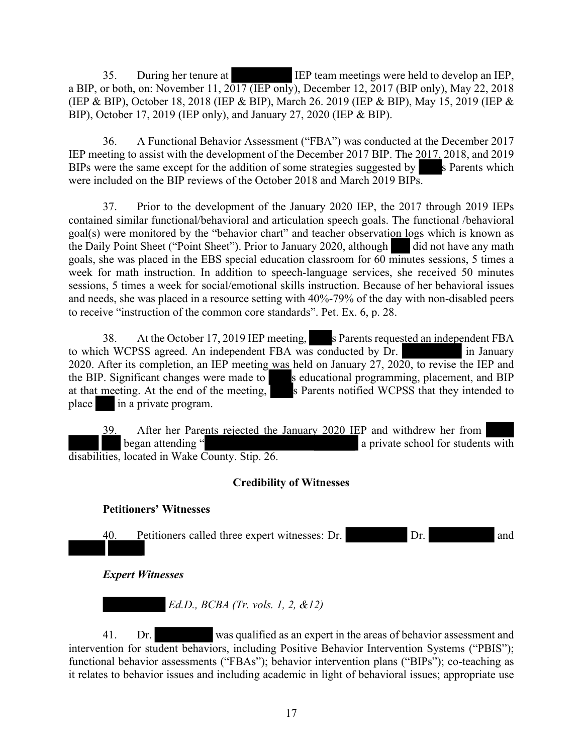35. During her tenure at IEP team meetings were held to develop an IEP, a BIP, or both, on: November 11, 2017 (IEP only), December 12, 2017 (BIP only), May 22, 2018 (IEP & BIP), October 18, 2018 (IEP & BIP), March 26. 2019 (IEP & BIP), May 15, 2019 (IEP & BIP), October 17, 2019 (IEP only), and January 27, 2020 (IEP & BIP).

36. A Functional Behavior Assessment ("FBA") was conducted at the December 2017 IEP meeting to assist with the development of the December 2017 BIP. The 2017, 2018, and 2019 BIPs were the same except for the addition of some strategies suggested by  $\sim$  s Parents which were included on the BIP reviews of the October 2018 and March 2019 BIPs.

37. Prior to the development of the January 2020 IEP, the 2017 through 2019 IEPs contained similar functional/behavioral and articulation speech goals. The functional /behavioral goal(s) were monitored by the "behavior chart" and teacher observation logs which is known as the Daily Point Sheet ("Point Sheet"). Prior to January 2020, although did not have any math goals, she was placed in the EBS special education classroom for 60 minutes sessions, 5 times a week for math instruction. In addition to speech-language services, she received 50 minutes sessions, 5 times a week for social/emotional skills instruction. Because of her behavioral issues and needs, she was placed in a resource setting with 40%-79% of the day with non-disabled peers to receive "instruction of the common core standards". Pet. Ex. 6, p. 28.

38. At the October 17, 2019 IEP meeting, s Parents requested an independent FBA to which WCPSS agreed. An independent FBA was conducted by Dr. in January 2020. After its completion, an IEP meeting was held on January 27, 2020, to revise the IEP and the BIP. Significant changes were made to seducational programming, placement, and BIP at that meeting. At the end of the meeting, s Parents notified WCPSS that they intended to place in a private program.

39. After her Parents rejected the January 2020 IEP and withdrew her from began attending " a private school for students with disabilities, located in Wake County. Stip. 26.

# **Credibility of Witnesses**

# **Petitioners' Witnesses**

40. Petitioners called three expert witnesses: Dr. Dr. and

*Expert Witnesses*

 *Ed.D., BCBA (Tr. vols. 1, 2, &12)* 

41. Dr. was qualified as an expert in the areas of behavior assessment and intervention for student behaviors, including Positive Behavior Intervention Systems ("PBIS"); functional behavior assessments ("FBAs"); behavior intervention plans ("BIPs"); co-teaching as it relates to behavior issues and including academic in light of behavioral issues; appropriate use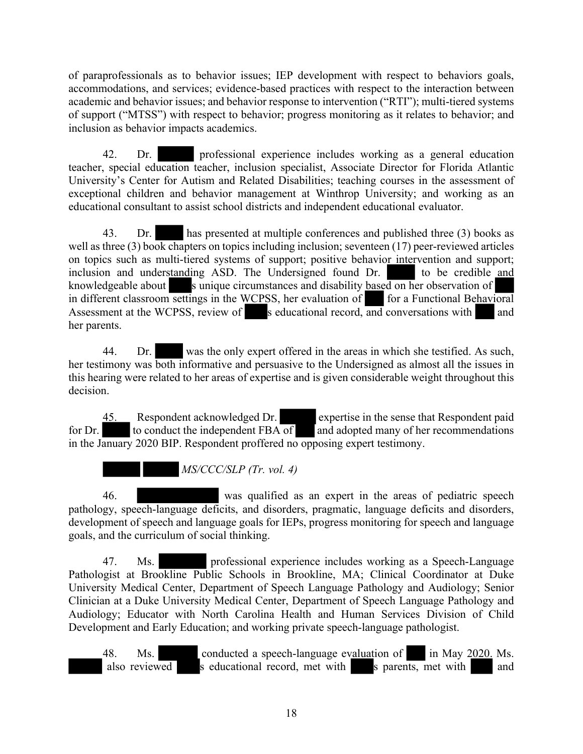of paraprofessionals as to behavior issues; IEP development with respect to behaviors goals, accommodations, and services; evidence-based practices with respect to the interaction between academic and behavior issues; and behavior response to intervention ("RTI"); multi-tiered systems of support ("MTSS") with respect to behavior; progress monitoring as it relates to behavior; and inclusion as behavior impacts academics.

42. Dr. professional experience includes working as a general education teacher, special education teacher, inclusion specialist, Associate Director for Florida Atlantic University's Center for Autism and Related Disabilities; teaching courses in the assessment of exceptional children and behavior management at Winthrop University; and working as an educational consultant to assist school districts and independent educational evaluator.

43. Dr. has presented at multiple conferences and published three (3) books as well as three (3) book chapters on topics including inclusion; seventeen (17) peer-reviewed articles on topics such as multi-tiered systems of support; positive behavior intervention and support; inclusion and understanding ASD. The Undersigned found Dr. to be credible and knowledgeable about s unique circumstances and disability based on her observation of in different classroom settings in the WCPSS, her evaluation of for a Functional Behavioral Assessment at the WCPSS, review of s educational record, and conversations with and her parents.

44. Dr. was the only expert offered in the areas in which she testified. As such, her testimony was both informative and persuasive to the Undersigned as almost all the issues in this hearing were related to her areas of expertise and is given considerable weight throughout this decision.

45. Respondent acknowledged Dr. expertise in the sense that Respondent paid for Dr. to conduct the independent FBA of and adopted many of her recommendations in the January 2020 BIP. Respondent proffered no opposing expert testimony.

 *MS/CCC/SLP (Tr. vol. 4)*

46. was qualified as an expert in the areas of pediatric speech pathology, speech-language deficits, and disorders, pragmatic, language deficits and disorders, development of speech and language goals for IEPs, progress monitoring for speech and language goals, and the curriculum of social thinking.

47. Ms. professional experience includes working as a Speech-Language Pathologist at Brookline Public Schools in Brookline, MA; Clinical Coordinator at Duke University Medical Center, Department of Speech Language Pathology and Audiology; Senior Clinician at a Duke University Medical Center, Department of Speech Language Pathology and Audiology; Educator with North Carolina Health and Human Services Division of Child Development and Early Education; and working private speech-language pathologist.

48. Ms. conducted a speech-language evaluation of in May 2020. Ms. also reviewed s educational record, met with s parents, met with and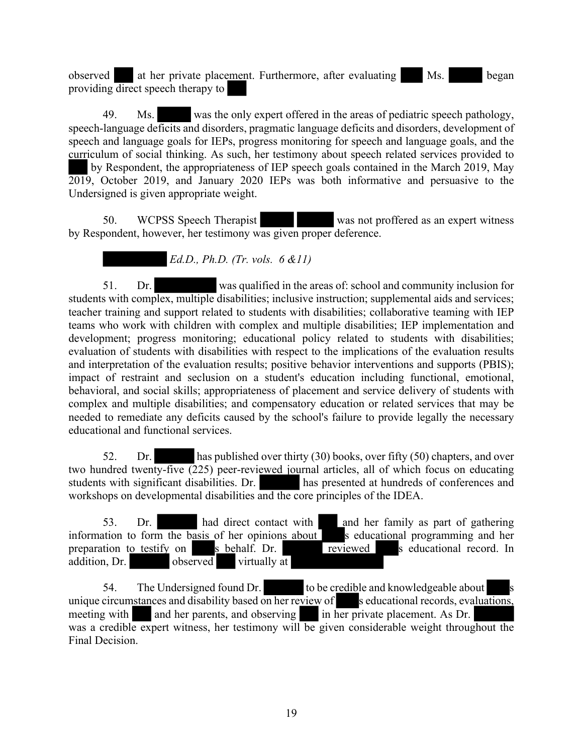observed at her private placement. Furthermore, after evaluating Ms. began providing direct speech therapy to

49. Ms. was the only expert offered in the areas of pediatric speech pathology, speech-language deficits and disorders, pragmatic language deficits and disorders, development of speech and language goals for IEPs, progress monitoring for speech and language goals, and the curriculum of social thinking. As such, her testimony about speech related services provided to by Respondent, the appropriateness of IEP speech goals contained in the March 2019, May

2019, October 2019, and January 2020 IEPs was both informative and persuasive to the Undersigned is given appropriate weight.

50. WCPSS Speech Therapist was not proffered as an expert witness by Respondent, however, her testimony was given proper deference.

 *Ed.D., Ph.D. (Tr. vols. 6 &11)*

51. Dr. was qualified in the areas of: school and community inclusion for students with complex, multiple disabilities; inclusive instruction; supplemental aids and services; teacher training and support related to students with disabilities; collaborative teaming with IEP teams who work with children with complex and multiple disabilities; IEP implementation and development; progress monitoring; educational policy related to students with disabilities; evaluation of students with disabilities with respect to the implications of the evaluation results and interpretation of the evaluation results; positive behavior interventions and supports (PBIS); impact of restraint and seclusion on a student's education including functional, emotional, behavioral, and social skills; appropriateness of placement and service delivery of students with complex and multiple disabilities; and compensatory education or related services that may be needed to remediate any deficits caused by the school's failure to provide legally the necessary educational and functional services.

52. Dr. has published over thirty (30) books, over fifty (50) chapters, and over two hundred twenty-five (225) peer-reviewed journal articles, all of which focus on educating students with significant disabilities. Dr. students with significant disabilities. Dr. workshops on developmental disabilities and the core principles of the IDEA.

53. Dr. had direct contact with and her family as part of gathering information to form the basis of her opinions about  $\overline{\phantom{a}}$  is educational programming and her preparation to testify on  $\overline{\phantom{a}}$  s behalf. Dr. preparation to testify on  $\blacksquare$  s behalf. Dr. addition, Dr. observed virtually at

54. The Undersigned found Dr. to be credible and knowledgeable about unique circumstances and disability based on her review of s educational records, evaluations, meeting with and her parents, and observing in her private placement. As Dr. was a credible expert witness, her testimony will be given considerable weight throughout the Final Decision.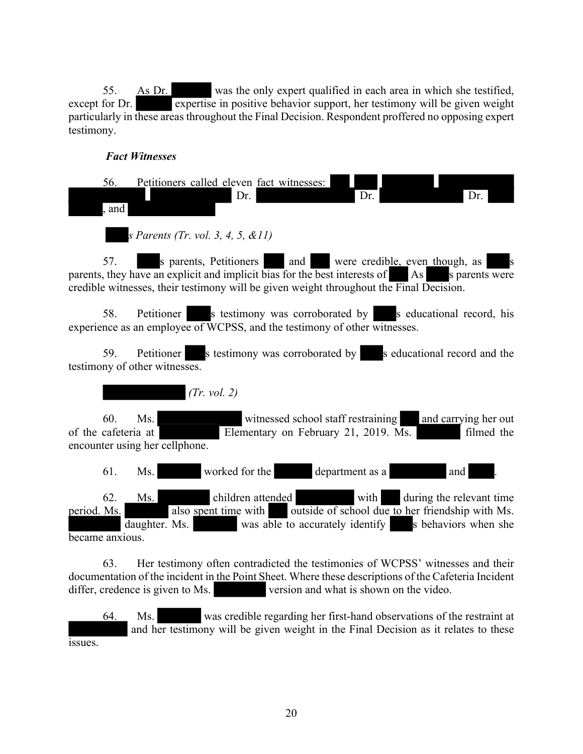55. As Dr. was the only expert qualified in each area in which she testified, except for Dr. expertise in positive behavior support, her testimony will be given weight particularly in these areas throughout the Final Decision. Respondent proffered no opposing expert testimony.

# *Fact Witnesses*

| Petitioners called eleven fact witnesses:<br>56.<br>Dr.<br>Dr.<br>Dr.<br>and                                                                                                                                                                                             |
|--------------------------------------------------------------------------------------------------------------------------------------------------------------------------------------------------------------------------------------------------------------------------|
| s Parents (Tr. vol. 3, 4, 5, &11)                                                                                                                                                                                                                                        |
| 57. s parents, Petitioners and were credible, even though, as<br>$\mathbf{s}$<br>parents, they have an explicit and implicit bias for the best interests of As s parents were<br>credible witnesses, their testimony will be given weight throughout the Final Decision. |
| Petitioner s testimony was corroborated by s educational record, his<br>58.<br>experience as an employee of WCPSS, and the testimony of other witnesses.                                                                                                                 |

59. Petitioner s testimony was corroborated by seducational record and the testimony of other witnesses.

 *(Tr. vol. 2)*

60. Ms. witnessed school staff restraining and carrying her out of the cafeteria at  $\boxed{\text{Elementary on February 21, 2019. Ms.}}$  filmed the encounter using her cellphone.

61. Ms. worked for the department as a and .

62. Ms. children attended with during the relevant time period. Ms. also spent time with outside of school due to her friendship with Ms. daughter. Ms. was able to accurately identify s behaviors when she became anxious.

63. Her testimony often contradicted the testimonies of WCPSS' witnesses and their documentation of the incident in the Point Sheet. Where these descriptions of the Cafeteria Incident differ, credence is given to Ms. version and what is shown on the video.

64. Ms. was credible regarding her first-hand observations of the restraint at and her testimony will be given weight in the Final Decision as it relates to these issues.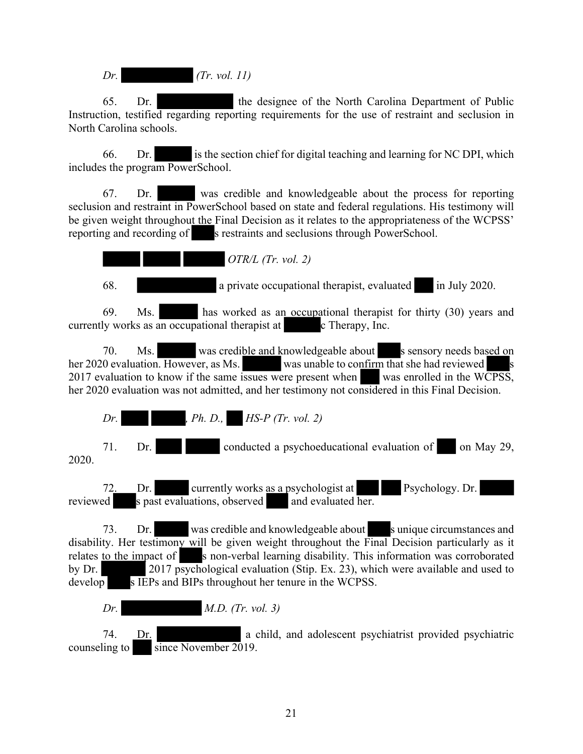*Dr. (Tr. vol. 11)*

65. Dr. the designee of the North Carolina Department of Public Instruction, testified regarding reporting requirements for the use of restraint and seclusion in North Carolina schools.

66. Dr. is the section chief for digital teaching and learning for NC DPI, which includes the program PowerSchool.

67. Dr. was credible and knowledgeable about the process for reporting seclusion and restraint in PowerSchool based on state and federal regulations. His testimony will be given weight throughout the Final Decision as it relates to the appropriateness of the WCPSS' reporting and recording of s restraints and seclusions through PowerSchool.

 *OTR/L (Tr. vol. 2)*

68. a private occupational therapist, evaluated in July 2020.

69. Ms. has worked as an occupational therapist for thirty (30) years and currently works as an occupational therapist at c Therapy, Inc.

70. Ms. was credible and knowledgeable about s sensory needs based on her 2020 evaluation. However, as Ms. was unable to confirm that she had reviewed 2017 evaluation to know if the same issues were present when was enrolled in the WCPSS, her 2020 evaluation was not admitted, and her testimony not considered in this Final Decision.

*Dr. , Ph. D., HS-P (Tr. vol. 2)* 71. Dr. conducted a psychoeducational evaluation of on May 29,

2020.

72. Dr. currently works as a psychologist at Psychology. Dr. reviewed s past evaluations, observed and evaluated her.

73. Dr. was credible and knowledgeable about sunique circumstances and disability. Her testimony will be given weight throughout the Final Decision particularly as it relates to the impact of s non-verbal learning disability. This information was corroborated by Dr. 2017 psychological evaluation (Stip. Ex. 23), which were available and used to develop s IEPs and BIPs throughout her tenure in the WCPSS.

*Dr. M.D. (Tr. vol. 3)*

74. Dr. a child, and adolescent psychiatrist provided psychiatric counseling to since November 2019.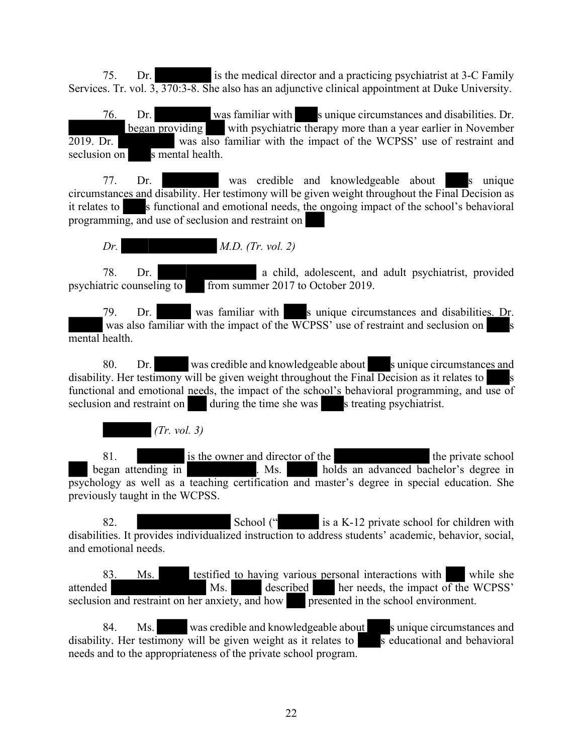75. Dr. is the medical director and a practicing psychiatrist at 3-C Family Services. Tr. vol. 3, 370:3-8. She also has an adjunctive clinical appointment at Duke University.

76. Dr. was familiar with s unique circumstances and disabilities. Dr. began providing with psychiatric therapy more than a year earlier in November 2019. Dr. was also familiar with the impact of the WCPSS' use of restraint and seclusion on s mental health.

77. Dr. was credible and knowledgeable about s unique circumstances and disability. Her testimony will be given weight throughout the Final Decision as it relates to s functional and emotional needs, the ongoing impact of the school's behavioral programming, and use of seclusion and restraint on

*Dr. M.D. (Tr. vol. 2)*

78. Dr. a child, adolescent, and adult psychiatrist, provided psychiatric counseling to from summer 2017 to October 2019.

79. Dr. was familiar with s unique circumstances and disabilities. Dr. was also familiar with the impact of the WCPSS' use of restraint and seclusion on mental health.

80. Dr. was credible and knowledgeable about sunique circumstances and disability. Her testimony will be given weight throughout the Final Decision as it relates to functional and emotional needs, the impact of the school's behavioral programming, and use of seclusion and restraint on during the time she was s treating psychiatrist.

 *(Tr. vol. 3)*

81. is the owner and director of the the the private school began attending in . Ms. holds an advanced bachelor's degree in psychology as well as a teaching certification and master's degree in special education. She previously taught in the WCPSS.

82. School (" is a K-12 private school for children with disabilities. It provides individualized instruction to address students' academic, behavior, social, and emotional needs.

83. Ms. testified to having various personal interactions with while she attended Ms. described her needs, the impact of the WCPSS' seclusion and restraint on her anxiety, and how presented in the school environment.

84. Ms. was credible and knowledgeable about survivale s unique circumstances and disability. Her testimony will be given weight as it relates to  $\overline{s}$  educational and behavioral needs and to the appropriateness of the private school program.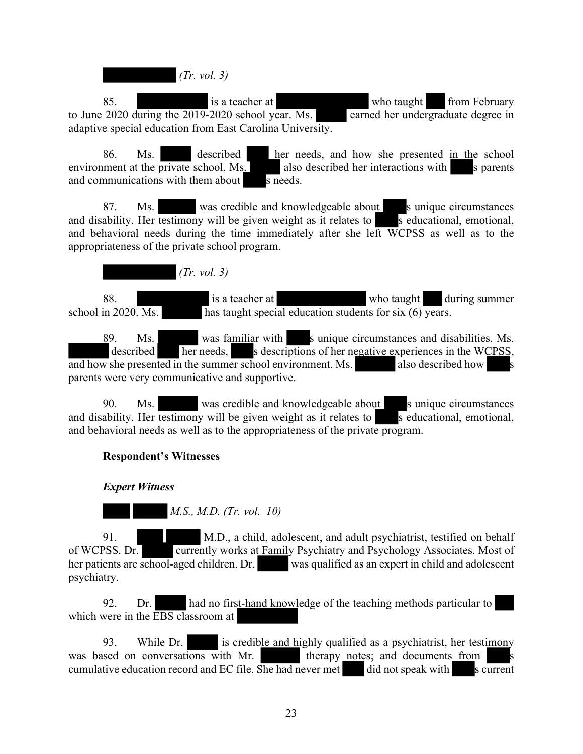*(Tr. vol. 3)*

85. is a teacher at who taught from February to June 2020 during the 2019-2020 school year. Ms. earned her undergraduate degree in adaptive special education from East Carolina University.

86. Ms. described her needs, and how she presented in the school environment at the private school. Ms. also described her interactions with s parents and communications with them about  $\overline{\phantom{0}}$  s needs.

87. Ms. was credible and knowledgeable about survivale circumstances and disability. Her testimony will be given weight as it relates to seducational, emotional, and behavioral needs during the time immediately after she left WCPSS as well as to the appropriateness of the private school program.

 *(Tr. vol. 3)*

88. is a teacher at who taught during summer school in 2020. Ms. has taught special education students for six  $(6)$  years.

89. Ms. was familiar with s unique circumstances and disabilities. Ms.  $\overline{\text{described}}$  her needs, s descriptions of her negative experiences in the WCPSS, and how she presented in the summer school environment. Ms. also described how parents were very communicative and supportive.

90. Ms. was credible and knowledgeable about s unique circumstances and disability. Her testimony will be given weight as it relates to sequeles s educational, emotional, and behavioral needs as well as to the appropriateness of the private program.

# **Respondent's Witnesses**

# *Expert Witness*

 *M.S., M.D. (Tr. vol. 10)*

91. M.D., a child, adolescent, and adult psychiatrist, testified on behalf of WCPSS. Dr. currently works at Family Psychiatry and Psychology Associates. Most of her patients are school-aged children. Dr. was qualified as an expert in child and adolescent psychiatry.

92. Dr. had no first-hand knowledge of the teaching methods particular to which were in the EBS classroom at

93. While Dr. is credible and highly qualified as a psychiatrist, her testimony was based on conversations with Mr. therapy notes; and documents from cumulative education record and EC file. She had never met did not speak with s current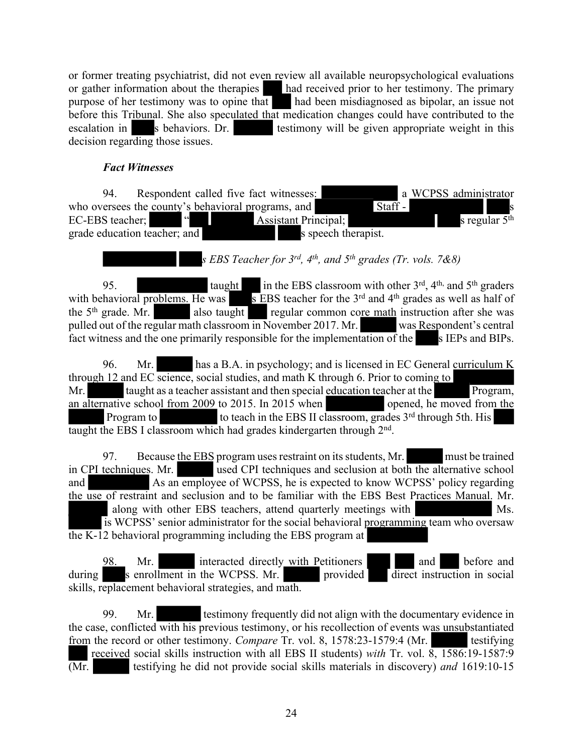or former treating psychiatrist, did not even review all available neuropsychological evaluations or gather information about the therapies had received prior to her testimony. The primary purpose of her testimony was to opine that had been misdiagnosed as bipolar, an issue not before this Tribunal. She also speculated that medication changes could have contributed to the escalation in such she she is behaviors. Dr. escalation in s behaviors. Dr. testimony will be given appropriate weight in this decision regarding those issues.

# *Fact Witnesses*

94. Respondent called five fact witnesses: a WCPSS administrator who oversees the county's behavioral programs, and  $\overline{\text{Staff}}$  -EC-EBS teacher; " " " Assistant Principal; s regular 5<sup>th</sup> grade education teacher; and s speech therapist.

# *s EBS Teacher for 3rd, 4th, and 5th grades (Tr. vols. 7&8)*

95. taught in the EBS classroom with other  $3<sup>rd</sup>$ ,  $4<sup>th</sup>$ , and  $5<sup>th</sup>$  graders with behavioral problems. He was s EBS teacher for the  $3<sup>rd</sup>$  and  $4<sup>th</sup>$  grades as well as half of the 5<sup>th</sup> grade. Mr. also taught regular common core math instruction after she was pulled out of the regular math classroom in November 2017. Mr. was Respondent's central fact witness and the one primarily responsible for the implementation of the s IEPs and BIPs.

96. Mr. has a B.A. in psychology; and is licensed in EC General curriculum K through 12 and EC science, social studies, and math K through 6. Prior to coming to Mr. taught as a teacher assistant and then special education teacher at the Program, an alternative school from 2009 to 2015. In 2015 when opened, he moved from the Program to the teach in the EBS II classroom, grades 3<sup>rd</sup> through 5th. His taught the EBS I classroom which had grades kindergarten through 2nd .

97. Because the EBS program uses restraint on its students, Mr. must be trained in CPI techniques. Mr. used CPI techniques and seclusion at both the alternative school and As an employee of WCPSS, he is expected to know WCPSS' policy regarding the use of restraint and seclusion and to be familiar with the EBS Best Practices Manual. Mr. along with other EBS teachers, attend quarterly meetings with Ms. is WCPSS' senior administrator for the social behavioral programming team who oversaw the K-12 behavioral programming including the EBS program at

98. Mr. interacted directly with Petitioners and before and  $\frac{1}{2}$  s enrollment in the WCPSS. Mr. provided  $\frac{1}{2}$  direct instruction in social skills, replacement behavioral strategies, and math.

99. Mr. testimony frequently did not align with the documentary evidence in the case, conflicted with his previous testimony, or his recollection of events was unsubstantiated from the record or other testimony. *Compare* Tr. vol. 8, 1578:23-1579:4 (Mr. testifying received social skills instruction with all EBS II students) *with* Tr. vol. 8, 1586:19-1587:9 (Mr. testifying he did not provide social skills materials in discovery) *and* 1619:10-15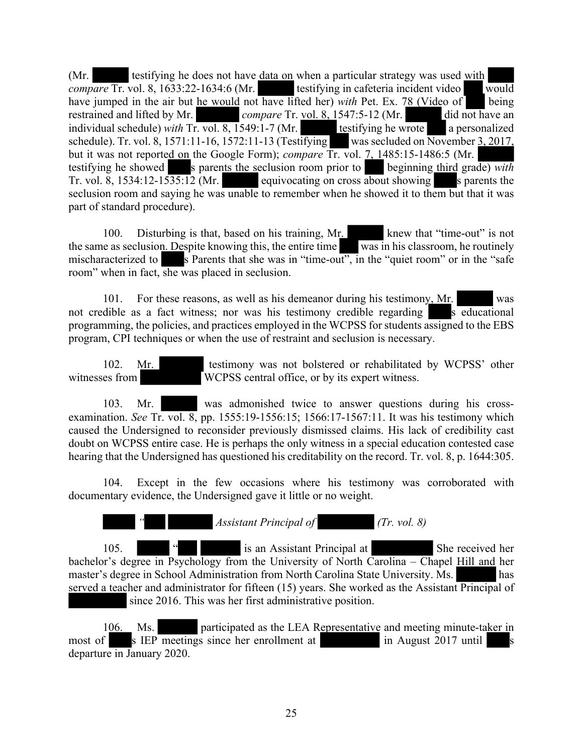(Mr. testifying he does not have <u>data on</u> when a particular strategy was used with *compare* Tr. vol. 8, 1633:22-1634:6 (Mr. testifying in cafeteria incident video would have jumped in the air but he would not have lifted her) *with* Pet. Ex. 78 (Video of being restrained and lifted by Mr. *compare* Tr. vol. 8, 1547:5-12 (Mr. did not have an individual schedule) *with* Tr. vol. 8, 1549:1-7 (Mr. testifying he wrote a personalized schedule). Tr. vol. 8, 1571:11-16, 1572:11-13 (Testifying was secluded on  $\overline{\text{November 3, 2017}}$ , but it was not reported on the Google Form); *compare* Tr. vol. 7, 1485:15-1486:5 (Mr. testifying he showed s parents the seclusion room prior to beginning third grade) *with* Tr. vol. 8, 1534:12-1535:12 (Mr. equivocating on cross about showing s parents the seclusion room and saying he was unable to remember when he showed it to them but that it was part of standard procedure).

100. Disturbing is that, based on his training, Mr. knew that "time-out" is not the same as seclusion. Despite knowing this, the entire time was in his classroom, he routinely mischaracterized to s Parents that she was in "time-out", in the "quiet room" or in the "safe" room" when in fact, she was placed in seclusion.

101. For these reasons, as well as his demeanor during his testimony, Mr. was not credible as a fact witness; nor was his testimony credible regarding  $\overline{s}$  educational programming, the policies, and practices employed in the WCPSS for students assigned to the EBS program, CPI techniques or when the use of restraint and seclusion is necessary.

102. Mr. testimony was not bolstered or rehabilitated by WCPSS' other witnesses from WCPSS central office, or by its expert witness.

103. Mr. was admonished twice to answer questions during his crossexamination. *See* Tr. vol. 8, pp. 1555:19-1556:15; 1566:17-1567:11. It was his testimony which caused the Undersigned to reconsider previously dismissed claims. His lack of credibility cast doubt on WCPSS entire case. He is perhaps the only witness in a special education contested case hearing that the Undersigned has questioned his creditability on the record. Tr. vol. 8, p. 1644:305.

104. Except in the few occasions where his testimony was corroborated with documentary evidence, the Undersigned gave it little or no weight.

*Assistant Principal of (Tr. vol. 8)* 

105. " is an Assistant Principal at She received her bachelor's degree in Psychology from the University of North Carolina – Chapel Hill and her master's degree in School Administration from North Carolina State University. Ms. has served a teacher and administrator for fifteen (15) years. She worked as the Assistant Principal of since 2016. This was her first administrative position.

106. Ms. participated as the LEA Representative and meeting minute-taker in most of s IEP meetings since her enrollment at in August 2017 until s departure in January 2020.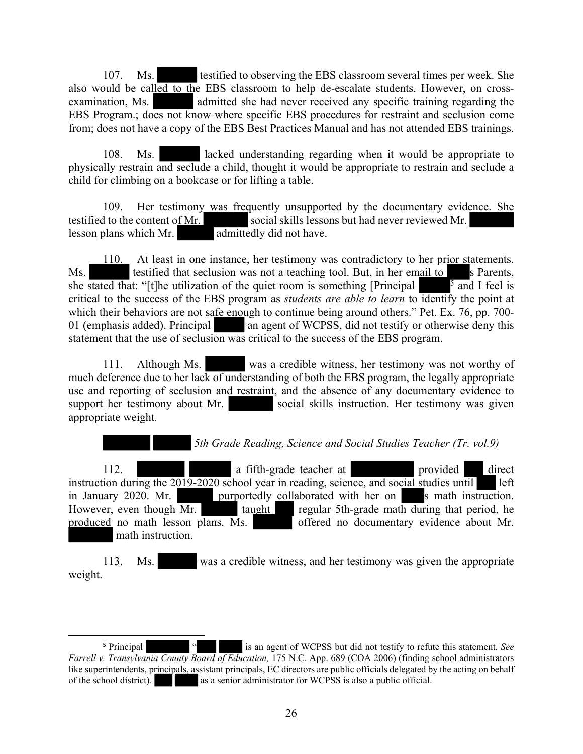107. Ms. testified to observing the EBS classroom several times per week. She also would be called to the EBS classroom to help de-escalate students. However, on crossexamination, Ms. admitted she had never received any specific training regarding the EBS Program.; does not know where specific EBS procedures for restraint and seclusion come from; does not have a copy of the EBS Best Practices Manual and has not attended EBS trainings.

108. Ms. lacked understanding regarding when it would be appropriate to physically restrain and seclude a child, thought it would be appropriate to restrain and seclude a child for climbing on a bookcase or for lifting a table.

109. Her testimony was frequently unsupported by the documentary evidence. She testified to the content of Mr. social skills lessons but had never reviewed Mr. lesson plans which Mr. admittedly did not have.

110. At least in one instance, her testimony was contradictory to her prior statements. Ms. testified that seclusion was not a teaching tool. But, in her email to s Parents, she stated that: "[t]he utilization of the quiet room is something [Principal  $\frac{5}{5}$  and I feel is critical to the success of the EBS program as *students are able to learn* to identify the point at which their behaviors are not safe enough to continue being around others." Pet. Ex. 76, pp. 700-01 (emphasis added). Principal an agent of WCPSS, did not testify or otherwise deny this statement that the use of seclusion was critical to the success of the EBS program.

111. Although Ms. was a credible witness, her testimony was not worthy of much deference due to her lack of understanding of both the EBS program, the legally appropriate use and reporting of seclusion and restraint, and the absence of any documentary evidence to support her testimony about Mr. social skills instruction. Her testimony was given appropriate weight.

 *5th Grade Reading, Science and Social Studies Teacher (Tr. vol.9)*

112. **a** fifth-grade teacher at **provided** direct instruction during the  $2019-2020$  school year in reading, science, and social studies until left in January 2020. Mr. purportedly collaborated with her on s math instruction. However, even though Mr. taught regular 5th-grade math during that period, he produced no math lesson plans. Ms. offered no documentary evidence about Mr. math instruction.

113. Ms. was a credible witness, and her testimony was given the appropriate weight.

<sup>5</sup> Principal " is an agent of WCPSS but did not testify to refute this statement. *See Farrell v. Transylvania County Board of Education,* 175 N.C. App. 689 (COA 2006) (finding school administrators like superintendents, principals, assistant principals, EC directors are public officials delegated by the acting on behalf of the school district). as a senior administrator for WCPSS is also a public official.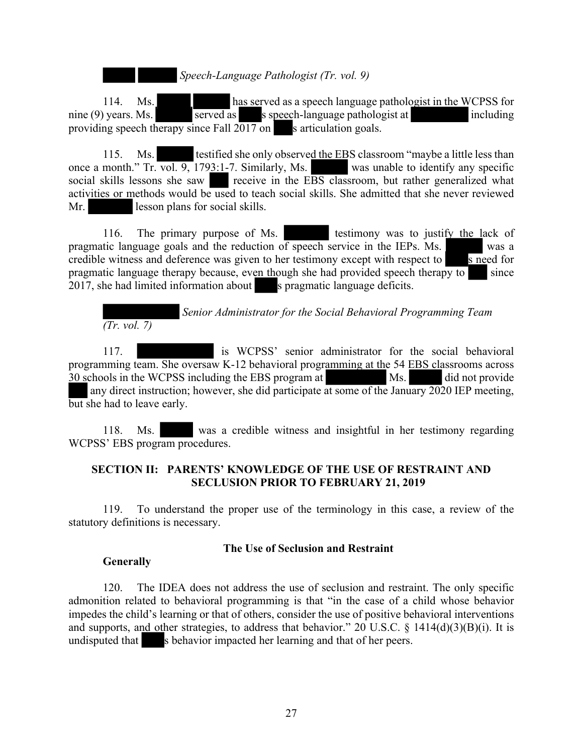*Speech-Language Pathologist (Tr. vol. 9)*

114. Ms. has served as a speech language pathologist in the WCPSS for nine (9) years. Ms. served as speech-language pathologist at including providing speech therapy since Fall  $2\overline{017}$  on s articulation goals.

115. Ms. testified she only observed the EBS classroom "maybe a little less than once a month." Tr. vol. 9, 1793:1-7. Similarly, Ms. was unable to identify any specific social skills lessons she saw receive in the EBS classroom, but rather generalized what activities or methods would be used to teach social skills. She admitted that she never reviewed Mr. lesson plans for social skills.

116. The primary purpose of Ms. testimony was to justify the lack of pragmatic language goals and the reduction of speech service in the IEPs. Ms. credible witness and deference was given to her testimony except with respect to  $\overline{\phantom{1}}$  s need for pragmatic language therapy because, even though she had provided speech therapy to since 2017, she had limited information about s pragmatic language deficits.

 *Senior Administrator for the Social Behavioral Programming Team (Tr. vol. 7)*

117. is WCPSS' senior administrator for the social behavioral programming team. She oversaw K-12 behavioral programming at the 54 EBS classrooms across 30 schools in the WCPSS including the EBS program at Ms. 30 schools in the WCPSS including the EBS program at Ms. did not provide any direct instruction; however, she did participate at some of the January 2020 IEP meeting, but she had to leave early.

118. Ms. was a credible witness and insightful in her testimony regarding WCPSS' EBS program procedures.

# **SECTION II: PARENTS' KNOWLEDGE OF THE USE OF RESTRAINT AND SECLUSION PRIOR TO FEBRUARY 21, 2019**

119. To understand the proper use of the terminology in this case, a review of the statutory definitions is necessary.

# **The Use of Seclusion and Restraint**

# **Generally**

120. The IDEA does not address the use of seclusion and restraint. The only specific admonition related to behavioral programming is that "in the case of a child whose behavior impedes the child's learning or that of others, consider the use of positive behavioral interventions and supports, and other strategies, to address that behavior." 20 U.S.C.  $\S$  1414(d)(3)(B)(i). It is undisputed that s behavior impacted her learning and that of her peers.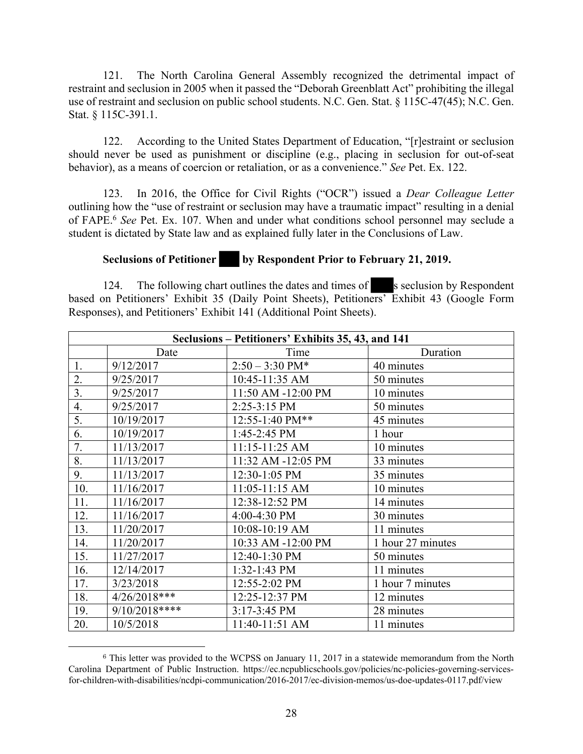121. The North Carolina General Assembly recognized the detrimental impact of restraint and seclusion in 2005 when it passed the "Deborah Greenblatt Act" prohibiting the illegal use of restraint and seclusion on public school students. N.C. Gen. Stat. § 115C-47(45); N.C. Gen. Stat. § 115C-391.1.

122. According to the United States Department of Education, "[r]estraint or seclusion should never be used as punishment or discipline (e.g., placing in seclusion for out-of-seat behavior), as a means of coercion or retaliation, or as a convenience." *See* Pet. Ex. 122.

123. In 2016, the Office for Civil Rights ("OCR") issued a *Dear Colleague Letter* outlining how the "use of restraint or seclusion may have a traumatic impact" resulting in a denial of FAPE.<sup>6</sup> *See* Pet. Ex. 107. When and under what conditions school personnel may seclude a student is dictated by State law and as explained fully later in the Conclusions of Law.

#### **Seclusions of Petitioner by Respondent Prior to February 21, 2019.**

124. The following chart outlines the dates and times of s seclusion by Respondent based on Petitioners' Exhibit 35 (Daily Point Sheets), Petitioners' Exhibit 43 (Google Form Responses), and Petitioners' Exhibit 141 (Additional Point Sheets).

| Seclusions – Petitioners' Exhibits 35, 43, and 141 |               |                           |                   |  |
|----------------------------------------------------|---------------|---------------------------|-------------------|--|
|                                                    | Date          | Time                      | Duration          |  |
| 1.                                                 | 9/12/2017     | $2:50 - 3:30 \text{ PM*}$ | 40 minutes        |  |
| 2.                                                 | 9/25/2017     | 10:45-11:35 AM            | 50 minutes        |  |
| 3.                                                 | 9/25/2017     | 11:50 AM -12:00 PM        | 10 minutes        |  |
| 4.                                                 | 9/25/2017     | 2:25-3:15 PM              | 50 minutes        |  |
| 5.                                                 | 10/19/2017    | 12:55-1:40 PM**           | 45 minutes        |  |
| 6.                                                 | 10/19/2017    | 1:45-2:45 PM              | 1 hour            |  |
| 7.                                                 | 11/13/2017    | 11:15-11:25 AM            | 10 minutes        |  |
| 8.                                                 | 11/13/2017    | 11:32 AM -12:05 PM        | 33 minutes        |  |
| 9.                                                 | 11/13/2017    | 12:30-1:05 PM             | 35 minutes        |  |
| 10.                                                | 11/16/2017    | 11:05-11:15 AM            | 10 minutes        |  |
| 11.                                                | 11/16/2017    | 12:38-12:52 PM            | 14 minutes        |  |
| 12.                                                | 11/16/2017    | 4:00-4:30 PM              | 30 minutes        |  |
| 13.                                                | 11/20/2017    | 10:08-10:19 AM            | 11 minutes        |  |
| 14.                                                | 11/20/2017    | 10:33 AM -12:00 PM        | 1 hour 27 minutes |  |
| 15.                                                | 11/27/2017    | 12:40-1:30 PM             | 50 minutes        |  |
| 16.                                                | 12/14/2017    | 1:32-1:43 PM              | 11 minutes        |  |
| 17.                                                | 3/23/2018     | 12:55-2:02 PM             | 1 hour 7 minutes  |  |
| 18.                                                | 4/26/2018***  | 12:25-12:37 PM            | 12 minutes        |  |
| 19.                                                | 9/10/2018**** | 3:17-3:45 PM              | 28 minutes        |  |
| 20.                                                | 10/5/2018     | 11:40-11:51 AM            | 11 minutes        |  |

<sup>&</sup>lt;sup>6</sup> This letter was provided to the WCPSS on January 11, 2017 in a statewide memorandum from the North Carolina Department of Public Instruction. https://ec.ncpublicschools.gov/policies/nc-policies-governing-servicesfor-children-with-disabilities/ncdpi-communication/2016-2017/ec-division-memos/us-doe-updates-0117.pdf/view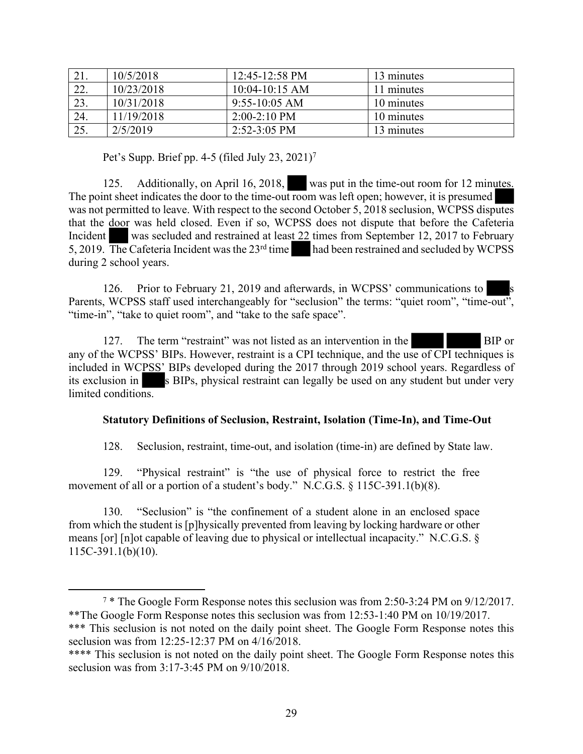| 21. | 10/5/2018  | $12:45-12:58 \text{ PM}$ | 13 minutes |
|-----|------------|--------------------------|------------|
| 22. | 10/23/2018 | $10:04-10:15$ AM         | 11 minutes |
| 23. | 10/31/2018 | $9:55-10:05$ AM          | 10 minutes |
| 24. | 11/19/2018 | $2:00-2:10$ PM           | 10 minutes |
| 25. | 2/5/2019   | $2:52-3:05$ PM           | 13 minutes |

Pet's Supp. Brief pp. 4-5 (filed July 23, 2021)<sup>7</sup>

125. Additionally, on April 16, 2018, was put in the time-out room for 12 minutes. The point sheet indicates the door to the time-out room was left open; however, it is presumed was not permitted to leave. With respect to the second October 5, 2018 seclusion, WCPSS disputes that the door was held closed. Even if so, WCPSS does not dispute that before the Cafeteria Incident was secluded and restrained at least 22 times from September 12, 2017 to February 5, 2019. The Cafeteria Incident was the 23rd time had been restrained and secluded by WCPSS during 2 school years.

126. Prior to February 21, 2019 and afterwards, in WCPSS' communications to Parents, WCPSS staff used interchangeably for "seclusion" the terms: "quiet room", "time-out", "time-in", "take to quiet room", and "take to the safe space".

127. The term "restraint" was not listed as an intervention in the BIP or any of the WCPSS' BIPs. However, restraint is a CPI technique, and the use of CPI techniques is included in WCPSS' BIPs developed during the 2017 through 2019 school years. Regardless of its exclusion in s BIPs, physical restraint can legally be used on any student but under very limited conditions.

# **Statutory Definitions of Seclusion, Restraint, Isolation (Time-In), and Time-Out**

128. Seclusion, restraint, time-out, and isolation (time-in) are defined by State law.

129. "Physical restraint" is "the use of physical force to restrict the free movement of all or a portion of a student's body." N.C.G.S. § 115C-391.1(b)(8).

130. "Seclusion" is "the confinement of a student alone in an enclosed space from which the student is [p]hysically prevented from leaving by locking hardware or other means [or] [n]ot capable of leaving due to physical or intellectual incapacity." N.C.G.S. § 115C-391.1(b)(10).

<sup>7</sup> \* The Google Form Response notes this seclusion was from 2:50-3:24 PM on 9/12/2017. \*\*The Google Form Response notes this seclusion was from 12:53-1:40 PM on 10/19/2017. \*\*\* This seclusion is not noted on the daily point sheet. The Google Form Response notes this seclusion was from 12:25-12:37 PM on 4/16/2018.

<sup>\*\*\*\*</sup> This seclusion is not noted on the daily point sheet. The Google Form Response notes this seclusion was from 3:17-3:45 PM on 9/10/2018.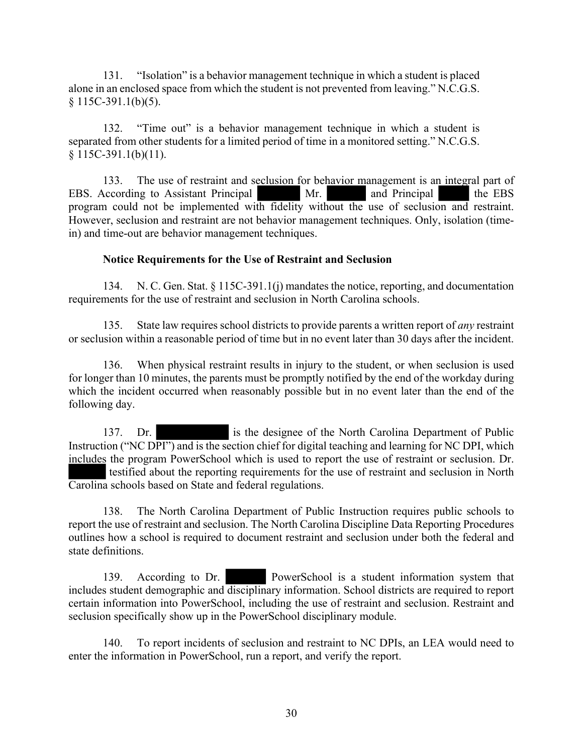131. "Isolation" is a behavior management technique in which a student is placed alone in an enclosed space from which the student is not prevented from leaving." N.C.G.S.  $§ 115C-391.1(b)(5).$ 

132. "Time out" is a behavior management technique in which a student is separated from other students for a limited period of time in a monitored setting." N.C.G.S.  $§ 115C-391.1(b)(11).$ 

133. The use of restraint and seclusion for behavior management is an integral part of EBS. According to Assistant Principal Mr. and Principal the EBS program could not be implemented with fidelity without the use of seclusion and restraint. However, seclusion and restraint are not behavior management techniques. Only, isolation (timein) and time-out are behavior management techniques.

# **Notice Requirements for the Use of Restraint and Seclusion**

134. N. C. Gen. Stat. § 115C-391.1(j) mandates the notice, reporting, and documentation requirements for the use of restraint and seclusion in North Carolina schools.

135. State law requires school districts to provide parents a written report of *any* restraint or seclusion within a reasonable period of time but in no event later than 30 days after the incident.

136. When physical restraint results in injury to the student, or when seclusion is used for longer than 10 minutes, the parents must be promptly notified by the end of the workday during which the incident occurred when reasonably possible but in no event later than the end of the following day.

137. Dr. is the designee of the North Carolina Department of Public Instruction ("NC DPI") and is the section chief for digital teaching and learning for NC DPI, which includes the program PowerSchool which is used to report the use of restraint or seclusion. Dr. testified about the reporting requirements for the use of restraint and seclusion in North Carolina schools based on State and federal regulations.

138. The North Carolina Department of Public Instruction requires public schools to report the use of restraint and seclusion. The North Carolina Discipline Data Reporting Procedures outlines how a school is required to document restraint and seclusion under both the federal and state definitions.

139. According to Dr. PowerSchool is a student information system that includes student demographic and disciplinary information. School districts are required to report certain information into PowerSchool, including the use of restraint and seclusion. Restraint and seclusion specifically show up in the PowerSchool disciplinary module.

140. To report incidents of seclusion and restraint to NC DPIs, an LEA would need to enter the information in PowerSchool, run a report, and verify the report.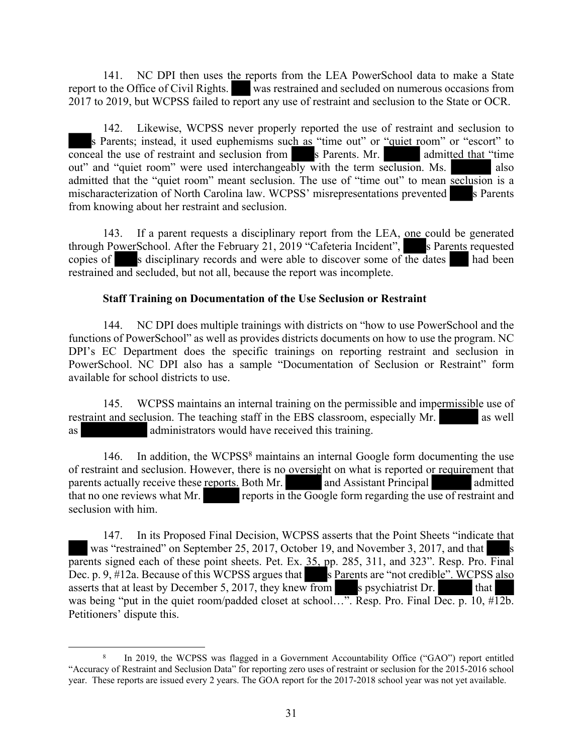141. NC DPI then uses the reports from the LEA PowerSchool data to make a State report to the Office of Civil Rights. was restrained and secluded on numerous occasions from 2017 to 2019, but WCPSS failed to report any use of restraint and seclusion to the State or OCR.

142. Likewise, WCPSS never properly reported the use of restraint and seclusion to s Parents; instead, it used euphemisms such as "time out" or "quiet room" or "escort" to conceal the use of restraint and seclusion from s Parents. Mr. admitted that "time" out" and "quiet room" were used interchangeably with the term seclusion. Ms. also admitted that the "quiet room" meant seclusion. The use of "time out" to mean seclusion is a mischaracterization of North Carolina law. WCPSS' misrepresentations prevented s Parents from knowing about her restraint and seclusion.

143. If a parent requests a disciplinary report from the LEA, one could be generated through PowerSchool. After the February 21, 2019 "Cafeteria Incident", s Parents requested copies of s disciplinary records and were able to discover some of the dates had been restrained and secluded, but not all, because the report was incomplete.

# **Staff Training on Documentation of the Use Seclusion or Restraint**

144. NC DPI does multiple trainings with districts on "how to use PowerSchool and the functions of PowerSchool" as well as provides districts documents on how to use the program. NC DPI's EC Department does the specific trainings on reporting restraint and seclusion in PowerSchool. NC DPI also has a sample "Documentation of Seclusion or Restraint" form available for school districts to use.

145. WCPSS maintains an internal training on the permissible and impermissible use of restraint and seclusion. The teaching staff in the EBS classroom, especially Mr. as well as administrators would have received this training.

146. In addition, the WCPSS<sup>8</sup> maintains an internal Google form documenting the use of restraint and seclusion. However, there is no oversight on what is reported or requirement that parents actually receive these reports. Both Mr. and Assistant Principal admitted that no one reviews what Mr. reports in the Google form regarding the use of restraint and seclusion with him.

147. In its Proposed Final Decision, WCPSS asserts that the Point Sheets "indicate that was "restrained" on September 25, 2017, October 19, and November 3, 2017, and that parents signed each of these point sheets. Pet. Ex. 35, pp. 285, 311, and 323". Resp. Pro. Final Dec. p. 9,  $\sharp$ 12a. Because of this WCPSS argues that  $\Box$  s Parents are "not credible". WCPSS also asserts that at least by December 5, 2017, they knew from s psychiatrist Dr. was being "put in the quiet room/padded closet at school...". Resp. Pro. Final Dec. p. 10, #12b. Petitioners' dispute this.

<sup>8</sup> In 2019, the WCPSS was flagged in a Government Accountability Office ("GAO") report entitled "Accuracy of Restraint and Seclusion Data" for reporting zero uses of restraint or seclusion for the 2015-2016 school year. These reports are issued every 2 years. The GOA report for the 2017-2018 school year was not yet available.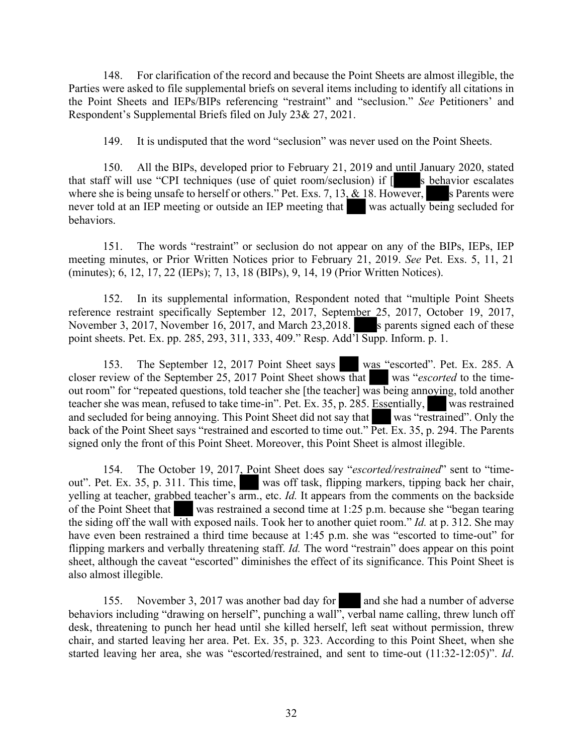148. For clarification of the record and because the Point Sheets are almost illegible, the Parties were asked to file supplemental briefs on several items including to identify all citations in the Point Sheets and IEPs/BIPs referencing "restraint" and "seclusion." *See* Petitioners' and Respondent's Supplemental Briefs filed on July 23& 27, 2021.

149. It is undisputed that the word "seclusion" was never used on the Point Sheets.

150. All the BIPs, developed prior to February 21, 2019 and until January 2020, stated that staff will use "CPI techniques (use of quiet room/seclusion) if  $\lceil$  s behavior escalates where she is being unsafe to herself or others." Pet. Exs. 7, 13,  $&$  18. However, s Parents were never told at an IEP meeting or outside an IEP meeting that was actually being secluded for behaviors.

151. The words "restraint" or seclusion do not appear on any of the BIPs, IEPs, IEP meeting minutes, or Prior Written Notices prior to February 21, 2019. *See* Pet. Exs. 5, 11, 21 (minutes); 6, 12, 17, 22 (IEPs); 7, 13, 18 (BIPs), 9, 14, 19 (Prior Written Notices).

152. In its supplemental information, Respondent noted that "multiple Point Sheets reference restraint specifically September 12, 2017, September 25, 2017, October 19, 2017, November 3, 2017, November 16, 2017, and March 23, 2018. s parents signed each of these point sheets. Pet. Ex. pp. 285, 293, 311, 333, 409." Resp. Add'l Supp. Inform. p. 1.

153. The September 12, 2017 Point Sheet says was "escorted". Pet. Ex. 285. A closer review of the September 25, 2017 Point Sheet shows that was "*escorted* to the timeout room" for "repeated questions, told teacher she [the teacher] was being annoying, told another teacher she was mean, refused to take time-in". Pet. Ex. 35, p. 285. Essentially, was restrained and secluded for being annoying. This Point Sheet did not say that was "restrained". Only the back of the Point Sheet says "restrained and escorted to time out." Pet. Ex. 35, p. 294. The Parents signed only the front of this Point Sheet. Moreover, this Point Sheet is almost illegible.

154. The October 19, 2017, Point Sheet does say "*escorted/restrained*" sent to "timeout". Pet. Ex. 35, p. 311. This time, was off task, flipping markers, tipping back her chair, yelling at teacher, grabbed teacher's arm., etc. *Id.* It appears from the comments on the backside of the Point Sheet that was restrained a second time at 1:25 p.m. because she "began tearing the siding off the wall with exposed nails. Took her to another quiet room." *Id.* at p. 312. She may have even been restrained a third time because at 1:45 p.m. she was "escorted to time-out" for flipping markers and verbally threatening staff. *Id.* The word "restrain" does appear on this point sheet, although the caveat "escorted" diminishes the effect of its significance. This Point Sheet is also almost illegible.

155. November 3, 2017 was another bad day for and she had a number of adverse behaviors including "drawing on herself", punching a wall", verbal name calling, threw lunch off desk, threatening to punch her head until she killed herself, left seat without permission, threw chair, and started leaving her area. Pet. Ex. 35, p. 323. According to this Point Sheet, when she started leaving her area, she was "escorted/restrained, and sent to time-out (11:32-12:05)". *Id*.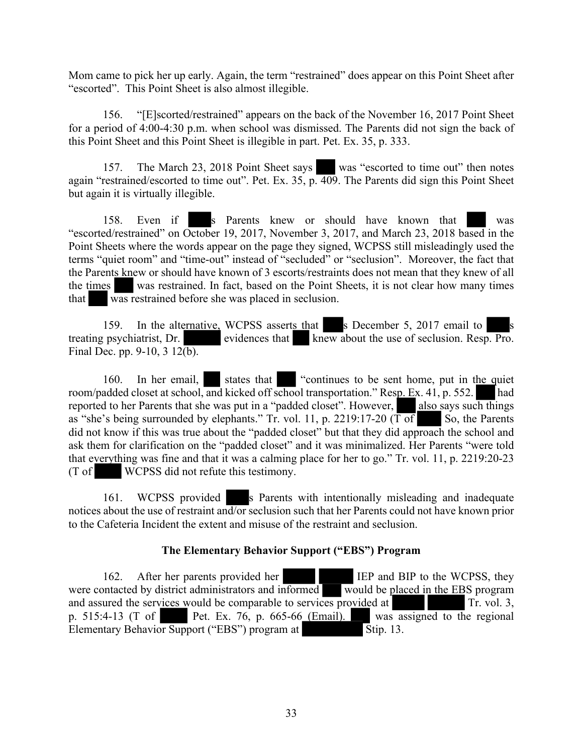Mom came to pick her up early. Again, the term "restrained" does appear on this Point Sheet after "escorted". This Point Sheet is also almost illegible.

156. "[E]scorted/restrained" appears on the back of the November 16, 2017 Point Sheet for a period of 4:00-4:30 p.m. when school was dismissed. The Parents did not sign the back of this Point Sheet and this Point Sheet is illegible in part. Pet. Ex. 35, p. 333.

157. The March 23, 2018 Point Sheet says was "escorted to time out" then notes again "restrained/escorted to time out". Pet. Ex. 35, p. 409. The Parents did sign this Point Sheet but again it is virtually illegible.

158. Even if s Parents knew or should have known that was "escorted/restrained" on October 19, 2017, November 3, 2017, and March 23, 2018 based in the Point Sheets where the words appear on the page they signed, WCPSS still misleadingly used the terms "quiet room" and "time-out" instead of "secluded" or "seclusion". Moreover, the fact that the Parents knew or should have known of 3 escorts/restraints does not mean that they knew of all the times was restrained. In fact, based on the Point Sheets, it is not clear how many times that was restrained before she was placed in seclusion.

159. In the alternative, WCPSS asserts that s December 5, 2017 email to treating psychiatrist, Dr. evidences that knew about the use of seclusion. Resp. Pro. Final Dec. pp. 9-10,  $3 \frac{12(b)}{b}$ .

160. In her email, states that "continues to be sent home, put in the quiet room/padded closet at school, and kicked off school transportation." Resp. Ex. 41, p. 552. had reported to her Parents that she was put in a "padded closet". However, also says such things as "she's being surrounded by elephants." Tr. vol. 11, p. 2219:17-20 ( $\overline{T \text{ of }}$  So, the Parents did not know if this was true about the "padded closet" but that they did approach the school and ask them for clarification on the "padded closet" and it was minimalized. Her Parents "were told that everything was fine and that it was a calming place for her to go." Tr. vol. 11, p. 2219:20-23 (T of WCPSS did not refute this testimony.

161. WCPSS provided s Parents with intentionally misleading and inadequate notices about the use of restraint and/or seclusion such that her Parents could not have known prior to the Cafeteria Incident the extent and misuse of the restraint and seclusion.

# **The Elementary Behavior Support ("EBS") Program**

162. After her parents provided her IEP and BIP to the WCPSS, they were contacted by district administrators and informed would be placed in the EBS program and assured the services would be comparable to services provided at  $\Gamma$ r. vol. 3, p. 515:4-13 (T of Pet. Ex. 76, p. 665-66 (Email). was assigned to the regional Elementary Behavior Support ("EBS") program at Stip. 13.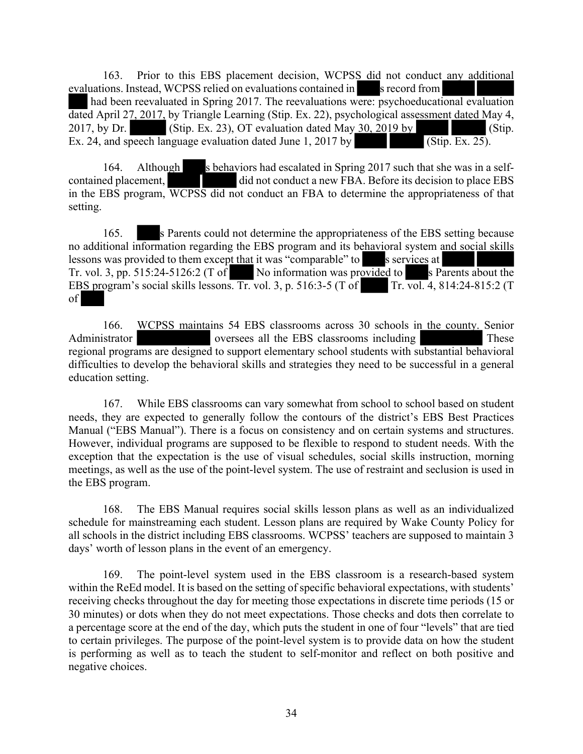163. Prior to this EBS placement decision, WCPSS did not conduct any additional evaluations. Instead, WCPSS relied on evaluations contained in s record from had been reevaluated in Spring 2017. The reevaluations were: psychoeducational evaluation dated April 27, 2017, by Triangle Learning (Stip. Ex. 22), psychological assessment dated May 4, 2017, by Dr. (Stip. Ex. 23), OT evaluation dated May 30, 2019 by (Stip. Ex. 24, and speech language evaluation dated June 1, 2017 by (Stip. Ex. 25).

164. Although s behaviors had escalated in Spring 2017 such that she was in a selfcontained placement, did not conduct a new FBA. Before its decision to place EBS in the EBS program, WCPSS did not conduct an FBA to determine the appropriateness of that setting.

165. s Parents could not determine the appropriateness of the EBS setting because no additional information regarding the EBS program and its behavioral system and social skills lessons was provided to them except that it was "comparable" to s services at Tr. vol. 3, pp. 515:24-5126:2 (T of No information was provided to s Parents about the EBS program's social skills lessons. Tr. vol. 3, p. 516:3-5 (T of Tr. vol. 4, 814:24-815:2 (T of

166. WCPSS maintains 54 EBS classrooms across 30 schools in the county. Senior Administrator oversees all the EBS classrooms including These regional programs are designed to support elementary school students with substantial behavioral difficulties to develop the behavioral skills and strategies they need to be successful in a general education setting.

167. While EBS classrooms can vary somewhat from school to school based on student needs, they are expected to generally follow the contours of the district's EBS Best Practices Manual ("EBS Manual"). There is a focus on consistency and on certain systems and structures. However, individual programs are supposed to be flexible to respond to student needs. With the exception that the expectation is the use of visual schedules, social skills instruction, morning meetings, as well as the use of the point-level system. The use of restraint and seclusion is used in the EBS program.

168. The EBS Manual requires social skills lesson plans as well as an individualized schedule for mainstreaming each student. Lesson plans are required by Wake County Policy for all schools in the district including EBS classrooms. WCPSS' teachers are supposed to maintain 3 days' worth of lesson plans in the event of an emergency.

169. The point-level system used in the EBS classroom is a research-based system within the ReEd model. It is based on the setting of specific behavioral expectations, with students' receiving checks throughout the day for meeting those expectations in discrete time periods (15 or 30 minutes) or dots when they do not meet expectations. Those checks and dots then correlate to a percentage score at the end of the day, which puts the student in one of four "levels" that are tied to certain privileges. The purpose of the point-level system is to provide data on how the student is performing as well as to teach the student to self-monitor and reflect on both positive and negative choices.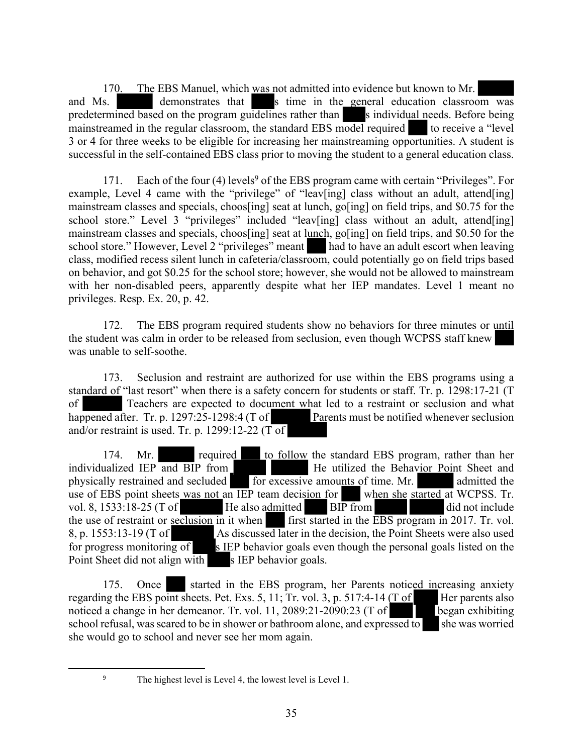170. The EBS Manuel, which was not admitted into evidence but known to Mr. and Ms. demonstrates that s time in the general education classroom was predetermined based on the program guidelines rather than s individual needs. Before being mainstreamed in the regular classroom, the standard EBS model required to receive a "level" 3 or 4 for three weeks to be eligible for increasing her mainstreaming opportunities. A student is successful in the self-contained EBS class prior to moving the student to a general education class.

171. Each of the four (4) levels<sup>9</sup> of the EBS program came with certain "Privileges". For example, Level 4 came with the "privilege" of "leav[ing] class without an adult, attend[ing] mainstream classes and specials, choos[ing] seat at lunch, go[ing] on field trips, and \$0.75 for the school store." Level 3 "privileges" included "leav[ing] class without an adult, attend[ing] mainstream classes and specials, choos[ing] seat at lunch, go[ing] on field trips, and \$0.50 for the school store." However, Level 2 "privileges" meant had to have an adult escort when leaving class, modified recess silent lunch in cafeteria/classroom, could potentially go on field trips based on behavior, and got \$0.25 for the school store; however, she would not be allowed to mainstream with her non-disabled peers, apparently despite what her IEP mandates. Level 1 meant no privileges. Resp. Ex. 20, p. 42.

172. The EBS program required students show no behaviors for three minutes or until the student was calm in order to be released from seclusion, even though WCPSS staff knew was unable to self-soothe.

173. Seclusion and restraint are authorized for use within the EBS programs using a standard of "last resort" when there is a safety concern for students or staff. Tr. p. 1298:17-21 (T of Teachers are expected to document what led to a restraint or seclusion and what happened after. Tr. p. 1297:25-1298:4 (T of Parents must be notified whenever seclusion Parents must be notified whenever seclusion and/or restraint is used. Tr. p. 1299:12-22 ( $\overline{T}$  of

174. Mr. required to follow the standard EBS program, rather than her individualized IEP and BIP from He utilized the Behavior Point Sheet and physically restrained and secluded for excessive amounts of time. Mr. admitted the use of EBS point sheets was not an IEP team decision for when she started at WCPSS. Tr. vol. 8, 1533:18-25 (T of He also admitted BIP from did not include the use of restraint or seclusion in it when  $\frac{1}{\pi}$  first started in the EBS program in 2017. Tr. vol. 8, p. 1553:13-19 (T of As discussed later in the decision, the Point Sheets were also used for progress monitoring of s IEP behavior goals even though the personal goals listed on the Point Sheet did not align with s IEP behavior goals.

175. Once started in the EBS program, her Parents noticed increasing anxiety regarding the EBS point sheets. Pet. Exs. 5, 11; Tr. vol. 3, p. 517:4-14 ( $T \text{ of}$  Her parents also noticed a change in her demeanor. Tr. vol. 11, 2089:21-2090:23 (T of began exhibiting school refusal, was scared to be in shower or bathroom alone, and expressed to she was worried she would go to school and never see her mom again.

<sup>9</sup> The highest level is Level 4, the lowest level is Level 1.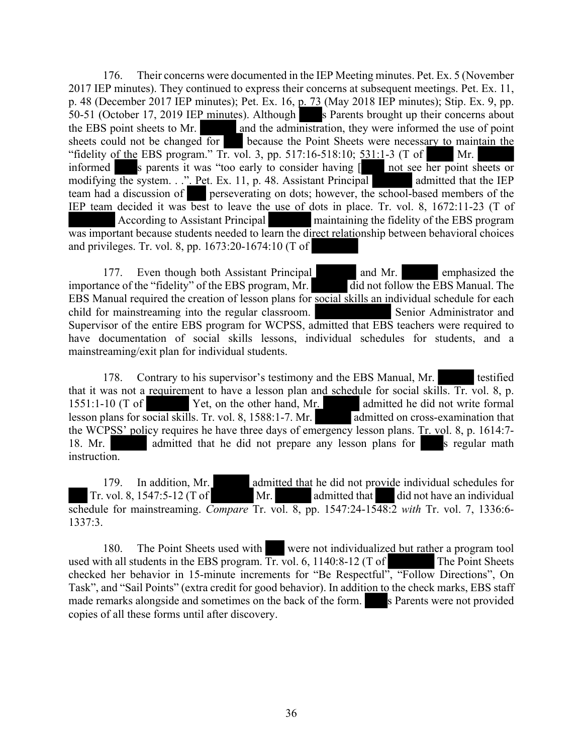176. Their concerns were documented in the IEP Meeting minutes. Pet. Ex. 5 (November 2017 IEP minutes). They continued to express their concerns at subsequent meetings. Pet. Ex. 11, p. 48 (December 2017 IEP minutes); Pet. Ex. 16, p. 73 (May 2018 IEP minutes); Stip. Ex. 9, pp. 50-51 (October 17, 2019 IEP minutes). Although s Parents brought up their concerns about the EBS point sheets to Mr. and the administration, they were informed the use of point sheets could not be changed for because the Point Sheets were necessary to maintain the "fidelity of the EBS program." Tr. vol. 3, pp. 517:16-518:10; 531:1-3 (T of Mr. informed s parents it was "too early to consider having [ not see her point sheets or modifying the system. . ." Pet. Ex. 11, p. 48. Assistant Principal admitted that the IEP team had a discussion of perseverating on dots; however, the school-based members of the IEP team decided it was best to leave the use of dots in place. Tr. vol. 8, 1672:11-23 (T of According to Assistant Principal maintaining the fidelity of the EBS program was important because students needed to learn the direct relationship between behavioral choices and privileges. Tr. vol. 8, pp. 1673:20-1674:10 (T of

177. Even though both Assistant Principal and Mr. emphasized the importance of the "fidelity" of the EBS program, Mr. did not follow the EBS Manual. The EBS Manual required the creation of lesson plans for social skills an individual schedule for each child for mainstreaming into the regular classroom. Senior Administrator and Supervisor of the entire EBS program for WCPSS, admitted that EBS teachers were required to have documentation of social skills lessons, individual schedules for students, and a mainstreaming/exit plan for individual students.

178. Contrary to his supervisor's testimony and the EBS Manual, Mr. testified that it was not a requirement to have a lesson plan and schedule for social skills. Tr. vol. 8, p.  $1551:1-10$  (T of Yet, on the other hand, Mr. admitted he did not write formal lesson plans for social skills. Tr. vol. 8, 1588:1-7. Mr. admitted on cross-examination that the WCPSS' policy requires he have three days of emergency lesson plans. Tr. vol. 8, p. 1614:7- 18. Mr. admitted that he did not prepare any lesson plans for s regular math instruction.

179. In addition, Mr. admitted that he did not provide individual schedules for Tr. vol. 8, 1547:5-12 (T of Mr. admitted that did not have an individual schedule for mainstreaming. *Compare* Tr. vol. 8, pp. 1547:24-1548:2 *with* Tr. vol. 7, 1336:6- 1337:3.

180. The Point Sheets used with were not individualized but rather a program tool used with all students in the EBS program.  $\overline{\text{Tr}}$  vol. 6, 1140:8-12 (T of The Point Sheets checked her behavior in 15-minute increments for "Be Respectful", "Follow Directions", On Task", and "Sail Points" (extra credit for good behavior). In addition to the check marks, EBS staff made remarks alongside and sometimes on the back of the form. Separates were not provided copies of all these forms until after discovery.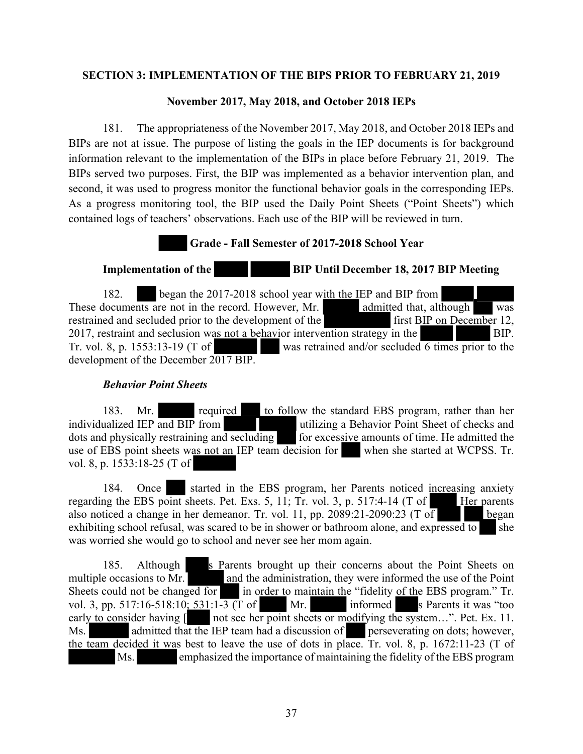### **SECTION 3: IMPLEMENTATION OF THE BIPS PRIOR TO FEBRUARY 21, 2019**

### **November 2017, May 2018, and October 2018 IEPs**

181. The appropriateness of the November 2017, May 2018, and October 2018 IEPs and BIPs are not at issue. The purpose of listing the goals in the IEP documents is for background information relevant to the implementation of the BIPs in place before February 21, 2019. The BIPs served two purposes. First, the BIP was implemented as a behavior intervention plan, and second, it was used to progress monitor the functional behavior goals in the corresponding IEPs. As a progress monitoring tool, the BIP used the Daily Point Sheets ("Point Sheets") which contained logs of teachers' observations. Each use of the BIP will be reviewed in turn.

### **Grade - Fall Semester of 2017-2018 School Year**

**Implementation of the BIP Until December 18, 2017 BIP Meeting** 

182. began the 2017-2018 school year with the IEP and BIP from These documents are not in the record. However, Mr. admitted that, although was restrained and secluded prior to the development of the first BIP on December 12, 2017, restraint and seclusion was not a behavior intervention strategy in the BIP. Tr. vol. 8, p. 1553:13-19 (T of was retrained and/or secluded 6 times prior to the development of the December 2017 BIP.

# *Behavior Point Sheets*

183. Mr. required to follow the standard EBS program, rather than her individualized IEP and BIP from utilizing a Behavior Point Sheet of checks and dots and physically restraining and secluding for excessive amounts of time. He admitted the for excessive amounts of time. He admitted the use of EBS point sheets was not an IEP team decision for when she started at WCPSS. Tr. vol. 8, p. 1533:18-25 (T of

184. Once started in the EBS program, her Parents noticed increasing anxiety regarding the EBS point sheets. Pet. Exs. 5, 11; Tr. vol. 3, p. 517:4-14 (T of Her parents also noticed a change in her demeanor. Tr. vol. 11, pp. 2089:21-2090:23 (T of began exhibiting school refusal, was scared to be in shower or bathroom alone, and expressed to she was worried she would go to school and never see her mom again.

185. Although s Parents brought up their concerns about the Point Sheets on multiple occasions to Mr. and the administration, they were informed the use of the Point Sheets could not be changed for in order to maintain the "fidelity of the EBS program." Tr. vol. 3, pp. 517:16-518:10;  $531:1-\overline{3}$  (T of Mr. informed s Parents it was "too early to consider having  $\lceil \cdot \rceil$  not see her point sheets or modifying the system...". Pet. Ex. 11. not see her point sheets or modifying the system…". Pet. Ex. 11. Ms. admitted that the IEP team had a discussion of perseverating on dots; however, the team decided it was best to leave the use of dots in place. Tr. vol. 8, p. 1672:11-23 (T of Ms. emphasized the importance of maintaining the fidelity of the EBS program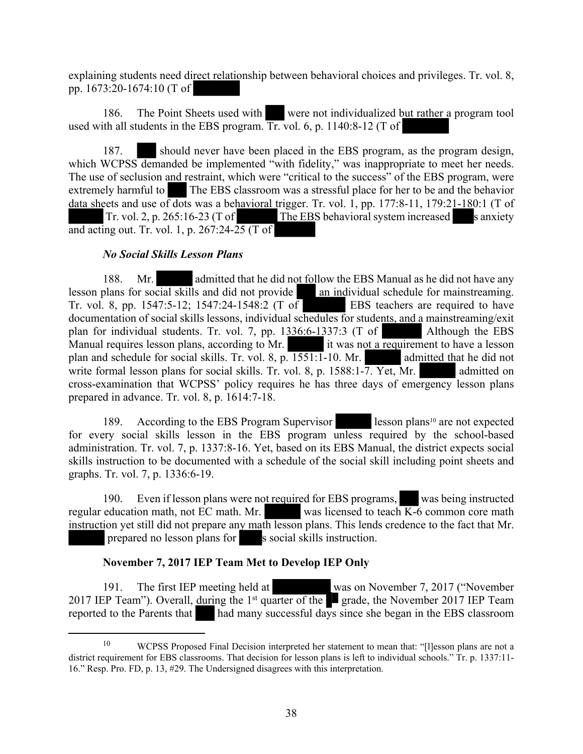explaining students need direct relationship between behavioral choices and privileges. Tr. vol. 8, pp. 1673:20-1674:10 (T of

186. The Point Sheets used with were not individualized but rather a program tool used with all students in the EBS program. Tr. vol. 6, p. 1140:8-12 (T of

187. should never have been placed in the EBS program, as the program design, which WCPSS demanded be implemented "with fidelity," was inappropriate to meet her needs. The use of seclusion and restraint, which were "critical to the success" of the EBS program, were extremely harmful to The EBS classroom was a stressful place for her to be and the behavior data sheets and use of dots was a behavioral trigger. Tr. vol. 1, pp. 177:8-11, 179:21-180:1 (T of Tr. vol. 2, p. 265:16-23 (T of The EBS behavioral system increased s anxiety and acting out. Tr. vol. 1, p.  $267:24-25$  (T of

# *No Social Skills Lesson Plans*

188. Mr. admitted that he did not follow the EBS Manual as he did not have any lesson plans for social skills and did not provide an individual schedule for mainstreaming. Tr. vol. 8, pp. 1547:5-12; 1547:24-1548:2 (T of EBS teachers are required to have documentation of social skills lessons, individual schedules for students, and a mainstreaming/exit plan for individual students. Tr. vol. 7, pp. 1336:6-1337:3 (T of Although the EBS Manual requires lesson plans, according to Mr. it was not a requirement to have a lesson plan and schedule for social skills. Tr. vol. 8, p. 1551:1-10. Mr. admitted that he did not write formal lesson plans for social skills. Tr. vol. 8, p. 1588:1-7. Yet, Mr. admitted on cross-examination that WCPSS' policy requires he has three days of emergency lesson plans prepared in advance. Tr. vol. 8, p. 1614:7-18.

189. According to the EBS Program Supervisor lesson plans<sup>10</sup> are not expected for every social skills lesson in the EBS program unless required by the school-based administration. Tr. vol. 7, p. 1337:8-16. Yet, based on its EBS Manual, the district expects social skills instruction to be documented with a schedule of the social skill including point sheets and graphs. Tr. vol. 7, p. 1336:6-19.

190. Even if lesson plans were not required for EBS programs, was being instructed regular education math, not EC math. Mr. was licensed to teach K-6 common core math instruction yet still did not prepare any math lesson plans. This lends credence to the fact that Mr. prepared no lesson plans for s social skills instruction.

# **November 7, 2017 IEP Team Met to Develop IEP Only**

191. The first IEP meeting held at was on November 7, 2017 ("November 2017 IEP Team"). Overall, during the 1<sup>st</sup> quarter of the **g** grade, the November 2017 IEP Team reported to the Parents that had many successful days since she began in the EBS classroom

<sup>10</sup> WCPSS Proposed Final Decision interpreted her statement to mean that: "[l]esson plans are not a district requirement for EBS classrooms. That decision for lesson plans is left to individual schools." Tr. p. 1337:11-16." Resp. Pro. FD, p. 13, #29. The Undersigned disagrees with this interpretation.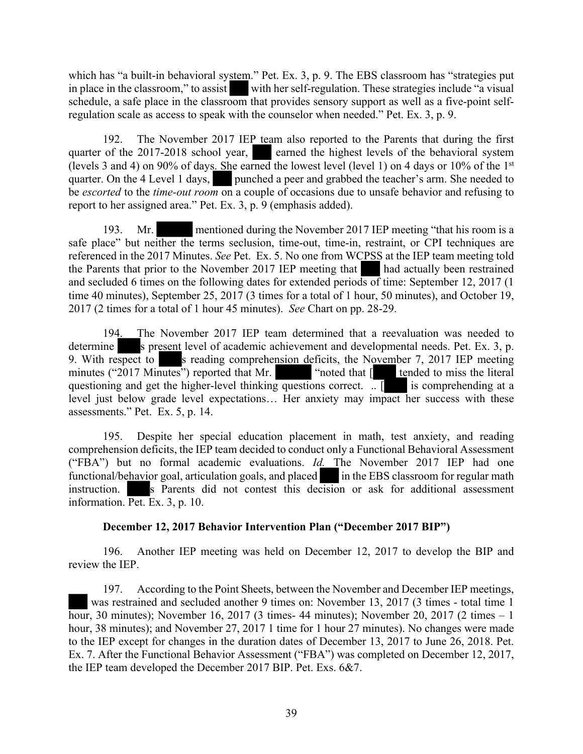which has "a built-in behavioral system." Pet. Ex. 3, p. 9. The EBS classroom has "strategies put in place in the classroom," to assist with her self-regulation. These strategies include "a visual schedule, a safe place in the classroom that provides sensory support as well as a five-point selfregulation scale as access to speak with the counselor when needed." Pet. Ex. 3, p. 9.

192. The November 2017 IEP team also reported to the Parents that during the first quarter of the 2017-2018 school year, earned the highest levels of the behavioral system (levels 3 and 4) on 90% of days. She earned the lowest level (level 1) on 4 days or 10% of the 1 st quarter. On the 4 Level 1 days, punched a peer and grabbed the teacher's arm. She needed to be *escorted* to the *time-out room* on a couple of occasions due to unsafe behavior and refusing to report to her assigned area." Pet. Ex. 3, p. 9 (emphasis added).

193. Mr. mentioned during the November 2017 IEP meeting "that his room is a safe place" but neither the terms seclusion, time-out, time-in, restraint, or CPI techniques are referenced in the 2017 Minutes. *See* Pet. Ex. 5. No one from WCPSS at the IEP team meeting told the Parents that prior to the November 2017 IEP meeting that had actually been restrained and secluded 6 times on the following dates for extended periods of time: September 12, 2017 (1 time 40 minutes), September 25, 2017 (3 times for a total of 1 hour, 50 minutes), and October 19, 2017 (2 times for a total of 1 hour 45 minutes). *See* Chart on pp. 28-29.

194. The November 2017 IEP team determined that a reevaluation was needed to determine s present level of academic achievement and developmental needs. Pet. Ex. 3, p. 9. With respect to s reading comprehension deficits, the November 7, 2017 IEP meeting minutes ("2017 Minutes") reported that  $Mr.$  ("noted that  $\sqrt{r}$ " tended to miss the literal "noted that  $\lceil \cdot \rceil$  tended to miss the literal questioning and get the higher-level thinking questions correct.  $\boxed{\phantom{a}}$  is comprehending at a level just below grade level expectations… Her anxiety may impact her success with these assessments." Pet. Ex. 5, p. 14.

195. Despite her special education placement in math, test anxiety, and reading comprehension deficits, the IEP team decided to conduct only a Functional Behavioral Assessment ("FBA") but no formal academic evaluations. *Id.* The November 2017 IEP had one functional/behavior goal, articulation goals, and placed in the EBS classroom for regular math instruction. s Parents did not contest this decision or ask for additional assessment information. Pet. Ex. 3, p. 10.

# **December 12, 2017 Behavior Intervention Plan ("December 2017 BIP")**

196. Another IEP meeting was held on December 12, 2017 to develop the BIP and review the IEP.

197. According to the Point Sheets, between the November and December IEP meetings, was restrained and secluded another 9 times on: November 13, 2017 (3 times - total time 1 hour, 30 minutes); November 16, 2017 (3 times- 44 minutes); November 20, 2017 (2 times – 1 hour, 38 minutes); and November 27, 2017 1 time for 1 hour 27 minutes). No changes were made to the IEP except for changes in the duration dates of December 13, 2017 to June 26, 2018. Pet. Ex. 7. After the Functional Behavior Assessment ("FBA") was completed on December 12, 2017, the IEP team developed the December 2017 BIP. Pet. Exs. 6&7.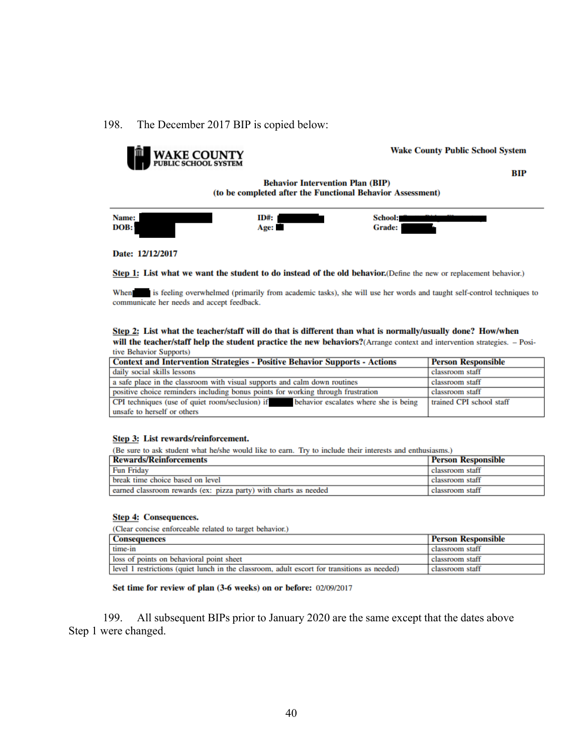### 198. The December 2017 BIP is copied below:



Step 1: List what we want the student to do instead of the old behavior. (Define the new or replacement behavior.)

When is feeling overwhelmed (primarily from academic tasks), she will use her words and taught self-control techniques to communicate her needs and accept feedback.

#### Step 2: List what the teacher/staff will do that is different than what is normally/usually done? How/when will the teacher/staff help the student practice the new behaviors?(Arrange context and intervention strategies. - Positive Behavior Supports)

| $\mathbf{u}$ respectively to the support of                                           |                           |  |
|---------------------------------------------------------------------------------------|---------------------------|--|
| <b>Context and Intervention Strategies - Positive Behavior Supports - Actions</b>     | <b>Person Responsible</b> |  |
| daily social skills lessons                                                           | classroom staff           |  |
| a safe place in the classroom with visual supports and calm down routines             | classroom staff           |  |
| positive choice reminders including bonus points for working through frustration      | classroom staff           |  |
| CPI techniques (use of quiet room/seclusion) if behavior escalates where she is being | trained CPI school staff  |  |
| unsafe to herself or others                                                           |                           |  |

#### Step 3: List rewards/reinforcement.

(Be sure to ask student what he/she would like to earn. Try to include their interests and enthusiasms.)

| <b>Rewards/Reinforcements</b>                                    | <b>Person Responsible</b> |
|------------------------------------------------------------------|---------------------------|
| <b>Fun Friday</b>                                                | classroom staff           |
| break time choice based on level                                 | classroom staff           |
| earned classroom rewards (ex: pizza party) with charts as needed | classroom staff           |

#### Step 4: Consequences.

(Clear concise enforceable related to target behavior.)

| <b>Consequences</b>                                                                         | <b>Person Responsible</b> |
|---------------------------------------------------------------------------------------------|---------------------------|
| time-in                                                                                     | classroom staff           |
| loss of points on behavioral point sheet                                                    | classroom staff           |
| level 1 restrictions (quiet lunch in the classroom, adult escort for transitions as needed) | classroom staff           |

Set time for review of plan (3-6 weeks) on or before: 02/09/2017

199. All subsequent BIPs prior to January 2020 are the same except that the dates above Step 1 were changed.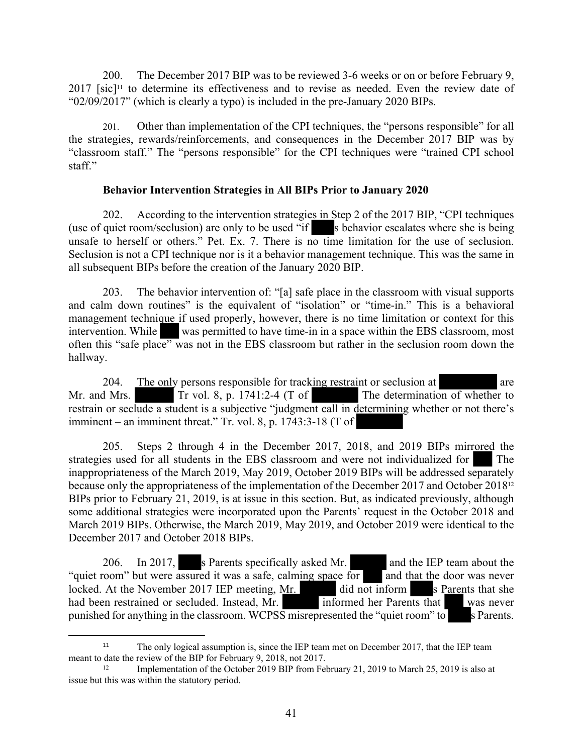200. The December 2017 BIP was to be reviewed 3-6 weeks or on or before February 9,  $2017$  [sic]<sup>11</sup> to determine its effectiveness and to revise as needed. Even the review date of "02/09/2017" (which is clearly a typo) is included in the pre-January 2020 BIPs.

201. Other than implementation of the CPI techniques, the "persons responsible" for all the strategies, rewards/reinforcements, and consequences in the December 2017 BIP was by "classroom staff." The "persons responsible" for the CPI techniques were "trained CPI school staff."

### **Behavior Intervention Strategies in All BIPs Prior to January 2020**

202. According to the intervention strategies in Step 2 of the 2017 BIP, "CPI techniques (use of quiet room/seclusion) are only to be used "if  $\blacksquare$  s behavior escalates where she is being unsafe to herself or others." Pet. Ex. 7. There is no time limitation for the use of seclusion. Seclusion is not a CPI technique nor is it a behavior management technique. This was the same in all subsequent BIPs before the creation of the January 2020 BIP.

203. The behavior intervention of: "[a] safe place in the classroom with visual supports and calm down routines" is the equivalent of "isolation" or "time-in." This is a behavioral management technique if used properly, however, there is no time limitation or context for this intervention. While was permitted to have time-in in a space within the EBS classroom, most often this "safe place" was not in the EBS classroom but rather in the seclusion room down the hallway.

204. The only persons responsible for tracking restraint or seclusion at are are Mr. and Mrs. Tr vol. 8, p. 1741:2-4 (T of The determination of whether to restrain or seclude a student is a subjective "judgment call in determining whether or not there's imminent – an imminent threat." Tr. vol. 8, p. 1743:3-18 (T of

205. Steps 2 through 4 in the December 2017, 2018, and 2019 BIPs mirrored the strategies used for all students in the EBS classroom and were not individualized for The inappropriateness of the March 2019, May 2019, October 2019 BIPs will be addressed separately because only the appropriateness of the implementation of the December 2017 and October 2018<sup>12</sup> BIPs prior to February 21, 2019, is at issue in this section. But, as indicated previously, although some additional strategies were incorporated upon the Parents' request in the October 2018 and March 2019 BIPs. Otherwise, the March 2019, May 2019, and October 2019 were identical to the December 2017 and October 2018 BIPs.

206. In 2017, s Parents specifically asked Mr. and the IEP team about the "quiet room" but were assured it was a safe, calming space for and that the door was never locked. At the November 2017 IEP meeting, Mr. did not inform s Parents that she had been restrained or secluded. Instead, Mr. informed her Parents that was never punished for anything in the classroom. WCPSS misrepresented the "quiet room" to s Parents.

<sup>&</sup>lt;sup>11</sup> The only logical assumption is, since the IEP team met on December 2017, that the IEP team meant to date the review of the BIP for February 9, 2018, not 2017.

<sup>&</sup>lt;sup>12</sup> Implementation of the October 2019 BIP from February 21, 2019 to March 25, 2019 is also at issue but this was within the statutory period.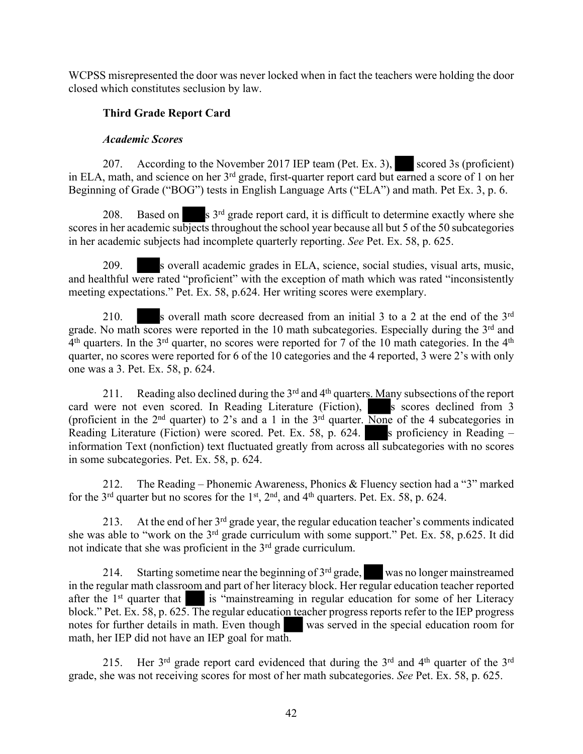WCPSS misrepresented the door was never locked when in fact the teachers were holding the door closed which constitutes seclusion by law.

# **Third Grade Report Card**

### *Academic Scores*

207. According to the November 2017 IEP team (Pet. Ex. 3), scored 3s (proficient) in ELA, math, and science on her 3<sup>rd</sup> grade, first-quarter report card but earned a score of 1 on her Beginning of Grade ("BOG") tests in English Language Arts ("ELA") and math. Pet Ex. 3, p. 6.

208. Based on  $\mathbf{s}$  3<sup>rd</sup> grade report card, it is difficult to determine exactly where she scores in her academic subjects throughout the school year because all but 5 of the 50 subcategories in her academic subjects had incomplete quarterly reporting. *See* Pet. Ex. 58, p. 625.

209. s overall academic grades in ELA, science, social studies, visual arts, music, and healthful were rated "proficient" with the exception of math which was rated "inconsistently meeting expectations." Pet. Ex. 58, p.624. Her writing scores were exemplary.

210. S overall math score decreased from an initial 3 to a 2 at the end of the 3<sup>rd</sup> grade. No math scores were reported in the 10 math subcategories. Especially during the  $3<sup>rd</sup>$  and  $4<sup>th</sup>$  quarters. In the 3<sup>rd</sup> quarter, no scores were reported for 7 of the 10 math categories. In the  $4<sup>th</sup>$ quarter, no scores were reported for 6 of the 10 categories and the 4 reported, 3 were 2's with only one was a 3. Pet. Ex. 58, p. 624.

211. Reading also declined during the 3<sup>rd</sup> and 4<sup>th</sup> quarters. Many subsections of the report card were not even scored. In Reading Literature (Fiction), s scores declined from 3 (proficient in the  $2<sup>nd</sup>$  quarter) to 2's and a 1 in the  $3<sup>rd</sup>$  quarter. None of the 4 subcategories in Reading Literature (Fiction) were scored. Pet. Ex. 58, p. 624. S proficiency in Reading – information Text (nonfiction) text fluctuated greatly from across all subcategories with no scores in some subcategories. Pet. Ex. 58, p. 624.

212. The Reading – Phonemic Awareness, Phonics & Fluency section had a "3" marked for the  $3<sup>rd</sup>$  quarter but no scores for the  $1<sup>st</sup>$ ,  $2<sup>nd</sup>$ , and  $4<sup>th</sup>$  quarters. Pet. Ex. 58, p. 624.

213. At the end of her 3<sup>rd</sup> grade year, the regular education teacher's comments indicated she was able to "work on the 3<sup>rd</sup> grade curriculum with some support." Pet. Ex. 58, p.625. It did not indicate that she was proficient in the 3rd grade curriculum.

214. Starting sometime near the beginning of 3<sup>rd</sup> grade, was no longer mainstreamed in the regular math classroom and part of her literacy block. Her regular education teacher reported after the 1<sup>st</sup> quarter that is "mainstreaming in regular education for some of her Literacy block." Pet. Ex. 58, p. 625. The regular education teacher progress reports refer to the IEP progress notes for further details in math. Even though was served in the special education room for math, her IEP did not have an IEP goal for math.

215. Her 3<sup>rd</sup> grade report card evidenced that during the 3<sup>rd</sup> and 4<sup>th</sup> quarter of the 3<sup>rd</sup> grade, she was not receiving scores for most of her math subcategories. *See* Pet. Ex. 58, p. 625.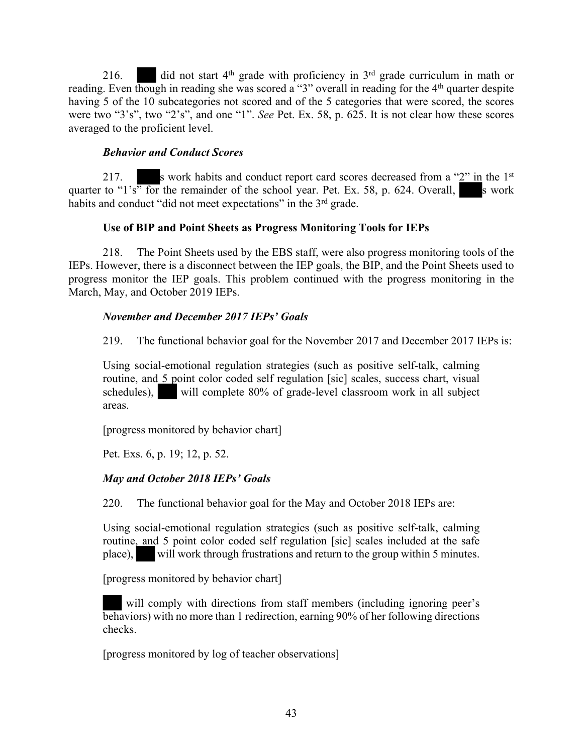216. did not start  $4<sup>th</sup>$  grade with proficiency in  $3<sup>rd</sup>$  grade curriculum in math or reading. Even though in reading she was scored a "3" overall in reading for the 4<sup>th</sup> quarter despite having 5 of the 10 subcategories not scored and of the 5 categories that were scored, the scores were two "3's", two "2's", and one "1". *See* Pet. Ex. 58, p. 625. It is not clear how these scores averaged to the proficient level.

### *Behavior and Conduct Scores*

217. s work habits and conduct report card scores decreased from a " $2$ " in the 1<sup>st</sup> quarter to "1's" for the remainder of the school year. Pet. Ex. 58, p. 624. Overall, s work habits and conduct "did not meet expectations" in the 3<sup>rd</sup> grade.

### **Use of BIP and Point Sheets as Progress Monitoring Tools for IEPs**

218. The Point Sheets used by the EBS staff, were also progress monitoring tools of the IEPs. However, there is a disconnect between the IEP goals, the BIP, and the Point Sheets used to progress monitor the IEP goals. This problem continued with the progress monitoring in the March, May, and October 2019 IEPs.

### *November and December 2017 IEPs' Goals*

219. The functional behavior goal for the November 2017 and December 2017 IEPs is:

Using social-emotional regulation strategies (such as positive self-talk, calming routine, and 5 point color coded self regulation [sic] scales, success chart, visual schedules), will complete 80% of grade-level classroom work in all subject areas.

[progress monitored by behavior chart]

Pet. Exs. 6, p. 19; 12, p. 52.

# *May and October 2018 IEPs' Goals*

220. The functional behavior goal for the May and October 2018 IEPs are:

Using social-emotional regulation strategies (such as positive self-talk, calming routine, and 5 point color coded self regulation [sic] scales included at the safe place), will work through frustrations and return to the group within 5 minutes.

[progress monitored by behavior chart]

will comply with directions from staff members (including ignoring peer's behaviors) with no more than 1 redirection, earning 90% of her following directions checks.

[progress monitored by log of teacher observations]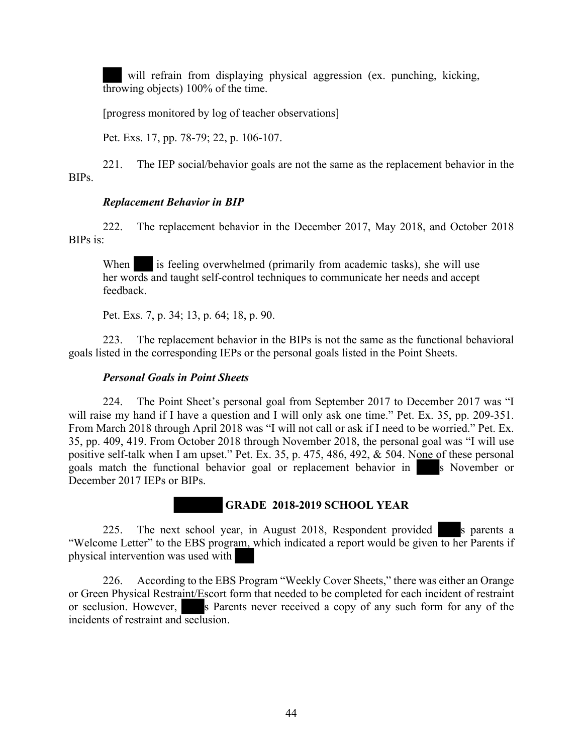will refrain from displaying physical aggression (ex. punching, kicking, throwing objects) 100% of the time.

[progress monitored by log of teacher observations]

Pet. Exs. 17, pp. 78-79; 22, p. 106-107.

221. The IEP social/behavior goals are not the same as the replacement behavior in the BIPs.

# *Replacement Behavior in BIP*

222. The replacement behavior in the December 2017, May 2018, and October 2018 BIPs is:

When is feeling overwhelmed (primarily from academic tasks), she will use her words and taught self-control techniques to communicate her needs and accept feedback.

Pet. Exs. 7, p. 34; 13, p. 64; 18, p. 90.

223. The replacement behavior in the BIPs is not the same as the functional behavioral goals listed in the corresponding IEPs or the personal goals listed in the Point Sheets.

### *Personal Goals in Point Sheets*

224. The Point Sheet's personal goal from September 2017 to December 2017 was "I will raise my hand if I have a question and I will only ask one time." Pet. Ex. 35, pp. 209-351. From March 2018 through April 2018 was "I will not call or ask if I need to be worried." Pet. Ex. 35, pp. 409, 419. From October 2018 through November 2018, the personal goal was "I will use positive self-talk when I am upset." Pet. Ex. 35, p. 475, 486, 492, & 504. None of these personal goals match the functional behavior goal or replacement behavior in s November or December 2017 IEPs or BIPs.

225. The next school year, in August 2018, Respondent provided s parents a "Welcome Letter" to the EBS program, which indicated a report would be given to her Parents if physical intervention was used with

 **GRADE 2018-2019 SCHOOL YEAR**

226. According to the EBS Program "Weekly Cover Sheets," there was either an Orange or Green Physical Restraint/Escort form that needed to be completed for each incident of restraint or seclusion. However, s Parents never received a copy of any such form for any of the incidents of restraint and seclusion.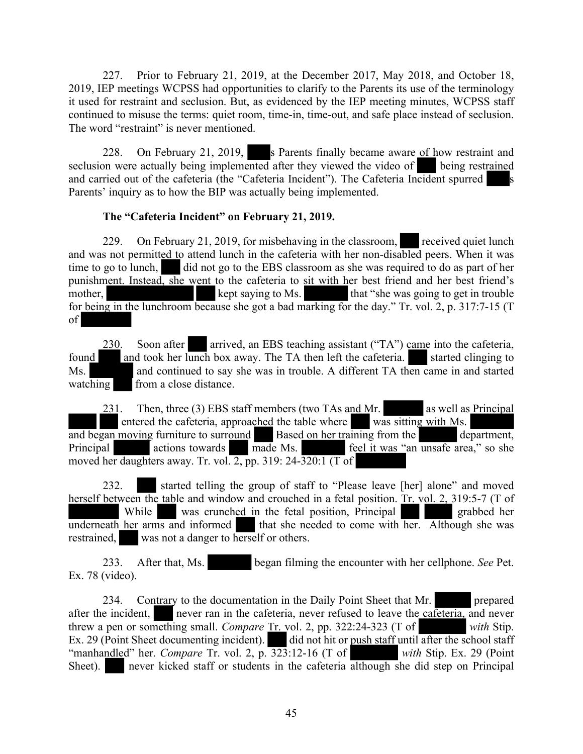227. Prior to February 21, 2019, at the December 2017, May 2018, and October 18, 2019, IEP meetings WCPSS had opportunities to clarify to the Parents its use of the terminology it used for restraint and seclusion. But, as evidenced by the IEP meeting minutes, WCPSS staff continued to misuse the terms: quiet room, time-in, time-out, and safe place instead of seclusion. The word "restraint" is never mentioned.

228. On February 21, 2019, s Parents finally became aware of how restraint and seclusion were actually being implemented after they viewed the video of being restrained and carried out of the cafeteria (the "Cafeteria Incident"). The Cafeteria Incident spurred s Parents' inquiry as to how the BIP was actually being implemented.

# **The "Cafeteria Incident" on February 21, 2019.**

229. On February 21, 2019, for misbehaving in the classroom, received quiet lunch and was not permitted to attend lunch in the cafeteria with her non-disabled peers. When it was time to go to lunch, did not go to the EBS classroom as she was required to do as part of her punishment. Instead, she went to the cafeteria to sit with her best friend and her best friend's mother, kept saying to Ms. that "she was going to get in trouble for being in the lunchroom because she got a bad marking for the day." Tr. vol. 2, p. 317:7-15 (T of

230. Soon after arrived, an EBS teaching assistant ("TA") came into the cafeteria, found and took her lunch box away. The TA then left the cafeteria.  $\blacksquare$  started clinging to Ms. and continued to say she was in trouble. A different TA then came in and started watching from a close distance.

231. Then, three (3) EBS staff members (two TAs and Mr. as well as Principal entered the cafeteria, approached the table where was sitting with Ms. and began moving furniture to surround<br>Principal actions towards made Ms. Finally field it was "an unsafe area," so she Principal actions towards made Ms. feel it was "an unsafe area," so she moved her daughters away. Tr. vol.  $\overline{2}$ , pp. 319: 24- $\overline{320:1}$  (T of

232. started telling the group of staff to "Please leave [her] alone" and moved herself between the table and window and crouched in a fetal position. Tr. vol. 2, 319:5-7 (T of While was crunched in the fetal position, Principal grabbed her underneath her arms and informed that she needed to come with  $\overline{her}$ . Although she was restrained, was not a danger to herself or others.

233. After that, Ms. began filming the encounter with her cellphone. *See* Pet. Ex. 78 (video).

234. Contrary to the documentation in the Daily Point Sheet that Mr. prepared after the incident, never ran in the cafeteria, never refused to leave the cafeteria, and never threw a pen or something small. *Compare* Tr. vol. 2, pp. 322:24-323 (T of *with* Stip. Ex. 29 (Point Sheet documenting incident). did not hit or <u>push staff</u> until after the school staff "manhandled" her. *Compare* Tr. vol. 2, p. 323:12-16 (T of *with* Stip. Ex. 29 (Point Sheet). never kicked staff or students in the cafeteria although she did step on Principal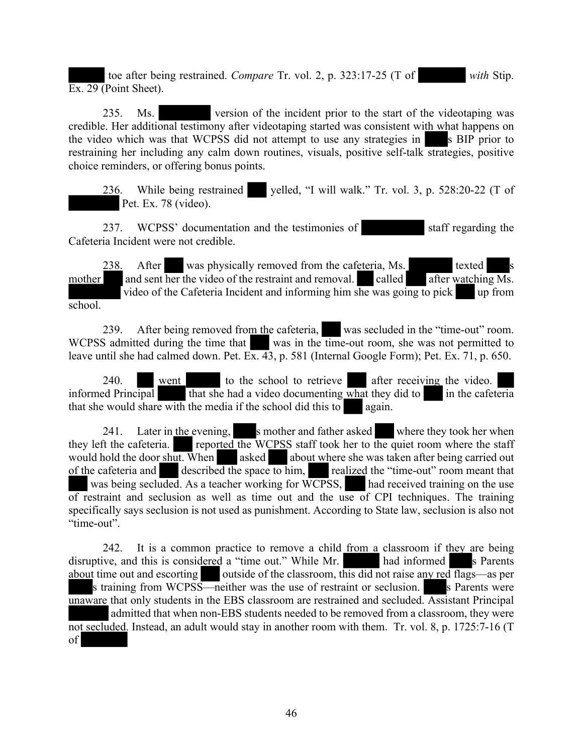toe after being restrained. *Compare* Tr. vol. 2, p. 323:17-25 (T of *with* Stip. Ex. 29 (Point Sheet).

235. Ms. version of the incident prior to the start of the videotaping was credible. Her additional testimony after videotaping started was consistent with what happens on the video which was that WCPSS did not attempt to use any strategies in s BIP prior to restraining her including any calm down routines, visuals, positive self-talk strategies, positive choice reminders, or offering bonus points.

236. While being restrained yelled, "I will walk." Tr. vol. 3, p. 528:20-22 (T of Pet. Ex. 78 (video).

237. WCPSS' documentation and the testimonies of staff regarding the Cafeteria Incident were not credible.

238. After was physically removed from the cafeteria, Ms. texted and sent her the video of the restraint and removal. called after watchin mother and sent her the video of the restraint and removal. called after watching  $\overline{Ms}$ . video of the Cafeteria Incident and informing him she was going to pick up from school.

239. After being removed from the cafeteria, was secluded in the "time-out" room. WCPSS admitted during the time that was in the time-out room, she was not permitted to leave until she had calmed down. Pet. Ex. 43, p. 581 (Internal Google Form); Pet. Ex. 71, p. 650.

240. went to the school to retrieve after receiving the video. informed Principal that she had a video documenting what they did to in the cafeteria that she would share with the media if the school did this to again.

241. Later in the evening, s mother and father asked where they took her when they left the cafeteria. reported the WCPSS staff took her to the quiet room where the staff would hold the door shut. When asked about where she was taken after being carried out of the cafeteria and described the space to him, realized the "time-out" room meant that was being secluded. As a teacher working for WCPSS, had received training on the use of restraint and seclusion as well as time out and the use of CPI techniques. The training specifically says seclusion is not used as punishment. According to State law, seclusion is also not "time-out".

242. It is a common practice to remove a child from a classroom if they are being disruptive, and this is considered a "time out." While Mr. had informed s Parents about time out and escorting outside of the classroom, this did not raise any red flags—as per s training from WCPSS—neither was the use of restraint or seclusion. Secure is Parents were unaware that only students in the EBS classroom are restrained and secluded. Assistant Principal admitted that when non-EBS students needed to be removed from a classroom, they were not secluded. Instead, an adult would stay in another room with them. Tr. vol. 8, p. 1725:7-16 (T of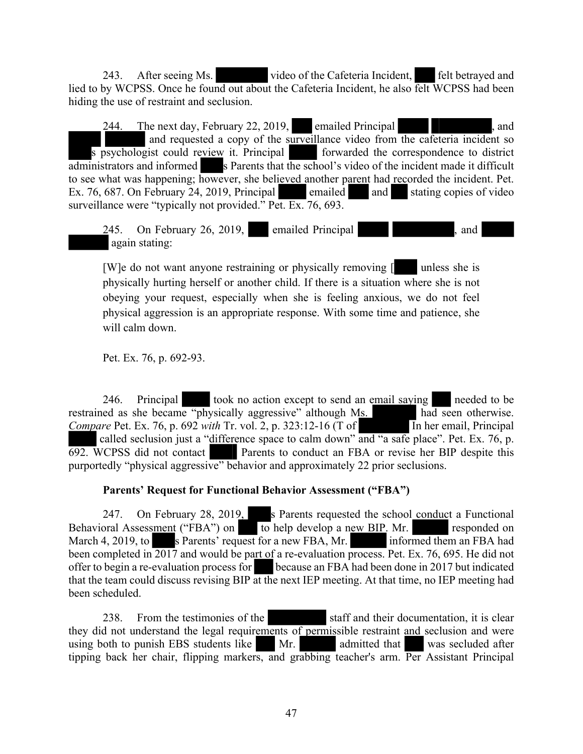243. After seeing Ms. video of the Cafeteria Incident, felt betrayed and lied to by WCPSS. Once he found out about the Cafeteria Incident, he also felt WCPSS had been hiding the use of restraint and seclusion.

244. The next day, February 22, 2019, emailed Principal , and and requested a copy of the surveillance video from the cafeteria incident so s psychologist could review it. Principal forwarded the correspondence to district administrators and informed s Parents that the school's video of the incident made it difficult to see what was happening; however, she believed another parent had recorded the incident. Pet. Ex. 76, 687. On February 24, 2019, Principal emailed and stating copies of video surveillance were "typically not provided." Pet. Ex. 76, 693.

245. On February 26, 2019, emailed Principal , and again stating:

[W]e do not want anyone restraining or physically removing  $\lceil \cdot \cdot \rceil$  unless she is physically hurting herself or another child. If there is a situation where she is not obeying your request, especially when she is feeling anxious, we do not feel physical aggression is an appropriate response. With some time and patience, she will calm down

Pet. Ex. 76, p. 692-93.

246. Principal took no action except to send an email saying needed to be restrained as she became "physically aggressive" although Ms. had seen otherwise. *Compare* Pet. Ex. 76, p. 692 *with* Tr. vol. 2, p. 323:12-16 (T of In her email, Principal called seclusion just a "difference space to calm down" and "a safe place". Pet. Ex. 76, p. 692. WCPSS did not contact Parents to conduct an FBA or revise her BIP despite this purportedly "physical aggressive" behavior and approximately 22 prior seclusions.

# **Parents' Request for Functional Behavior Assessment ("FBA")**

247. On February 28, 2019, s Parents requested the school conduct a Functional Behavioral Assessment ("FBA") on to help develop a new BIP. Mr. responded on March 4, 2019, to s Parents' request for a new FBA, Mr. informed them an FBA had been completed in 2017 and would be part of a re-evaluation process. Pet. Ex. 76, 695. He did not offer to begin a re-evaluation process for because an FBA had been done in 2017 but indicated that the team could discuss revising BIP at the next IEP meeting. At that time, no IEP meeting had been scheduled.

238. From the testimonies of the staff and their documentation, it is clear they did not understand the legal requirements of permissible restraint and seclusion and were using both to punish EBS students like Mr. admitted that was secluded after tipping back her chair, flipping markers, and grabbing teacher's arm. Per Assistant Principal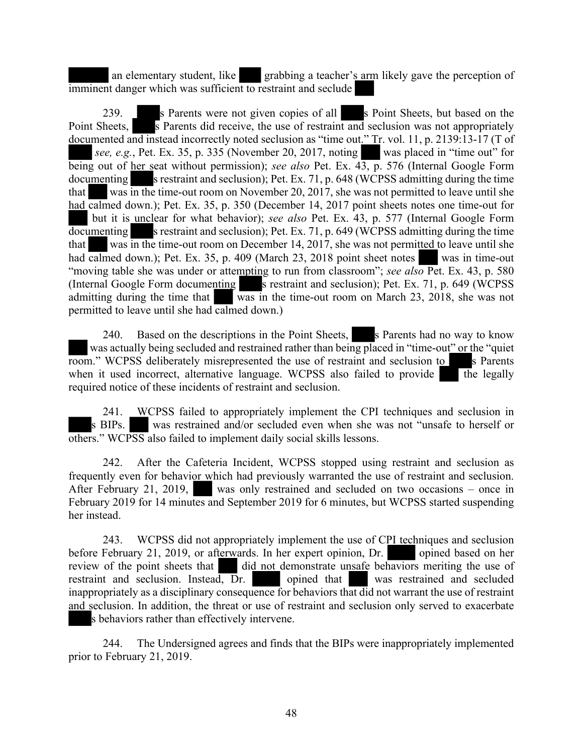an elementary student, like grabbing a teacher's arm likely gave the perception of imminent danger which was sufficient to restraint and seclude

239. S Parents were not given copies of all s Point Sheets, but based on the Point Sheets,  $\overline{\phantom{a}}$  S Parents did receive, the use of restraint and seclusion was not appropriately documented and instead incorrectly noted seclusion as "time out." Tr. vol. 11, p. 2139:13-17 (T of *see, e.g.*, Pet. Ex. 35, p. 335 (November 20, 2017, noting was placed in "time out" for being out of her seat without permission); *see also* Pet. Ex. 43, p. 576 (Internal Google Form  $\alpha$  s restraint and seclusion); Pet. Ex. 71, p. 648 (WCPSS admitting during the time that was in the time-out room on November 20, 2017, she was not permitted to leave until she had calmed down.); Pet. Ex. 35, p. 350 (December 14, 2017 point sheets notes one time-out for but it is unclear for what behavior); *see also* Pet. Ex. 43, p. 577 (Internal Google Form  $\overline{\text{documenting}}$  s restraint and seclusion); Pet. Ex. 71, p. 649 (WCPSS admitting during the time that was in the time-out room on December 14, 2017, she was not permitted to leave until she had calmed down.); Pet. Ex. 35, p. 409 (March 23, 2018 point sheet notes was in time-out "moving table she was under or attempting to run from classroom"; *see also* Pet. Ex. 43, p. 580 (Internal Google Form documenting  $\overline{\phantom{a}}$  is restraint and seclusion); Pet. Ex. 71, p. 649 (WCPSS) admitting during the time that was in the time-out room on March 23, 2018, she was not permitted to leave until she had calmed down.)

240. Based on the descriptions in the Point Sheets, s Parents had no way to know was actually being secluded and restrained rather than being placed in "time-out" or the "quiet room." WCPSS deliberately misrepresented the use of restraint and seclusion to s Parents when it used incorrect, alternative language. WCPSS also failed to provide the legally required notice of these incidents of restraint and seclusion.

241. WCPSS failed to appropriately implement the CPI techniques and seclusion in s BIPs. was restrained and/or secluded even when she was not "unsafe to herself or others." WCPSS also failed to implement daily social skills lessons.

242. After the Cafeteria Incident, WCPSS stopped using restraint and seclusion as frequently even for behavior which had previously warranted the use of restraint and seclusion. After February 21, 2019, was only restrained and secluded on two occasions – once in February 2019 for 14 minutes and September 2019 for 6 minutes, but WCPSS started suspending her instead.

243. WCPSS did not appropriately implement the use of CPI techniques and seclusion before February 21, 2019, or afterwards. In her expert opinion, Dr. opined based on her review of the point sheets that did not demonstrate unsafe behaviors meriting the use of restraint and seclusion. Instead, Dr. opined that was restrained and secluded inappropriately as a disciplinary consequence for behaviors that did not warrant the use of restraint and seclusion. In addition, the threat or use of restraint and seclusion only served to exacerbate s behaviors rather than effectively intervene.

244. The Undersigned agrees and finds that the BIPs were inappropriately implemented prior to February 21, 2019.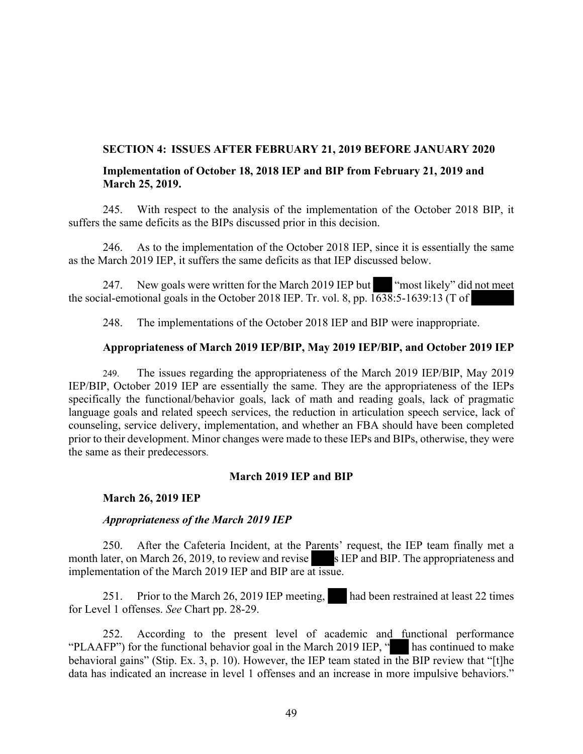### **SECTION 4: ISSUES AFTER FEBRUARY 21, 2019 BEFORE JANUARY 2020**

### **Implementation of October 18, 2018 IEP and BIP from February 21, 2019 and March 25, 2019.**

245. With respect to the analysis of the implementation of the October 2018 BIP, it suffers the same deficits as the BIPs discussed prior in this decision.

246. As to the implementation of the October 2018 IEP, since it is essentially the same as the March 2019 IEP, it suffers the same deficits as that IEP discussed below.

247. New goals were written for the March 2019 IEP but "most likely" did not meet the social-emotional goals in the October 2018 IEP. Tr. vol. 8, pp. 1638:5-1639:13 (T of

248. The implementations of the October 2018 IEP and BIP were inappropriate.

### **Appropriateness of March 2019 IEP/BIP, May 2019 IEP/BIP, and October 2019 IEP**

249. The issues regarding the appropriateness of the March 2019 IEP/BIP, May 2019 IEP/BIP, October 2019 IEP are essentially the same. They are the appropriateness of the IEPs specifically the functional/behavior goals, lack of math and reading goals, lack of pragmatic language goals and related speech services, the reduction in articulation speech service, lack of counseling, service delivery, implementation, and whether an FBA should have been completed prior to their development. Minor changes were made to these IEPs and BIPs, otherwise, they were the same as their predecessors.

### **March 2019 IEP and BIP**

### **March 26, 2019 IEP**

### *Appropriateness of the March 2019 IEP*

250. After the Cafeteria Incident, at the Parents' request, the IEP team finally met a month later, on March 26, 2019, to review and revise s IEP and BIP. The appropriateness and implementation of the March 2019 IEP and BIP are at issue.

251. Prior to the March 26, 2019 IEP meeting, had been restrained at least 22 times for Level 1 offenses. *See* Chart pp. 28-29.

252. According to the present level of academic and functional performance "PLAAFP") for the functional behavior goal in the March 2019 IEP, " has continued to make behavioral gains" (Stip. Ex. 3, p. 10). However, the IEP team stated in the BIP review that "[t]he data has indicated an increase in level 1 offenses and an increase in more impulsive behaviors."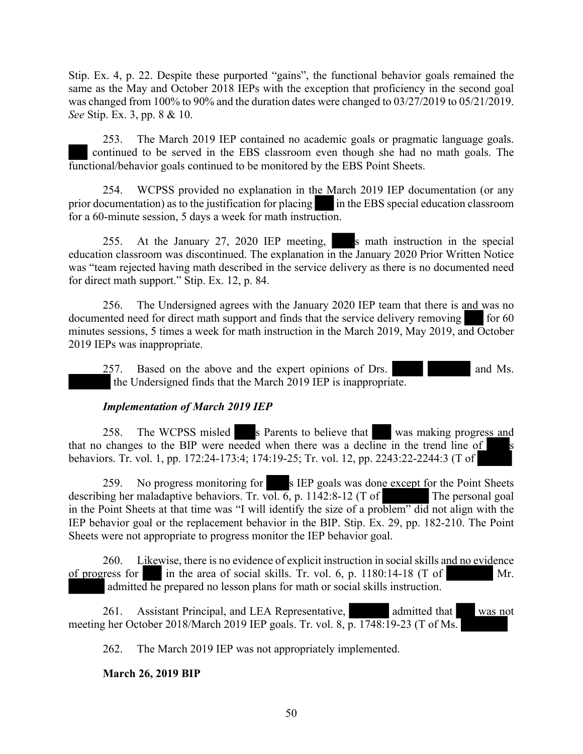Stip. Ex. 4, p. 22. Despite these purported "gains", the functional behavior goals remained the same as the May and October 2018 IEPs with the exception that proficiency in the second goal was changed from 100% to 90% and the duration dates were changed to 03/27/2019 to 05/21/2019. *See* Stip. Ex. 3, pp. 8 & 10.

253. The March 2019 IEP contained no academic goals or pragmatic language goals. continued to be served in the EBS classroom even though she had no math goals. The functional/behavior goals continued to be monitored by the EBS Point Sheets.

254. WCPSS provided no explanation in the March 2019 IEP documentation (or any prior documentation) as to the justification for placing in the EBS special education classroom for a 60-minute session, 5 days a week for math instruction.

255. At the January 27, 2020 IEP meeting, s math instruction in the special education classroom was discontinued. The explanation in the January 2020 Prior Written Notice was "team rejected having math described in the service delivery as there is no documented need for direct math support." Stip. Ex. 12, p. 84.

256. The Undersigned agrees with the January 2020 IEP team that there is and was no documented need for direct math support and finds that the service delivery removing for 60 minutes sessions, 5 times a week for math instruction in the March 2019, May 2019, and October 2019 IEPs was inappropriate.

257. Based on the above and the expert opinions of Drs. and Ms. the Undersigned finds that the March 2019 IEP is inappropriate.

# *Implementation of March 2019 IEP*

258. The WCPSS misled s Parents to believe that was making progress and that no changes to the BIP were needed when there was a decline in the trend line of s behaviors. Tr. vol. 1, pp. 172:24-173:4; 174:19-25; Tr. vol. 12, pp. 2243:22-2244:3 (T of

259. No progress monitoring for s IEP goals was done except for the Point Sheets describing her maladaptive behaviors. Tr. vol.  $\overline{6}$ , p. 1142:8-12 (T of The personal goal in the Point Sheets at that time was "I will identify the size of a problem" did not align with the IEP behavior goal or the replacement behavior in the BIP. Stip. Ex. 29, pp. 182-210. The Point Sheets were not appropriate to progress monitor the IEP behavior goal.

260. Likewise, there is no evidence of explicit instruction in social skills and no evidence of progress for in the area of social skills. Tr. vol. 6, p. 1180:14-18 (T of Mr. admitted he prepared no lesson plans for math or social skills instruction.

261. Assistant Principal, and LEA Representative, admitted that was not meeting her October 2018/March 2019 IEP goals. Tr. vol. 8, p. 1748:19-23 (T of Ms.

262. The March 2019 IEP was not appropriately implemented.

# **March 26, 2019 BIP**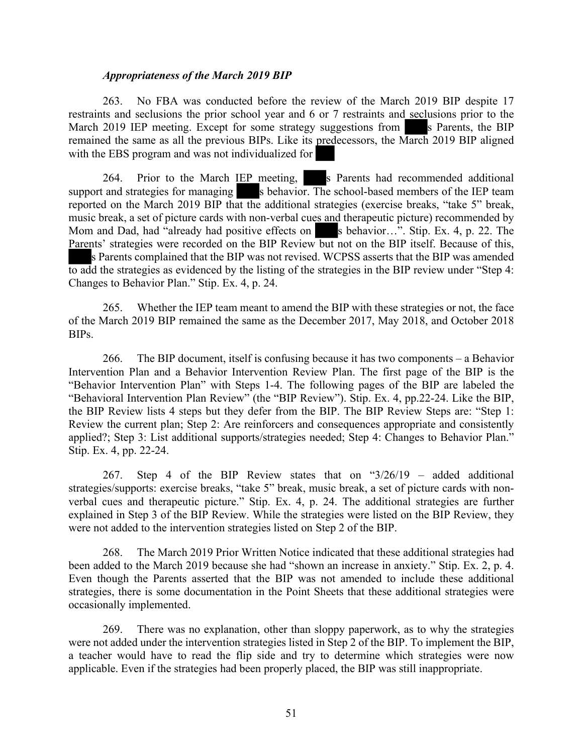### *Appropriateness of the March 2019 BIP*

263. No FBA was conducted before the review of the March 2019 BIP despite 17 restraints and seclusions the prior school year and 6 or 7 restraints and seclusions prior to the March 2019 IEP meeting. Except for some strategy suggestions from s Parents, the BIP remained the same as all the previous BIPs. Like its predecessors, the March 2019 BIP aligned with the EBS program and was not individualized for

264. Prior to the March  $I\overline{EP}$  meeting, s Parents had recommended additional support and strategies for managing s behavior. The school-based members of the IEP team reported on the March 2019 BIP that the additional strategies (exercise breaks, "take 5" break, music break, a set of picture cards with non-verbal cues and therapeutic picture) recommended by Mom and Dad, had "already had positive effects on s behavior...". Stip. Ex. 4, p. 22. The Parents' strategies were recorded on the BIP Review but not on the BIP itself. Because of this, s Parents complained that the BIP was not revised. WCPSS asserts that the BIP was amended to add the strategies as evidenced by the listing of the strategies in the BIP review under "Step 4: Changes to Behavior Plan." Stip. Ex. 4, p. 24.

265. Whether the IEP team meant to amend the BIP with these strategies or not, the face of the March 2019 BIP remained the same as the December 2017, May 2018, and October 2018 BIPs.

266. The BIP document, itself is confusing because it has two components – a Behavior Intervention Plan and a Behavior Intervention Review Plan. The first page of the BIP is the "Behavior Intervention Plan" with Steps 1-4. The following pages of the BIP are labeled the "Behavioral Intervention Plan Review" (the "BIP Review"). Stip. Ex. 4, pp.22-24. Like the BIP, the BIP Review lists 4 steps but they defer from the BIP. The BIP Review Steps are: "Step 1: Review the current plan; Step 2: Are reinforcers and consequences appropriate and consistently applied?; Step 3: List additional supports/strategies needed; Step 4: Changes to Behavior Plan." Stip. Ex. 4, pp. 22-24.

267. Step 4 of the BIP Review states that on "3/26/19 – added additional strategies/supports: exercise breaks, "take 5" break, music break, a set of picture cards with nonverbal cues and therapeutic picture." Stip. Ex. 4, p. 24. The additional strategies are further explained in Step 3 of the BIP Review. While the strategies were listed on the BIP Review, they were not added to the intervention strategies listed on Step 2 of the BIP.

268. The March 2019 Prior Written Notice indicated that these additional strategies had been added to the March 2019 because she had "shown an increase in anxiety." Stip. Ex. 2, p. 4. Even though the Parents asserted that the BIP was not amended to include these additional strategies, there is some documentation in the Point Sheets that these additional strategies were occasionally implemented.

269. There was no explanation, other than sloppy paperwork, as to why the strategies were not added under the intervention strategies listed in Step 2 of the BIP. To implement the BIP, a teacher would have to read the flip side and try to determine which strategies were now applicable. Even if the strategies had been properly placed, the BIP was still inappropriate.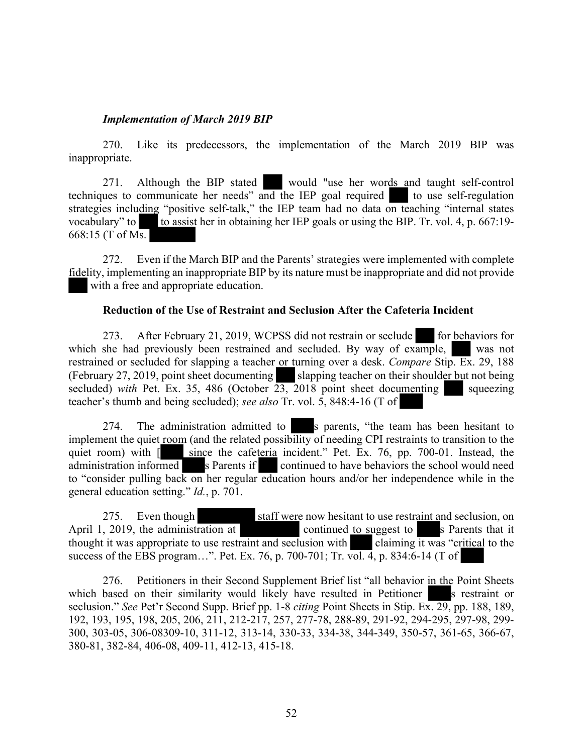### *Implementation of March 2019 BIP*

270. Like its predecessors, the implementation of the March 2019 BIP was inappropriate.

271. Although the BIP stated would "use her words and taught self-control techniques to communicate her needs" and the IEP goal required to use self-regulation strategies including "positive self-talk," the IEP team had no data on teaching "internal states vocabulary" to to assist her in obtaining her IEP goals or using the BIP. Tr. vol. 4, p.  $667:19-$ 668:15 (T of Ms.

272. Even if the March BIP and the Parents' strategies were implemented with complete fidelity, implementing an inappropriate BIP by its nature must be inappropriate and did not provide with a free and appropriate education.

### **Reduction of the Use of Restraint and Seclusion After the Cafeteria Incident**

273. After February 21, 2019, WCPSS did not restrain or seclude for behaviors for which she had previously been restrained and secluded. By way of example, was not restrained or secluded for slapping a teacher or turning over a desk. *Compare* Stip. Ex. 29, 188 (February 27, 2019, point sheet documenting slapping teacher on their shoulder but not being secluded) *with* Pet. Ex. 35, 486 (October  $\overline{23}$ , 2018 point sheet documenting squeezing teacher's thumb and being secluded); *see also* Tr. vol. 5, 848:4-16 (T of

274. The administration admitted to s parents, "the team has been hesitant to implement the quiet room (and the related possibility of needing CPI restraints to transition to the quiet room) with [ since the cafeteria incident." Pet. Ex. 76, pp. 700-01. Instead, the administration informed s Parents if continued to have behaviors the school would need to "consider pulling back on her regular education hours and/or her independence while in the general education setting." *Id.*, p. 701.

275. Even though staff were now hesitant to use restraint and seclusion, on April 1, 2019, the administration at continued to suggest to s Parents that it thought it was appropriate to use restraint and seclusion with claiming it was "critical to the success of the EBS program…". Pet. Ex. 76, p. 700-701; Tr. vol. 4, p. 834:6-14 (T of

276. Petitioners in their Second Supplement Brief list "all behavior in the Point Sheets which based on their similarity would likely have resulted in Petitioner s restraint or seclusion." *See* Pet'r Second Supp. Brief pp. 1-8 *citing* Point Sheets in Stip. Ex. 29, pp. 188, 189, 192, 193, 195, 198, 205, 206, 211, 212-217, 257, 277-78, 288-89, 291-92, 294-295, 297-98, 299- 300, 303-05, 306-08309-10, 311-12, 313-14, 330-33, 334-38, 344-349, 350-57, 361-65, 366-67, 380-81, 382-84, 406-08, 409-11, 412-13, 415-18.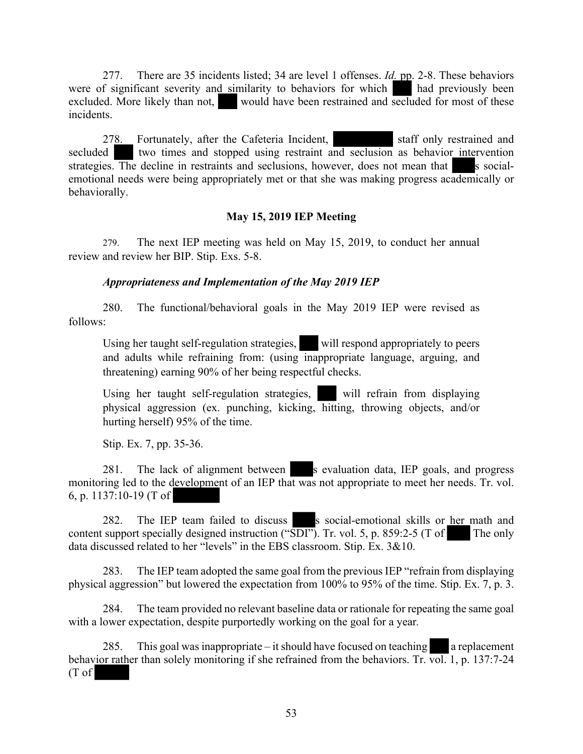277. There are 35 incidents listed; 34 are level 1 offenses. *Id.* pp. 2-8. These behaviors were of significant severity and similarity to behaviors for which had previously been excluded. More likely than not, would have been restrained and secluded for most of these incidents.

278. Fortunately, after the Cafeteria Incident, staff only restrained and secluded two times and stopped using restraint and seclusion as behavior intervention strategies. The decline in restraints and seclusions, however, does not mean that s socialemotional needs were being appropriately met or that she was making progress academically or behaviorally.

### **May 15, 2019 IEP Meeting**

279. The next IEP meeting was held on May 15, 2019, to conduct her annual review and review her BIP. Stip. Exs. 5-8.

### *Appropriateness and Implementation of the May 2019 IEP*

280. The functional/behavioral goals in the May 2019 IEP were revised as follows:

Using her taught self-regulation strategies, will respond appropriately to peers and adults while refraining from: (using inappropriate language, arguing, and threatening) earning 90% of her being respectful checks.

Using her taught self-regulation strategies, will refrain from displaying physical aggression (ex. punching, kicking, hitting, throwing objects, and/or hurting herself) 95% of the time.

Stip. Ex. 7, pp. 35-36.

281. The lack of alignment between s evaluation data, IEP goals, and progress monitoring led to the development of an IEP that was not appropriate to meet her needs. Tr. vol. 6, p. 1137:10-19 (T of

282. The IEP team failed to discuss s social-emotional skills or her math and content support specially designed instruction (" $S\overline{D}I$ "). Tr. vol. 5, p. 859:2-5 (T of The only data discussed related to her "levels" in the EBS classroom. Stip. Ex. 3&10.

283. The IEP team adopted the same goal from the previous IEP "refrain from displaying physical aggression" but lowered the expectation from 100% to 95% of the time. Stip. Ex. 7, p. 3.

284. The team provided no relevant baseline data or rationale for repeating the same goal with a lower expectation, despite purportedly working on the goal for a year*.* 

285. This goal was inappropriate – it should have focused on teaching a replacement behavior rather than solely monitoring if she refrained from the behaviors. Tr.  $\overline{vol}$ , 1, p. 137:7-24 (T of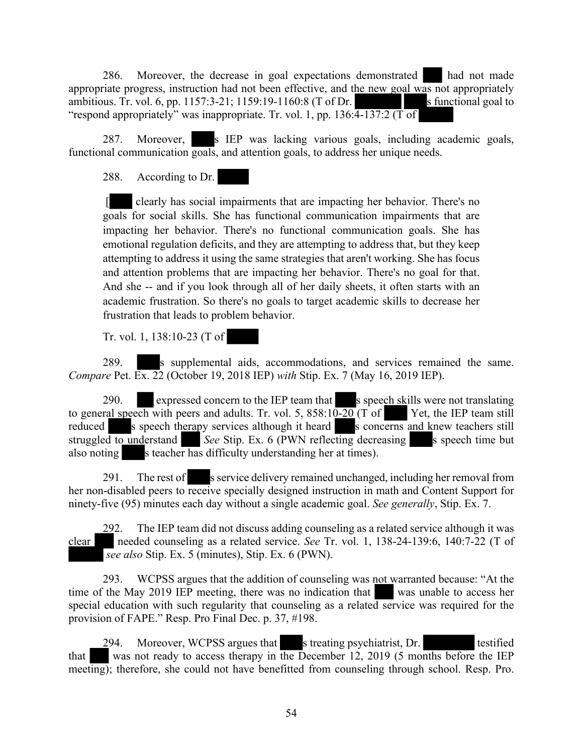286. Moreover, the decrease in goal expectations demonstrated had not made appropriate progress, instruction had not been effective, and the new goal was not appropriately ambitious. Tr. vol. 6, pp. 1157:3-21; 1159:19-1160:8 (T of Dr. s functional goal to "respond appropriately" was inappropriate. Tr. vol. 1, pp.  $136:\overline{4-137:2}$  (T of

287. Moreover, s IEP was lacking various goals, including academic goals, functional communication goals, and attention goals, to address her unique needs.

288. According to Dr.

 [ clearly has social impairments that are impacting her behavior. There's no goals for social skills. She has functional communication impairments that are impacting her behavior. There's no functional communication goals. She has emotional regulation deficits, and they are attempting to address that, but they keep attempting to address it using the same strategies that aren't working. She has focus and attention problems that are impacting her behavior. There's no goal for that. And she -- and if you look through all of her daily sheets, it often starts with an academic frustration. So there's no goals to target academic skills to decrease her frustration that leads to problem behavior.

Tr. vol. 1, 138:10-23 (T of

289. s supplemental aids, accommodations, and services remained the same. *Compare* Pet. Ex. 22 (October 19, 2018 IEP) *with* Stip. Ex. 7 (May 16, 2019 IEP).

290. expressed concern to the IEP team that s speech skills were not translating to general speech with peers and adults. Tr. vol. 5,  $858:10-20$  (T of Yet, the IEP team still reduced s speech therapy services although it heard s concerns and knew teachers still struggled to understand *See* Stip. Ex. 6 (PWN reflecting decreasing s speech time but also noting s teacher has difficulty understanding her at times).

291. The rest of s service delivery remained unchanged, including her removal from her non-disabled peers to receive specially designed instruction in math and Content Support for ninety-five (95) minutes each day without a single academic goal. *See generally*, Stip. Ex. 7.

292. The IEP team did not discuss adding counseling as a related service although it was clear needed counseling as a related service. *See* Tr. vol. 1, 138-24-139:6, 140:7-22 (T of *see also* Stip. Ex. 5 (minutes), Stip. Ex. 6 (PWN).

293. WCPSS argues that the addition of counseling was not warranted because: "At the time of the May 2019 IEP meeting, there was no indication that was unable to access her special education with such regularity that counseling as a related service was required for the provision of FAPE." Resp. Pro Final Dec. p. 37, #198.

294. Moreover, WCPSS argues that s treating psychiatrist, Dr. testified that was not ready to access therapy in the December 12, 2019 (5 months before the IEP meeting); therefore, she could not have benefitted from counseling through school. Resp. Pro.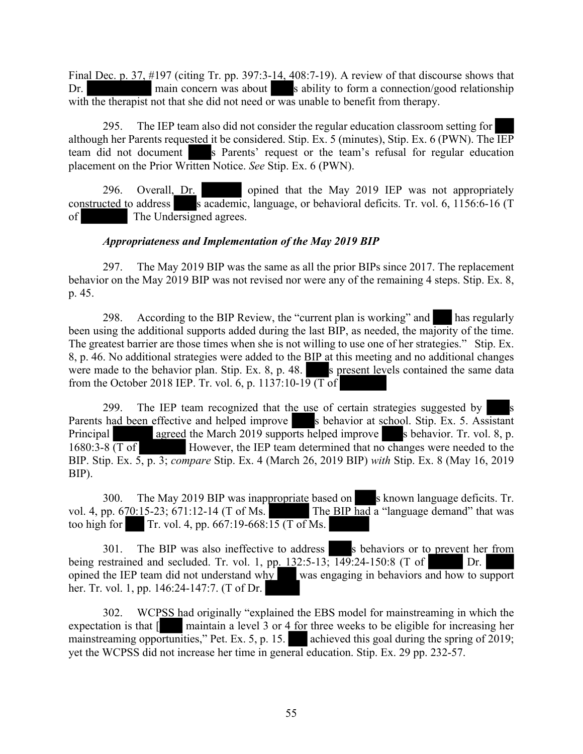Final Dec. p. 37, #197 (citing Tr. pp. 397:3-14, 408:7-19). A review of that discourse shows that Dr. main concern was about s ability to form a connection/good relationship with the therapist not that she did not need or was unable to benefit from therapy.

295. The IEP team also did not consider the regular education classroom setting for although her Parents requested it be considered. Stip. Ex. 5 (minutes), Stip. Ex. 6 (PWN). The IEP team did not document s Parents' request or the team's refusal for regular education placement on the Prior Written Notice. *See* Stip. Ex. 6 (PWN).

296. Overall, Dr. opined that the May 2019 IEP was not appropriately constructed to address s  $\overline{\text{academic}}$ , language, or behavioral deficits. Tr. vol. 6, 1156:6-16 (T) of The Undersigned agrees.

# *Appropriateness and Implementation of the May 2019 BIP*

297. The May 2019 BIP was the same as all the prior BIPs since 2017. The replacement behavior on the May 2019 BIP was not revised nor were any of the remaining 4 steps. Stip. Ex. 8, p. 45.

298. According to the BIP Review, the "current plan is working" and has regularly been using the additional supports added during the last BIP, as needed, the majority of the time. The greatest barrier are those times when she is not willing to use one of her strategies." Stip. Ex. 8, p. 46. No additional strategies were added to the BIP at this meeting and no additional changes were made to the behavior plan. Stip. Ex.  $8$ , p. 48. s present levels contained the same data from the October 2018 IEP. Tr. vol. 6, p. 1137:10-19 (T of

299. The IEP team recognized that the use of certain strategies suggested by Parents had been effective and helped improve s behavior at school. Stip. Ex. 5. Assistant Principal agreed the March 2019 supports helped improve s behavior. Tr. vol. 8, p. 1680:3-8 (T of However, the IEP team determined that no changes were needed to the BIP. Stip. Ex. 5, p. 3; *compare* Stip. Ex. 4 (March 26, 2019 BIP) *with* Stip. Ex. 8 (May 16, 2019 BIP).

300. The May 2019 BIP was inappropriate based on s known language deficits. Tr. vol. 4, pp.  $670:15-23$ ;  $671:12-14$  (T of Ms. The BIP had a "language demand" that was too high for Tr. vol. 4, pp.  $667:19-668:15$  (T of Ms.

301. The BIP was also ineffective to address s behaviors or to prevent her from being restrained and secluded. Tr. vol. 1, pp. 132:5-13; 149:24-150:8 (T of Dr. opined the IEP team did not understand why was engaging in behaviors and how to support her. Tr. vol. 1, pp. 146:24-147:7. (T of Dr.

302. WCPSS had originally "explained the EBS model for mainstreaming in which the expectation is that [ maintain a level 3 or 4 for three weeks to be eligible for increasing her mainstreaming opportunities," Pet. Ex. 5, p. 15.  $\blacksquare$  achieved this goal during the spring of 2019; yet the WCPSS did not increase her time in general education. Stip. Ex. 29 pp. 232-57.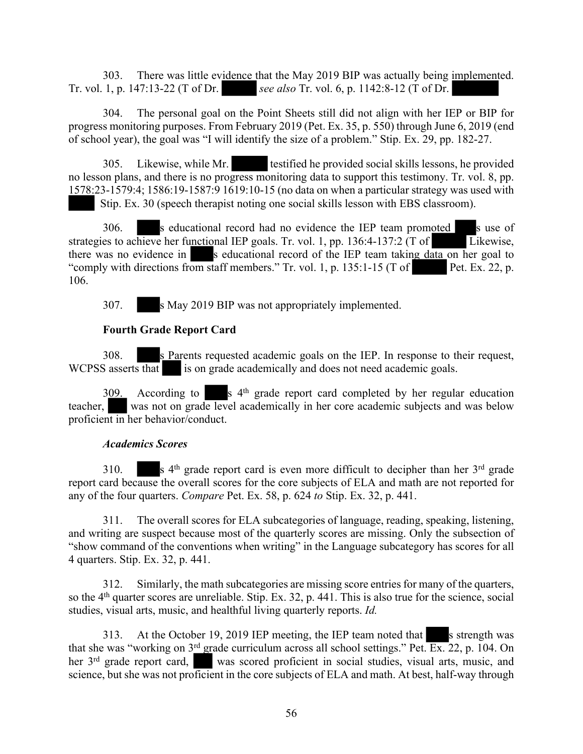303. There was little evidence that the May 2019 BIP was actually being implemented. Tr. vol. 1, p. 147:13-22 (T of Dr. *see also* Tr. vol. 6, p. 1142:8-12 (T of Dr.

304. The personal goal on the Point Sheets still did not align with her IEP or BIP for progress monitoring purposes. From February 2019 (Pet. Ex. 35, p. 550) through June 6, 2019 (end of school year), the goal was "I will identify the size of a problem." Stip. Ex. 29, pp. 182-27.

305. Likewise, while Mr. testified he provided social skills lessons, he provided no lesson plans, and there is no progress monitoring data to support this testimony. Tr. vol. 8, pp. 1578:23-1579:4; 1586:19-1587:9 1619:10-15 (no data on when a particular strategy was used with Stip. Ex. 30 (speech therapist noting one social skills lesson with EBS classroom).

306. s educational record had no evidence the IEP team promoted s use of strategies to achieve her functional IEP goals. Tr. vol. 1, pp. 136:4-137:2 (T of Likewise, there was no evidence in  $\blacksquare$  s educational record of the IEP team taking data on her goal to "comply with directions from staff members." Tr. vol. 1, p. 135:1-15 (T of Pet. Ex. 22, p. 106.

307. s May 2019 BIP was not appropriately implemented.

# **Fourth Grade Report Card**

308. s Parents requested academic goals on the IEP. In response to their request, WCPSS asserts that is on grade academically and does not need academic goals.

 $309.$  According to s  $4<sup>th</sup>$  grade report card completed by her regular education teacher, was not on grade level academically in her core academic subjects and was below proficient in her behavior/conduct.

# *Academics Scores*

310.  $\mathbf{s}$  4<sup>th</sup> grade report card is even more difficult to decipher than her 3<sup>rd</sup> grade report card because the overall scores for the core subjects of ELA and math are not reported for any of the four quarters. *Compare* Pet. Ex. 58, p. 624 *to* Stip. Ex. 32, p. 441.

311. The overall scores for ELA subcategories of language, reading, speaking, listening, and writing are suspect because most of the quarterly scores are missing. Only the subsection of "show command of the conventions when writing" in the Language subcategory has scores for all 4 quarters. Stip. Ex. 32, p. 441.

312. Similarly, the math subcategories are missing score entries for many of the quarters, so the 4<sup>th</sup> quarter scores are unreliable. Stip. Ex. 32, p. 441. This is also true for the science, social studies, visual arts, music, and healthful living quarterly reports. *Id.* 

313. At the October 19, 2019 IEP meeting, the IEP team noted that s strength was that she was "working on 3<sup>rd</sup> grade curriculum across all school settings." Pet. Ex. 22, p. 104. On her 3<sup>rd</sup> grade report card, was scored proficient in social studies, visual arts, music, and science, but she was not proficient in the core subjects of ELA and math. At best, half-way through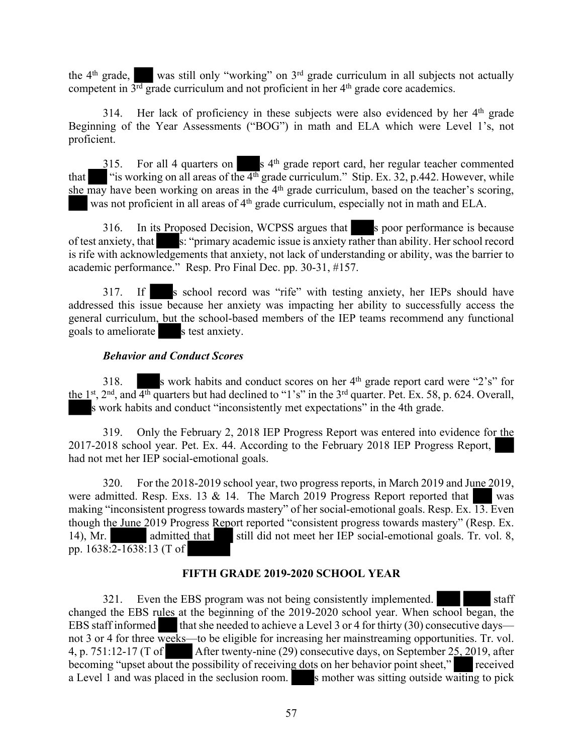the  $4<sup>th</sup>$  grade, was still only "working" on  $3<sup>rd</sup>$  grade curriculum in all subjects not actually competent in  $3<sup>rd</sup>$  grade curriculum and not proficient in her  $4<sup>th</sup>$  grade core academics.

314. Her lack of proficiency in these subjects were also evidenced by her 4<sup>th</sup> grade Beginning of the Year Assessments ("BOG") in math and ELA which were Level 1's, not proficient.

 $315$ . For all 4 quarters on s  $4<sup>th</sup>$  grade report card, her regular teacher commented that "is working on all areas of the  $4<sup>th</sup>$  grade curriculum." Stip. Ex. 32, p.442. However, while she may have been working on areas in the 4<sup>th</sup> grade curriculum, based on the teacher's scoring, was not proficient in all areas of 4<sup>th</sup> grade curriculum, especially not in math and ELA.

316. In its Proposed Decision, WCPSS argues that s poor performance is because of test anxiety, that s: "primary academic issue is anxiety rather than ability. Her school record is rife with acknowledgements that anxiety, not lack of understanding or ability, was the barrier to academic performance." Resp. Pro Final Dec. pp. 30-31, #157.

317. If s school record was "rife" with testing anxiety, her IEPs should have addressed this issue because her anxiety was impacting her ability to successfully access the general curriculum, but the school-based members of the IEP teams recommend any functional goals to ameliorate s test anxiety.

### *Behavior and Conduct Scores*

318. s work habits and conduct scores on her  $4<sup>th</sup>$  grade report card were "2's" for the  $1<sup>st</sup>$ ,  $2<sup>nd</sup>$ , and  $4<sup>th</sup>$  quarters but had declined to "1's" in the  $3<sup>rd</sup>$  quarter. Pet. Ex. 58, p. 624. Overall, s work habits and conduct "inconsistently met expectations" in the 4th grade.

319. Only the February 2, 2018 IEP Progress Report was entered into evidence for the 2017-2018 school year. Pet. Ex. 44. According to the February 2018 IEP Progress Report, had not met her IEP social-emotional goals.

320. For the 2018-2019 school year, two progress reports, in March 2019 and June 2019, were admitted. Resp. Exs. 13 & 14. The March 2019 Progress Report reported that was making "inconsistent progress towards mastery" of her social-emotional goals. Resp. Ex. 13. Even though the June 2019 Progress Report reported "consistent progress towards mastery" (Resp. Ex. 14), Mr. admitted that still did not meet her IEP social-emotional goals. Tr. vol. 8, pp. 1638:2-1638:13 (T of

# **FIFTH GRADE 2019-2020 SCHOOL YEAR**

321. Even the EBS program was not being consistently implemented. Staff changed the EBS rules at the beginning of the 2019-2020 school year. When school began, the EBS staff informed that she needed to achieve a Level 3 or 4 for thirty  $(30)$  consecutive days not 3 or 4 for three weeks—to be eligible for increasing her mainstreaming opportunities. Tr. vol. 4, p. 751:12-17 (T of After twenty-nine (29) consecutive days, on September 25, 2019, after becoming "upset about the possibility of receiving dots on her behavior point sheet," received a Level 1 and was placed in the seclusion room.  $\blacksquare$  s mother was sitting outside waiting to pick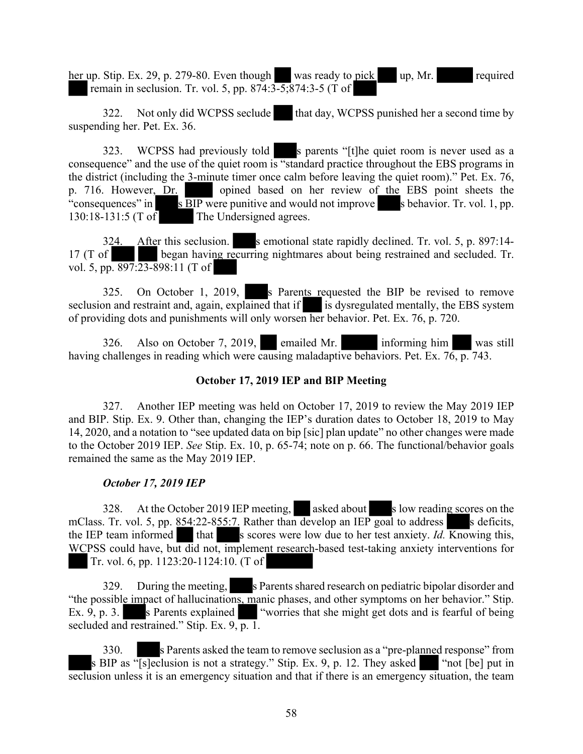her up. Stip. Ex. 29, p. 279-80. Even though was ready to pick up, Mr. remain in seclusion. Tr. vol. 5, pp. 874:3-5;874:3-5 (T of

322. Not only did WCPSS seclude that day, WCPSS punished her a second time by suspending her. Pet. Ex. 36.

323. WCPSS had previously told s parents "[t]he quiet room is never used as a consequence" and the use of the quiet room is "standard practice throughout the EBS programs in the district (including the 3-minute timer once calm before leaving the quiet room)." Pet. Ex. 76, p. 716. However, Dr. opined based on her review of the EBS point sheets the "consequences" in s BIP were punitive and would not improve s behavior. Tr. vol. 1, pp. 130:18-131:5 (T of The Undersigned agrees.

324. After this seclusion. s emotional state rapidly declined. Tr. vol. 5, p. 897:14-17 (T of began having recurring nightmares about being restrained and secluded. Tr. vol. 5, pp.  $897:23-898:11$  (T of

325. On October 1, 2019, s Parents requested the BIP be revised to remove seclusion and restraint and, again, explained that if is dysregulated mentally, the EBS system of providing dots and punishments will only worsen her behavior. Pet. Ex. 76, p. 720.

326. Also on October 7, 2019, emailed Mr. informing him was still having challenges in reading which were causing maladaptive behaviors. Pet. Ex. 76, p. 743.

# **October 17, 2019 IEP and BIP Meeting**

327. Another IEP meeting was held on October 17, 2019 to review the May 2019 IEP and BIP. Stip. Ex. 9. Other than, changing the IEP's duration dates to October 18, 2019 to May 14, 2020, and a notation to "see updated data on bip [sic] plan update" no other changes were made to the October 2019 IEP. *See* Stip. Ex. 10, p. 65-74; note on p. 66. The functional/behavior goals remained the same as the May 2019 IEP.

### *October 17, 2019 IEP*

328. At the October 2019 IEP meeting, asked about s low reading scores on the mClass. Tr. vol. 5, pp.  $854:22-855:7$ . Rather than develop an IEP goal to address s deficits, the IEP team informed that s scores were low due to her test anxiety. *Id.* Knowing this, WCPSS could have, but did not, implement research-based test-taking anxiety interventions for Tr. vol. 6, pp. 1123:20-1124:10. (T of

329. During the meeting, s Parents shared research on pediatric bipolar disorder and "the possible impact of hallucinations, manic phases, and other symptoms on her behavior." Stip. Ex. 9, p. 3. s Parents explained "worries that she might get dots and is fearful of being secluded and restrained." Stip. Ex.  $9, p. 1$ .

330. s Parents asked the team to remove seclusion as a "pre-planned response" from s BIP as "[s]eclusion is not a strategy." Stip. Ex. 9, p. 12. They asked "not [be] put in seclusion unless it is an emergency situation and that if there is an emergency situation, the team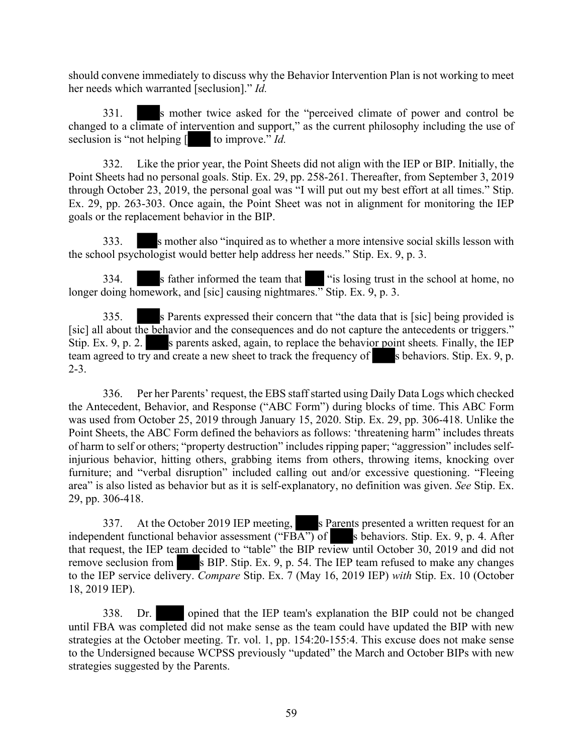should convene immediately to discuss why the Behavior Intervention Plan is not working to meet her needs which warranted [seclusion]." *Id.*

331. s mother twice asked for the "perceived climate of power and control be changed to a climate of intervention and support," as the current philosophy including the use of seclusion is "not helping  $\left[ \right]$  to improve." *Id.* 

332. Like the prior year, the Point Sheets did not align with the IEP or BIP. Initially, the Point Sheets had no personal goals. Stip. Ex. 29, pp. 258-261. Thereafter, from September 3, 2019 through October 23, 2019, the personal goal was "I will put out my best effort at all times." Stip. Ex. 29, pp. 263-303. Once again, the Point Sheet was not in alignment for monitoring the IEP goals or the replacement behavior in the BIP.

333. S mother also "inquired as to whether a more intensive social skills lesson with the school psychologist would better help address her needs." Stip. Ex. 9, p. 3.

334. s father informed the team that "is losing trust in the school at home, no longer doing homework, and [sic] causing nightmares." Stip. Ex. 9, p. 3.

335. s Parents expressed their concern that "the data that is [sic] being provided is [sic] all about the behavior and the consequences and do not capture the antecedents or triggers." Stip. Ex. 9, p. 2. s parents asked, again, to replace the behavior point sheets. Finally, the IEP team agreed to try and create a new sheet to track the frequency of s behaviors. Stip. Ex. 9, p. 2-3.

336. Per her Parents' request, the EBS staffstarted using Daily Data Logs which checked the Antecedent, Behavior, and Response ("ABC Form") during blocks of time. This ABC Form was used from October 25, 2019 through January 15, 2020. Stip. Ex. 29, pp. 306-418. Unlike the Point Sheets, the ABC Form defined the behaviors as follows: 'threatening harm" includes threats of harm to self or others; "property destruction" includes ripping paper; "aggression" includes selfinjurious behavior, hitting others, grabbing items from others, throwing items, knocking over furniture; and "verbal disruption" included calling out and/or excessive questioning. "Fleeing area" is also listed as behavior but as it is self-explanatory, no definition was given. *See* Stip. Ex. 29, pp. 306-418.

337. At the October 2019 IEP meeting, s Parents presented a written request for an independent functional behavior assessment ("FBA") of s behaviors. Stip. Ex. 9, p. 4. After that request, the IEP team decided to "table" the BIP review until October 30, 2019 and did not remove seclusion from s BIP. Stip. Ex. 9, p. 54. The IEP team refused to make any changes to the IEP service delivery. *Compare* Stip. Ex. 7 (May 16, 2019 IEP) *with* Stip. Ex. 10 (October 18, 2019 IEP).

338. Dr. opined that the IEP team's explanation the BIP could not be changed until FBA was completed did not make sense as the team could have updated the BIP with new strategies at the October meeting. Tr. vol. 1, pp. 154:20-155:4. This excuse does not make sense to the Undersigned because WCPSS previously "updated" the March and October BIPs with new strategies suggested by the Parents.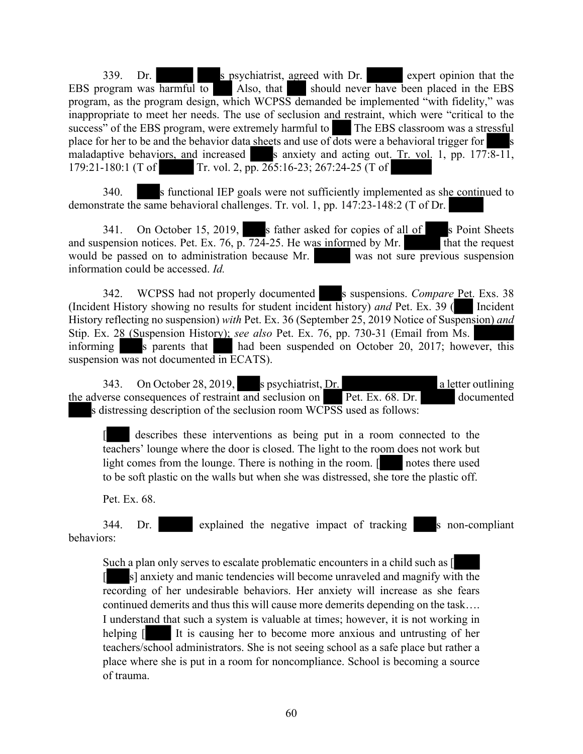339. Dr. s psychiatrist, agreed with Dr. expert opinion that the EBS program was harmful to Also, that should never have been placed in the EBS program, as the program design, which WCPSS demanded be implemented "with fidelity," was inappropriate to meet her needs. The use of seclusion and restraint, which were "critical to the success" of the EBS program, were extremely harmful to The EBS classroom was a stressful place for her to be and the behavior data sheets and use of  $\overline{\text{dots}}$  were a behavioral trigger for s maladaptive behaviors, and increased s anxiety and acting out. Tr. vol. 1, pp.  $177:8-11$ , 179:21-180:1 (T of Tr. vol. 2, pp. 265:16-23; 267:24-25 (T of

340. s functional IEP goals were not sufficiently implemented as she continued to demonstrate the same behavioral challenges. Tr. vol. 1, pp. 147:23-148:2 (T of Dr.

341. On October 15, 2019, s father asked for copies of all of s Point Sheets and suspension notices. Pet. Ex. 76, p.  $\overline{724}$ -25. He was informed by Mr. would be passed on to administration because Mr. was not sure previous suspension information could be accessed. *Id.* 

342. WCPSS had not properly documented s suspensions. *Compare* Pet. Exs. 38 (Incident History showing no results for student incident history) *and* Pet. Ex. 39 ( Incident History reflecting no suspension) *with* Pet. Ex. 36 (September 25, 2019 Notice of Suspension) *and* Stip. Ex. 28 (Suspension History); *see also* Pet. Ex. 76, pp. 730-31 (Email from Ms. informing s parents that had been suspended on October 20, 2017; however, this suspension was not documented in ECATS).

343. On October 28, 2019, s psychiatrist, Dr. a letter outlining the adverse consequences of restraint and seclusion on Pet. Ex. 68. Dr. documented s distressing description of the seclusion room WCPSS used as follows:

describes these interventions as being put in a room connected to the teachers' lounge where the door is closed. The light to the room does not work but light comes from the lounge. There is nothing in the room. [ notes there used to be soft plastic on the walls but when she was distressed, she tore the plastic off.

Pet. Ex. 68.

344. Dr. explained the negative impact of tracking s non-compliant behaviors:

Such a plan only serves to escalate problematic encounters in a child such as [ [ s] anxiety and manic tendencies will become unraveled and magnify with the recording of her undesirable behaviors. Her anxiety will increase as she fears continued demerits and thus this will cause more demerits depending on the task…. I understand that such a system is valuable at times; however, it is not working in helping  $\boxed{\phantom{a}}$  It is causing her to become more anxious and untrusting of her teachers/school administrators. She is not seeing school as a safe place but rather a place where she is put in a room for noncompliance. School is becoming a source of trauma.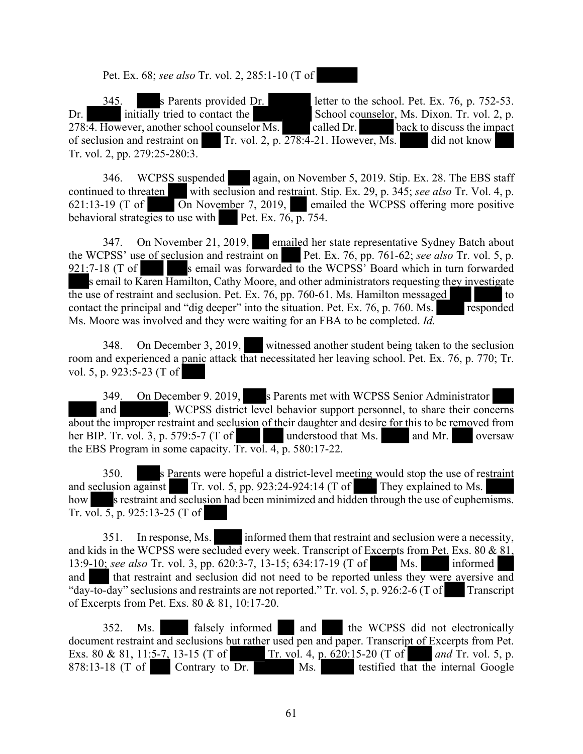Pet. Ex. 68; *see also* Tr. vol. 2, 285:1-10 (T of

345. s Parents provided Dr. letter to the school. Pet. Ex. 76, p. 752-53. Dr. initially tried to contact the School counselor, Ms. Dixon. Tr. vol. 2, p.  $278.\overline{4}$ . However, another school counselor Ms. called Dr. back to discuss the impact of seclusion and restraint on Tr. vol. 2, p.  $278:4-21$ . However, Ms. did not know Tr. vol. 2, pp. 279:25-280:3.

346. WCPSS suspended again, on November 5, 2019. Stip. Ex. 28. The EBS staff continued to threaten with seclusion and restraint. Stip. Ex. 29, p. 345; *see also* Tr. Vol. 4, p. 621:13-19 (T of On November 7, 2019, emailed the WCPSS offering more positive behavioral strategies to use with Pet. Ex.  $76, p. 754$ .

347. On November 21, 2019, emailed her state representative Sydney Batch about the WCPSS' use of seclusion and restraint on Pet. Ex. 76, pp. 761-62; *see also* Tr. vol. 5, p.  $921:7-18$  (T of s email was forwarded to the WCPSS' Board which in turn forwarded s email to Karen Hamilton, Cathy Moore, and other administrators requesting they investigate the use of restraint and seclusion. Pet. Ex.  $76$ , pp.  $760-61$ . Ms. Hamilton messaged to contact the principal and "dig deeper" into the situation. Pet. Ex. 76, p. 760. Ms. responded Ms. Moore was involved and they were waiting for an FBA to be completed. *Id.*

348. On December 3, 2019, witnessed another student being taken to the seclusion room and experienced a panic attack that necessitated her leaving school. Pet. Ex. 76, p. 770; Tr. vol. 5, p. 923:5-23 (T of

349. On December 9. 2019, s Parents met with WCPSS Senior Administrator and **WEPSS** district level behavior support personnel, to share their concerns about the improper restraint and seclusion of their daughter and desire for this to be removed from her BIP. Tr. vol. 3, p. 579:5-7 (T of understood that Ms.  $\qquad$  and Mr. oversaw the EBS Program in some capacity. Tr. vol. 4, p. 580:17-22.

350. s Parents were hopeful a district-level meeting would stop the use of restraint and seclusion against  $\boxed{\ }$  Tr. vol. 5, pp. 923:24-924:14 (T of They explained to Ms. how s restraint and seclusion had been minimized and hidden through the use of euphemisms. Tr. vol. 5, p. 925:13-25 (T of

351. In response, Ms. informed them that restraint and seclusion were a necessity, and kids in the WCPSS were secluded every week. Transcript of Excerpts from Pet. Exs. 80 & 81, 13:9-10; *see also* Tr. vol. 3, pp. 620:3-7, 13-15; 634:17-19 (T of Ms. informed and that restraint and seclusion did not need to be reported unless they were aversive and "day-to-day" seclusions and restraints are not reported." Tr. vol. 5, p. 926:2-6 (T of Transcript of Excerpts from Pet. Exs. 80 & 81, 10:17-20.

352. Ms. falsely informed and the WCPSS did not electronically document restraint and seclusions but rather used pen and paper. Transcript of Excerpts from Pet. Exs. 80 & 81, 11:5-7, 13-15 (T of Tr. vol. 4, p. 620:15-20 (T of *and Tr. vol. 5, p.* 878:13-18 (T of Contrary to Dr. Ms. testified that the internal Google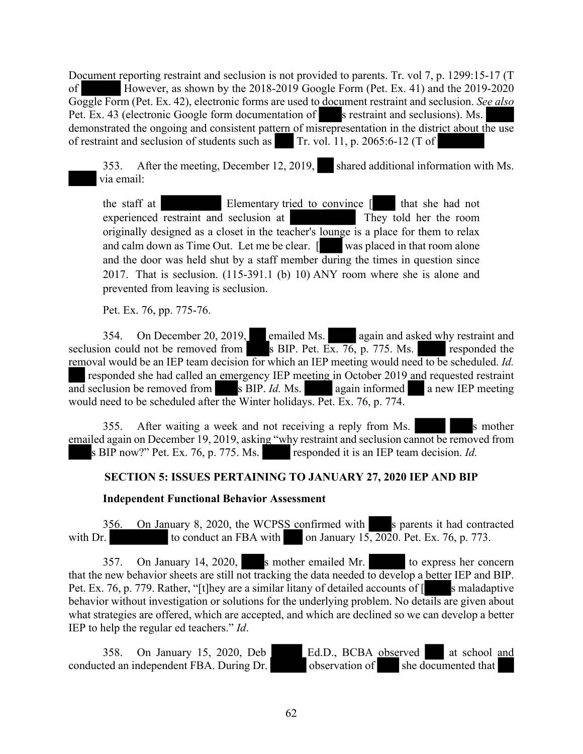Document reporting restraint and seclusion is not provided to parents. Tr. vol 7, p. 1299:15-17 (T of However, as shown by the 2018-2019 Google Form (Pet. Ex. 41) and the 2019-2020 Goggle Form (Pet. Ex. 42), electronic forms are used to document restraint and seclusion. *See also* Pet. Ex. 43 (electronic Google form documentation of s restraint and seclusions). Ms. demonstrated the ongoing and consistent pattern of misrepresentation in the district about the use of restraint and seclusion of students such as Tr. vol. 11, p. 2065:6-12 (T of

353. After the meeting, December 12, 2019, shared additional information with Ms. via email:

the staff at Elementary tried to convince  $\begin{bmatrix} \end{bmatrix}$  that she had not experienced restraint and seclusion at They told her the room originally designed as a closet in the teacher's lounge is a place for them to relax and calm down as Time Out. Let me be clear. [ was placed in that room alone and the door was held shut by a staff member during the times in question since 2017. That is seclusion. (115-391.1 (b) 10) ANY room where she is alone and prevented from leaving is seclusion.

Pet. Ex. 76, pp. 775-76.

354. On December 20, 2019, emailed Ms. again and asked why restraint and seclusion could not be removed from s BIP. Pet. Ex. 76, p. 775. Ms. responded the removal would be an IEP team decision for which an IEP meeting would need to be scheduled. *Id.* responded she had called an emergency IEP meeting in October 2019 and requested restraint and seclusion be removed from  $s$  BIP. *Id.* Ms. again informed a new IEP meeting would need to be scheduled after the Winter holidays. Pet. Ex. 76, p. 774.

355. After waiting a week and not receiving a reply from Ms. emailed again on December 19, 2019, asking "why restraint and seclusion cannot be removed from s BIP now?" Pet. Ex. 76, p. 775. Ms. responded it is an IEP team decision. *Id.* 

# **SECTION 5: ISSUES PERTAINING TO JANUARY 27, 2020 IEP AND BIP**

# **Independent Functional Behavior Assessment**

356. On January 8, 2020, the WCPSS confirmed with s parents it had contracted with Dr. to conduct an FBA with on January 15, 2020. Pet. Ex. 76, p. 773.

357. On January 14, 2020, s mother emailed Mr. to express her concern that the new behavior sheets are still not tracking the data needed to develop a better IEP and BIP. Pet. Ex. 76, p. 779. Rather, "[t]hey are a similar litany of detailed accounts of  $\lceil$  s maladaptive behavior without investigation or solutions for the underlying problem. No details are given about what strategies are offered, which are accepted, and which are declined so we can develop a better IEP to help the regular ed teachers." *Id*.

358. On January 15, 2020, Deb Ed.D., BCBA observed at school and conducted an independent FBA. During Dr. observation of she documented that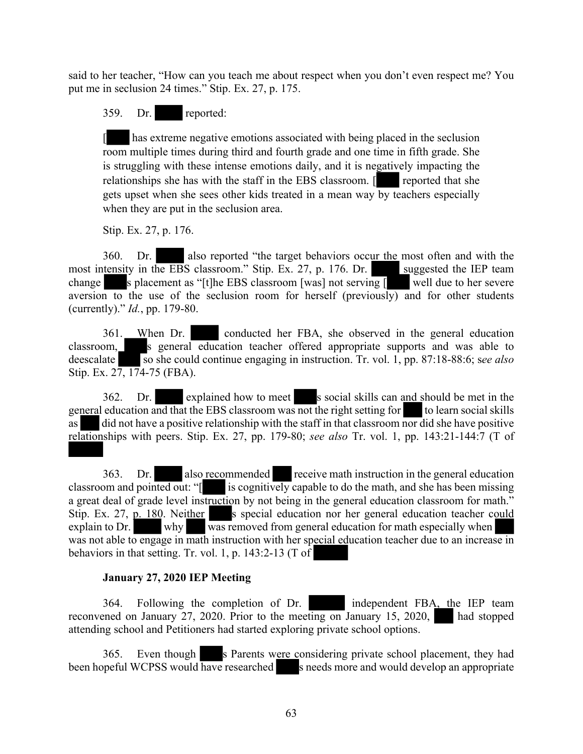said to her teacher, "How can you teach me about respect when you don't even respect me? You put me in seclusion 24 times." Stip. Ex. 27, p. 175.

# 359. Dr. reported:

[ has extreme negative emotions associated with being placed in the seclusion room multiple times during third and fourth grade and one time in fifth grade. She is struggling with these intense emotions daily, and it is negatively impacting the relationships she has with the staff in the EBS classroom. [ reported that she gets upset when she sees other kids treated in a mean way by teachers especially when they are put in the seclusion area.

Stip. Ex. 27, p. 176.

360. Dr. also reported "the target behaviors occur the most often and with the most intensity in the EBS classroom." Stip. Ex. 27, p. 176. Dr. suggested the IEP team change s placement as "[t]he EBS classroom [was] not serving  $\sqrt{ }$  well due to her severe aversion to the use of the seclusion room for herself (previously) and for other students (currently)." *Id.*, pp. 179-80.

361. When Dr. conducted her FBA, she observed in the general education classroom, s general education teacher offered appropriate supports and was able to deescalate so she could continue engaging in instruction. Tr. vol. 1, pp. 87:18-88:6; see also Stip. Ex. 27, 174-75 (FBA).

362. Dr. explained how to meet s social skills can and should be met in the general education and that the EBS classroom was not the right setting for to learn social skills as did not have a positive relationship with the staff in that classroom nor did she have positive relationships with peers. Stip. Ex. 27, pp. 179-80; *see also* Tr. vol. 1, pp. 143:21-144:7 (T of

363. Dr. also recommended receive math instruction in the general education classroom and pointed out: "[ is cognitively capable to do the math, and she has been missing a great deal of grade level instruction by not being in the general education classroom for math." Stip. Ex. 27, p. 180. Neither s special education nor her general education teacher could explain to Dr. why was removed from general education for math especially when was not able to engage in math instruction with her special education teacher due to an increase in behaviors in that setting. Tr. vol. 1, p. 143:2-13 (T of

# **January 27, 2020 IEP Meeting**

364. Following the completion of Dr. independent FBA, the IEP team reconvened on January 27, 2020. Prior to the meeting on January 15, 2020, had stopped attending school and Petitioners had started exploring private school options.

365. Even though s Parents were considering private school placement, they had been hopeful WCPSS would have researched s needs more and would develop an appropriate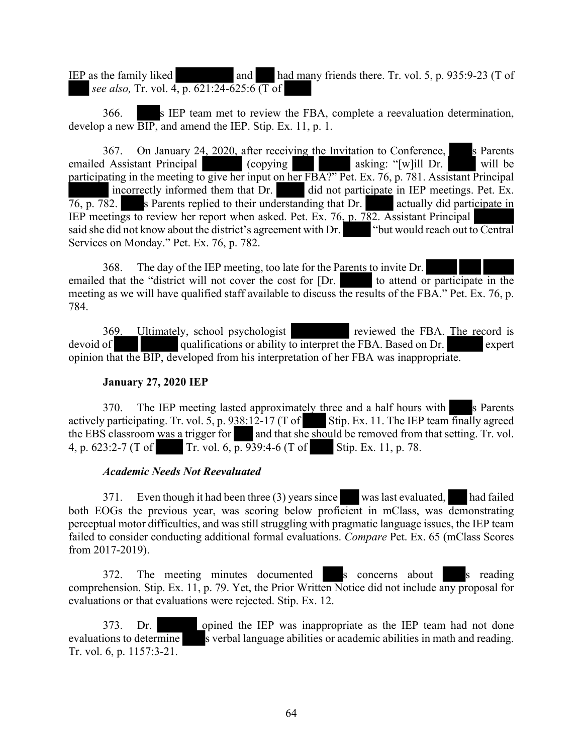IEP as the family liked and had many friends there. Tr. vol. 5, p. 935:9-23 (T of *see also,* Tr. vol. 4, p. 621:24-625:6 (T of

366. s IEP team met to review the FBA, complete a reevaluation determination, develop a new BIP, and amend the IEP. Stip. Ex. 11, p. 1.

367. On January 24, 2020, after receiving the Invitation to Conference,  $\blacksquare$  is Parents emailed Assistant Principal (copying asking: "[w]ill Dr. will be participating in the meeting to give her input on her FBA?" Pet. Ex. 76, p. 781. Assistant Principal incorrectly informed them that Dr. did not participate in IEP meetings. Pet. Ex.  $\overline{76}$ , p. 782. s Parents replied to their understanding that Dr. actually did participate in IEP meetings to review her report when asked. Pet. Ex. 76, p. 782. Assistant Principal said she did not know about the district's agreement with Dr. said she did not know about the district's agreement with Dr. Services on Monday." Pet. Ex. 76, p. 782.

368. The day of the IEP meeting, too late for the Parents to invite Dr. emailed that the "district will not cover the cost for  $[Dr.$  to attend or participate in the meeting as we will have qualified staff available to discuss the results of the FBA." Pet. Ex. 76, p. 784.

369. Ultimately, school psychologist reviewed the FBA. The record is devoid of qualifications or ability to interpret the FBA. Based on Dr. expert opinion that the BIP, developed from his interpretation of her FBA was inappropriate.

### **January 27, 2020 IEP**

370. The IEP meeting lasted approximately three and a half hours with s Parents actively participating. Tr. vol. 5, p.  $938:12-17$  (T of Stip. Ex. 11. The IEP team finally agreed the EBS classroom was a trigger for and that she should be removed from that setting. Tr. vol. 4, p. 623:2-7 (T of Tr. vol. 6, p. 939:4-6 (T of Stip. Ex. 11, p. 78.

# *Academic Needs Not Reevaluated*

371. Even though it had been three (3) years since waslast evaluated, had failed both EOGs the previous year, was scoring below proficient in mClass, was demonstrating perceptual motor difficulties, and was still struggling with pragmatic language issues, the IEP team failed to consider conducting additional formal evaluations. *Compare* Pet. Ex. 65 (mClass Scores from 2017-2019).

372. The meeting minutes documented s concerns about s reading comprehension. Stip. Ex. 11, p. 79. Yet, the Prior Written Notice did not include any proposal for evaluations or that evaluations were rejected. Stip. Ex. 12.

373. Dr. opined the IEP was inappropriate as the IEP team had not done evaluations to determine s verbal language abilities or academic abilities in math and reading. Tr. vol. 6, p. 1157:3-21.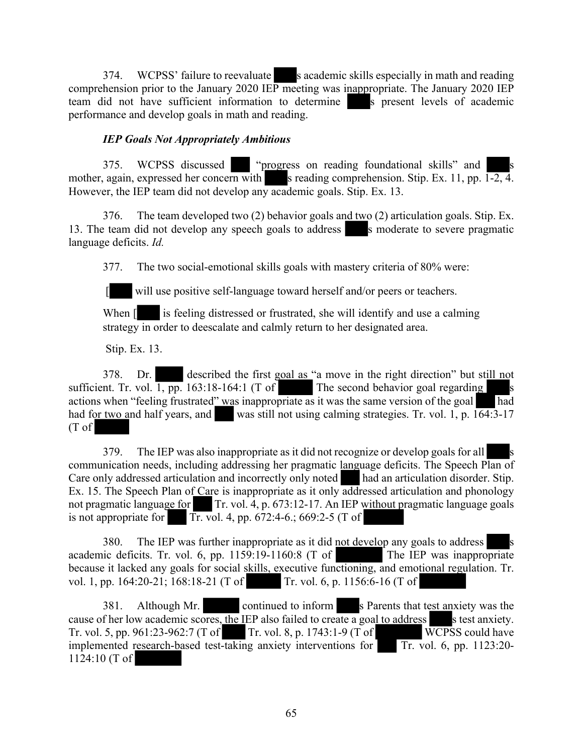374. WCPSS' failure to reevaluate s academic skills especially in math and reading comprehension prior to the January 2020 IEP meeting was inappropriate. The January 2020 IEP team did not have sufficient information to determine s present levels of academic performance and develop goals in math and reading.

### *IEP Goals Not Appropriately Ambitious*

375. WCPSS discussed "progress on reading foundational skills" and mother, again, expressed her concern with s reading comprehension. Stip. Ex. 11, pp.  $1-2$ , 4. However, the IEP team did not develop any academic goals. Stip. Ex. 13.

376. The team developed two (2) behavior goals and two (2) articulation goals. Stip. Ex. 13. The team did not develop any speech goals to address s moderate to severe pragmatic language deficits. *Id.*

377. The two social-emotional skills goals with mastery criteria of 80% were:

[ will use positive self-language toward herself and/or peers or teachers.

When  $\lceil \cdot \rceil$  is feeling distressed or frustrated, she will identify and use a calming strategy in order to deescalate and calmly return to her designated area.

Stip. Ex. 13.

378. Dr. described the first goal as "a move in the right direction" but still not sufficient. Tr. vol.  $\overline{1, pp}$ . 163:18-164:1 (T of The second behavior goal regarding actions when "feeling frustrated" was inappropriate as it was the same version of the goal had had for two and half years, and was still not using calming strategies. Tr. vol. 1, p.  $164:3-17$ (T of

379. The IEP was also inappropriate as it did not recognize or develop goals for all communication needs, including addressing her pragmatic language deficits. The Speech Plan of Care only addressed articulation and incorrectly only noted had an articulation disorder. Stip. Ex. 15. The Speech Plan of Care is inappropriate as it only addressed articulation and phonology not pragmatic language for Tr. vol. 4, p. 673:12-17. An IEP without pragmatic language goals is not appropriate for  $\overline{\text{Tr. vol. 4}}$ , pp. 672:4-6.; 669:2-5 (T of

380. The IEP was further inappropriate as it did not develop any goals to address academic deficits. Tr. vol. 6, pp. 1159:19-1160:8 (T of The IEP was inappropriate because it lacked any goals for social skills, executive functioning, and emotional regulation. Tr. vol. 1, pp. 164:20-21; 168:18-21 (T of Tr. vol. 6, p. 1156:6-16 (T of

381. Although Mr. continued to inform s Parents that test anxiety was the cause of her low academic scores, the IEP also failed to create a goal to address s test anxiety. Tr. vol. 5, pp. 961:23-962:7 (T of Tr. vol. 8, p. 1743:1-9 (T of WCPSS could have implemented research-based test-taking anxiety interventions for Tr. vol. 6, pp. 1123:20-1124:10 (T of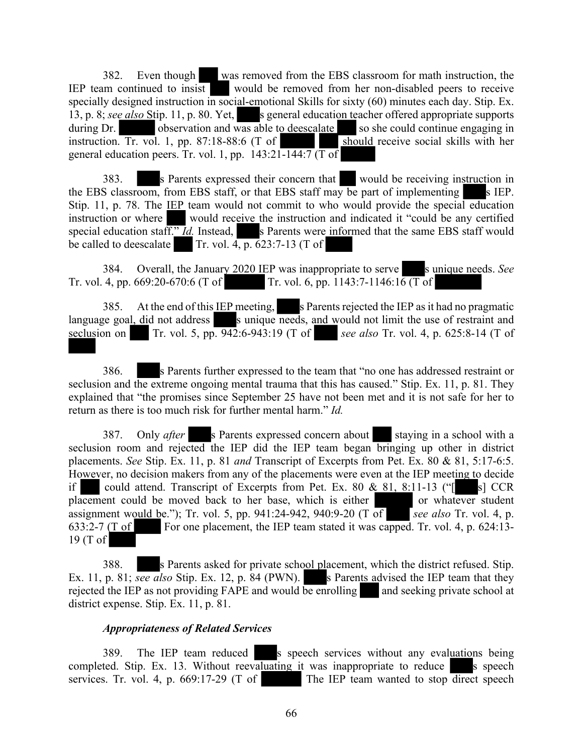382. Even though was removed from the EBS classroom for math instruction, the IEP team continued to insist would be removed from her non-disabled peers to receive specially designed instruction in social-emotional Skills for sixty (60) minutes each day. Stip. Ex. 13, p. 8; *see also* Stip. 11, p. 80. Yet, s general education teacher offered appropriate supports during Dr. observation and was able to deescalate so she could continue engaging in instruction. Tr. vol. 1, pp. 87:18-88:6 (T of should receive social skills with her instruction. Tr. vol. 1, pp. 87:18-88:6  $(T \text{ of }$ general education peers. Tr. vol. 1, pp.  $143:21-144:7$  (T of

383. s Parents expressed their concern that would be receiving instruction in the EBS classroom, from EBS staff, or that EBS staff may be part of implementing  $\blacksquare$  s IEP. Stip. 11, p. 78. The IEP team would not commit to who would provide the special education instruction or where would receive the instruction and indicated it "could be any certified special education staff." *Id.* Instead, s Parents were informed that the same EBS staff would be called to deescalate  $\boxed{\text{Tr. vol. } 4, \text{p. } 623:7-13 \text{ (T of } )}$ 

384. Overall, the January 2020 IEP was inappropriate to serve s unique needs. See Tr. vol. 4, pp. 669:20-670:6 (T of Tr. vol. 6, pp. 1143:7-1146:16 (T of

385. At the end of this IEP meeting, s Parents rejected the IEP as it had no pragmatic language goal, did not address solution is unique needs, and would not limit the use of restraint and seclusion on Tr. vol. 5, pp. 942:6-943:19 (T of *see also* Tr. vol. 4, p. 625:8-14 (T of

386. s Parents further expressed to the team that "no one has addressed restraint or seclusion and the extreme ongoing mental trauma that this has caused." Stip. Ex. 11, p. 81. They explained that "the promises since September 25 have not been met and it is not safe for her to return as there is too much risk for further mental harm." *Id.*

387. Only *after* s Parents expressed concern about staying in a school with a seclusion room and rejected the IEP did the IEP team began bringing up other in district placements. *See* Stip. Ex. 11, p. 81 *and* Transcript of Excerpts from Pet. Ex. 80 & 81, 5:17-6:5. However, no decision makers from any of the placements were even at the IEP meeting to decide if could attend. Transcript of Excerpts from Pet. Ex. 80  $& 81, 8:11-13$  (" $\lceil$  s] CCR placement could be moved back to her base, which is either or whatever student assignment would be."); Tr. vol. 5, pp. 941:24-942, 940:9-20 (T of *see also* Tr. vol. 4, p. 633:2-7 (T of For one placement, the IEP team stated it was capped. Tr. vol. 4, p. 624:13-19 (T of

388. s Parents asked for private school placement, which the district refused. Stip. Ex. 11, p. 81; *see also* Stip. Ex. 12, p. 84 (PWN). s Parents advised the IEP team that they rejected the IEP as not providing FAPE and would be enrolling and seeking private school at district expense. Stip. Ex. 11, p. 81.

### *Appropriateness of Related Services*

389. The IEP team reduced s speech services without any evaluations being completed. Stip. Ex. 13. Without reevaluating it was inappropriate to reduce  $\blacksquare$  s speech services. Tr. vol. 4, p. 669:17-29 (T of The IEP team wanted to stop direct speech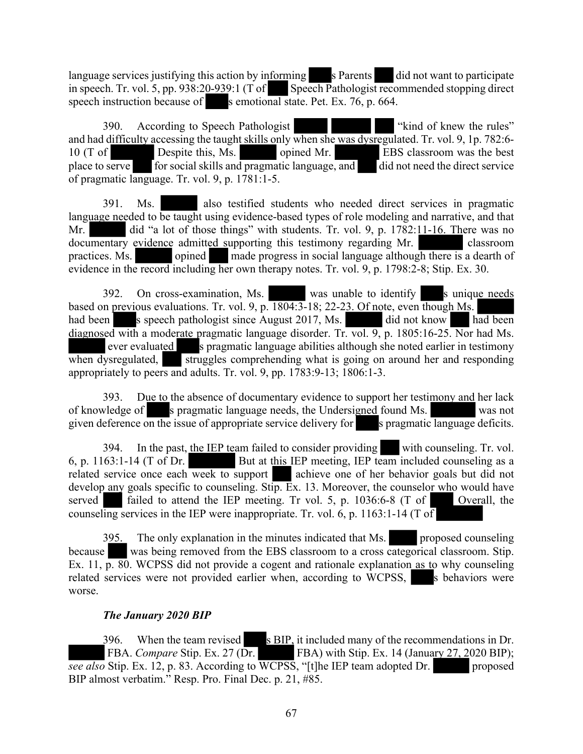language services justifying this action by informing s Parents did not want to participate in speech. Tr. vol. 5, pp. 938:20-939:1 (T of Speech Pathologist recommended stopping direct speech instruction because of s emotional state. Pet. Ex. 76, p. 664.

390. According to Speech Pathologist ""kind of knew the rules" and had difficulty accessing the taught skills only when she was dysregulated. Tr. vol. 9, 1p. 782:6- 10 (T of Despite this, Ms. opined Mr. EBS classroom was the best place to serve for social skills and pragmatic language, and did not need the direct service for social skills and pragmatic language, and did not need the direct service of pragmatic language. Tr. vol. 9, p. 1781:1-5.

391. Ms. also testified students who needed direct services in pragmatic language needed to be taught using evidence-based types of role modeling and narrative, and that Mr. did "a lot of those things" with students. Tr. vol. 9, p. 1782:11-16. There was no documentary evidence admitted supporting this testimony regarding Mr. classroom practices. Ms. opined made progress in social language although there is a dearth of evidence in the record including her own therapy notes. Tr. vol. 9, p. 1798:2-8; Stip. Ex. 30.

392. On cross-examination, Ms. was unable to identify s unique needs based on previous evaluations. Tr. vol. 9, p. 1804:3-18; 22-23. Of note, even though Ms. had been s speech pathologist since August 2017, Ms. did not know had been diagnosed with a moderate pragmatic language disorder. Tr. vol. 9, p. 1805:16-25. Nor had Ms. ever evaluated s pragmatic language abilities although she noted earlier in testimony when dysregulated, struggles comprehending what is going on around her and responding appropriately to peers and adults. Tr. vol. 9, pp. 1783:9-13; 1806:1-3.

393. Due to the absence of documentary evidence to support her testimony and her lack of knowledge of s pragmatic language needs, the Undersigned found Ms. was not given deference on the issue of appropriate service delivery for  $\blacksquare$  s pragmatic language deficits.

394. In the past, the IEP team failed to consider providing with counseling. Tr. vol. 6, p. 1163:1-14 (T of Dr. But at this IEP meeting, IEP team included counseling as a related service once each week to support achieve one of her behavior goals but did not develop any goals specific to counseling. Stip. Ex. 13. Moreover, the counselor who would have served failed to attend the IEP meeting. Tr vol. 5, p. 1036:6-8 (T of Overall, the counseling services in the IEP were inappropriate. Tr. vol. 6, p. 1163:1-14 (T of

395. The only explanation in the minutes indicated that Ms. proposed counseling because was being removed from the EBS classroom to a cross categorical classroom. Stip. Ex. 11, p. 80. WCPSS did not provide a cogent and rationale explanation as to why counseling related services were not provided earlier when, according to WCPSS, see a behaviors were worse.

# *The January 2020 BIP*

396. When the team revised s BIP, it included many of the recommendations in Dr. FBA. *Compare* Stip. Ex. 27 (Dr. FBA) with Stip. Ex. 14 (January 27, 2020 BIP); *see also* Stip. Ex. 12, p. 83. According to WCPSS, "[t]he IEP team adopted Dr. proposed BIP almost verbatim." Resp. Pro. Final Dec. p. 21, #85.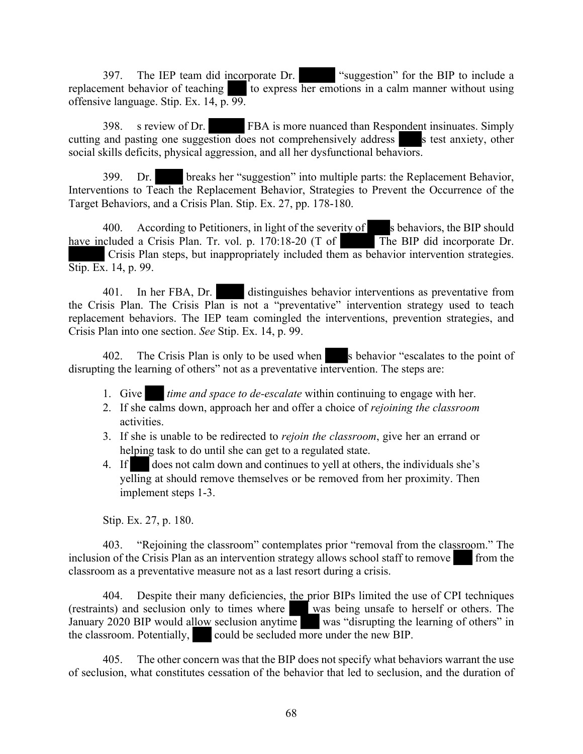397. The IEP team did incorporate Dr. "suggestion" for the BIP to include a replacement behavior of teaching to express her emotions in a calm manner without using offensive language. Stip. Ex. 14, p. 99.

398. s review of Dr. FBA is more nuanced than Respondent insinuates. Simply cutting and pasting one suggestion does not comprehensively address s test anxiety, other social skills deficits, physical aggression, and all her dysfunctional behaviors.

399. Dr. breaks her "suggestion" into multiple parts: the Replacement Behavior, Interventions to Teach the Replacement Behavior, Strategies to Prevent the Occurrence of the Target Behaviors, and a Crisis Plan. Stip. Ex. 27, pp. 178-180.

400. According to Petitioners, in light of the severity of s behaviors, the BIP should have included a Crisis Plan. Tr. vol. p. 170:18-20 (T of The BIP did incorporate Dr. Crisis Plan steps, but inappropriately included them as behavior intervention strategies. Stip. Ex. 14, p. 99.

401. In her FBA, Dr. distinguishes behavior interventions as preventative from the Crisis Plan. The Crisis Plan is not a "preventative" intervention strategy used to teach replacement behaviors. The IEP team comingled the interventions, prevention strategies, and Crisis Plan into one section. *See* Stip. Ex. 14, p. 99.

402. The Crisis Plan is only to be used when s behavior "escalates to the point of disrupting the learning of others" not as a preventative intervention. The steps are:

- 1. Give *time and space to de-escalate* within continuing to engage with her.
- 2. If she calms down, approach her and offer a choice of *rejoining the classroom* activities.
- 3. If she is unable to be redirected to *rejoin the classroom*, give her an errand or helping task to do until she can get to a regulated state.
- 4. If does not calm down and continues to yell at others, the individuals she's yelling at should remove themselves or be removed from her proximity. Then implement steps 1-3.

Stip. Ex. 27, p. 180.

403. "Rejoining the classroom" contemplates prior "removal from the classroom." The inclusion of the Crisis Plan as an intervention strategy allows school staff to remove from the classroom as a preventative measure not as a last resort during a crisis.

404. Despite their many deficiencies, the prior BIPs limited the use of CPI techniques (restraints) and seclusion only to times where was being unsafe to herself or others. The January 2020 BIP would allow seclusion anytime was "disrupting the learning of others" in the classroom. Potentially, could be secluded more under the new BIP.

405. The other concern was that the BIP does not specify what behaviors warrant the use of seclusion, what constitutes cessation of the behavior that led to seclusion, and the duration of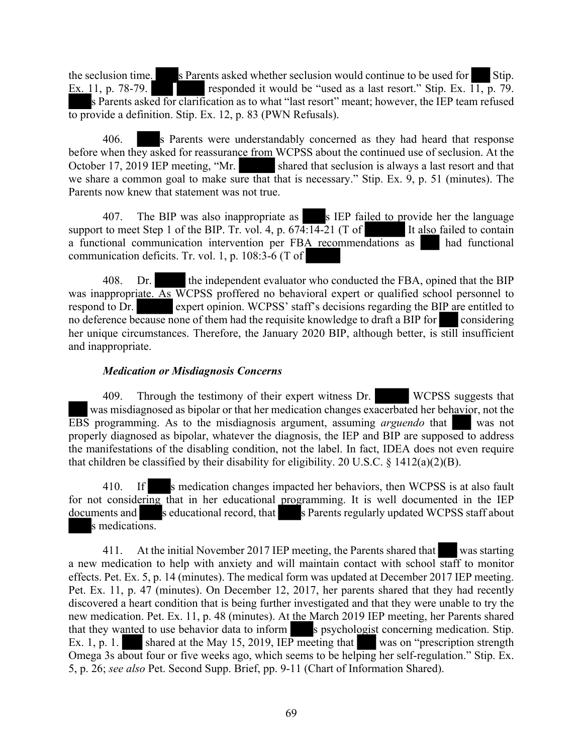the seclusion time. S Parents asked whether seclusion would continue to be used for Stip.<br>Ex. 11, p. 78-79. responded it would be "used as a last resort." Stip. Ex.  $\overline{11}$ , p. 79. s Parents asked for clarification as to what "last resort" meant; however, the IEP team refused to provide a definition. Stip. Ex. 12, p. 83 (PWN Refusals).

406. s Parents were understandably concerned as they had heard that response before when they asked for reassurance from WCPSS about the continued use of seclusion. At the October 17, 2019 IEP meeting, "Mr. shared that seclusion is always a last resort and that we share a common goal to make sure that that is necessary." Stip. Ex. 9, p. 51 (minutes). The Parents now knew that statement was not true.

407. The BIP was also inappropriate as s IEP failed to provide her the language support to meet Step 1 of the BIP. Tr. vol. 4, p.  $674:14-21$  (T of It also failed to contain a functional communication intervention per FBA recommendations as had functional communication deficits. Tr. vol. 1, p. 108:3-6 (T of

408. Dr. the independent evaluator who conducted the FBA, opined that the BIP was inappropriate. As WCPSS proffered no behavioral expert or qualified school personnel to respond to Dr. expert opinion. WCPSS' staff's decisions regarding the BIP are entitled to no deference because none of them had the requisite knowledge to draft a BIP for considering her unique circumstances. Therefore, the January 2020 BIP, although better, is still insufficient and inappropriate.

### *Medication or Misdiagnosis Concerns*

409. Through the testimony of their expert witness Dr. WCPSS suggests that was misdiagnosed as bipolar or that her medication changes exacerbated her behavior, not the EBS programming. As to the misdiagnosis argument, assuming *arguendo* that was not properly diagnosed as bipolar, whatever the diagnosis, the IEP and BIP are supposed to address the manifestations of the disabling condition, not the label. In fact, IDEA does not even require that children be classified by their disability for eligibility. 20 U.S.C.  $\S$  1412(a)(2)(B).

410. If s medication changes impacted her behaviors, then WCPSS is at also fault for not considering that in her educational programming. It is well documented in the IEP documents and seducational record, that s Parents regularly updated WCPSS staff about s medications.

411. At the initial November 2017 IEP meeting, the Parents shared that was starting a new medication to help with anxiety and will maintain contact with school staff to monitor effects. Pet. Ex. 5, p. 14 (minutes). The medical form was updated at December 2017 IEP meeting. Pet. Ex. 11, p. 47 (minutes). On December 12, 2017, her parents shared that they had recently discovered a heart condition that is being further investigated and that they were unable to try the new medication. Pet. Ex. 11, p. 48 (minutes). At the March 2019 IEP meeting, her Parents shared that they wanted to use behavior data to inform s psychologist concerning medication. Stip. Ex. 1, p. 1. shared at the May 15, 2019, IEP meeting that was on "prescription strength" Omega 3s about four or five weeks ago, which seems to be helping her self-regulation." Stip. Ex. 5, p. 26; *see also* Pet. Second Supp. Brief, pp. 9-11 (Chart of Information Shared).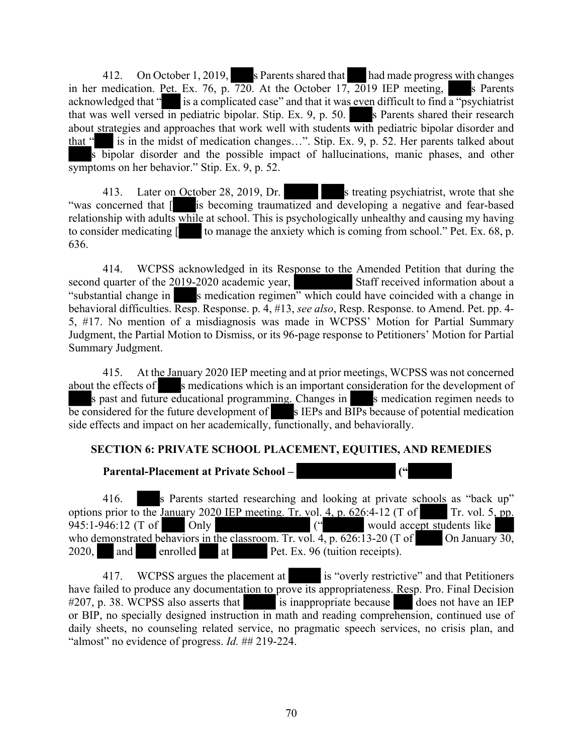412. On October 1, 2019, s Parents shared that had made progress with changes in her medication. Pet. Ex. 76, p. 720. At the October 17, 2019 IEP meeting, s Parents acknowledged that " $\cdot$  is a complicated case" and that it was even difficult to find  $\overline{a$  "psychiatrist" that was well versed in pediatric bipolar. Stip. Ex. 9, p. 50. s Parents shared their research about strategies and approaches that work well with students with pediatric bipolar disorder and that " is in the midst of medication changes…". Stip. Ex. 9, p. 52. Her parents talked about s bipolar disorder and the possible impact of hallucinations, manic phases, and other symptoms on her behavior." Stip. Ex. 9, p. 52.

413. Later on October 28, 2019, Dr. s treating psychiatrist, wrote that she "was concerned that [ is becoming traumatized and developing a negative and fear-based relationship with adults while at school. This is psychologically unhealthy and causing my having to consider medicating  $\lceil \cdot \rceil$  to manage the anxiety which is coming from school." Pet. Ex. 68, p. 636.

414. WCPSS acknowledged in its Response to the Amended Petition that during the second quarter of the 2019-2020 academic year, Staff received information about a "substantial change in s medication regimen" which could have coincided with a change in behavioral difficulties. Resp. Response. p. 4, #13, *see also*, Resp. Response. to Amend. Pet. pp. 4- 5, #17. No mention of a misdiagnosis was made in WCPSS' Motion for Partial Summary Judgment, the Partial Motion to Dismiss, or its 96-page response to Petitioners' Motion for Partial Summary Judgment.

415. At the January 2020 IEP meeting and at prior meetings, WCPSS was not concerned about the effects of s medications which is an important consideration for the development of s past and future educational programming. Changes in s medication regimen needs to be considered for the future development of s IEPs and BIPs because of potential medication side effects and impact on her academically, functionally, and behaviorally.

# **SECTION 6: PRIVATE SCHOOL PLACEMENT, EQUITIES, AND REMEDIES**

# **Parental-Placement at Private School – ("**

416. s Parents started researching and looking at private schools as "back up" options prior to the January 2020 IEP meeting. Tr. vol. 4, p. 626:4-12 (T of Tr. vol. 5, pp. 945:1-946:12 (T of Only  $($ " would accept students like who demonstrated behaviors in the classroom. Tr. vol. 4, p. 626:13-20 (T of On January 30, 2020, and enrolled at Pet. Ex. 96 (tuition receipts).

417. WCPSS argues the placement at is "overly restrictive" and that Petitioners have failed to produce any documentation to prove its appropriateness. Resp. Pro. Final Decision #207, p. 38. WCPSS also asserts that is inappropriate because does not have an IEP or BIP, no specially designed instruction in math and reading comprehension, continued use of daily sheets, no counseling related service, no pragmatic speech services, no crisis plan, and "almost" no evidence of progress. *Id.* ## 219-224.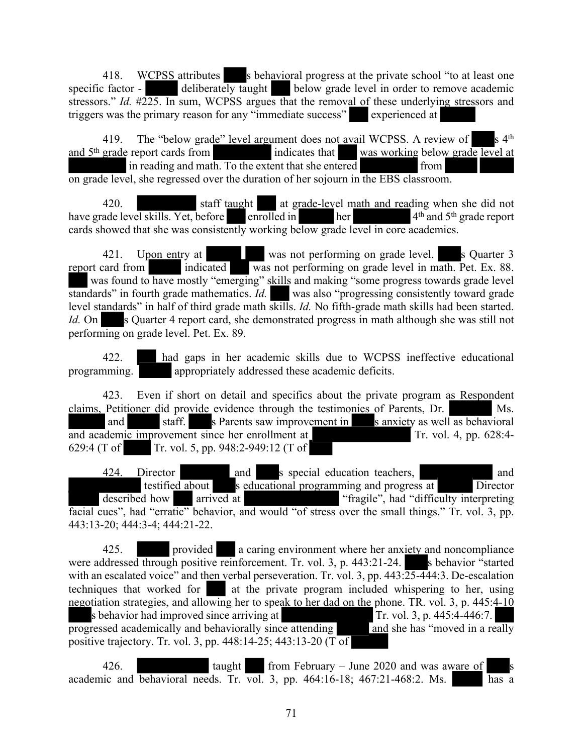418. WCPSS attributes s behavioral progress at the private school "to at least one specific factor - deliberately taught below grade level in order to remove academic stressors." *Id.* #225. In sum, WCPSS argues that the removal of these underlying stressors and triggers was the primary reason for any "immediate success" experienced at

419. The "below grade" level argument does not avail WCPSS. A review of s 4<sup>th</sup> and 5<sup>th</sup> grade report cards from indicates that was working below grade level at in reading and math. To the extent that she entered from on grade level, she regressed over the duration of her sojourn in the EBS classroom.

420. staff taught at grade-level math and reading when she did not have grade level skills. Yet, before enrolled in her <sup>th</sup> and 5<sup>th</sup> grade report cards showed that she was consistently working below grade level in core academics.

421. Upon entry at was not performing on grade level. Soluter 3 report card from indicated was not performing on grade level in math. Pet. Ex. 88. was found to have mostly "emerging" skills and making "some progress towards grade level standards" in fourth grade mathematics. *Id.* was also "progressing consistently toward grade" level standards" in half of third grade math skills. *Id.* No fifth-grade math skills had been started. *Id.* On s Quarter 4 report card, she demonstrated progress in math although she was still not performing on grade level. Pet. Ex. 89.

422. had gaps in her academic skills due to WCPSS ineffective educational programming. appropriately addressed these academic deficits.

423. Even if short on detail and specifics about the private program as Respondent claims, Petitioner did provide evidence through the testimonies of Parents, Dr. Ms. and staff. s Parents saw improvement in s anxiety as well as behavioral  $\overline{\text{and academic improvement since her enrollment at}}$  Tr. vol. 4, pp. 628:4-629:4 (T of Tr. vol. 5, pp. 948:2-949:12 (T of

424. Director and s special education teachers, and and testified about s educational programming and progress at Director described how arrived at "fragile", had "difficulty interpreting" facial cues", had "erratic" behavior, and would "of stress over the small things." Tr. vol. 3, pp. 443:13-20; 444:3-4; 444:21-22.

425. provided a caring environment where her anxiety and noncompliance were addressed through positive reinforcement. Tr. vol. 3, p. 443:21-24. s behavior "started" with an escalated voice" and then verbal perseveration. Tr. vol. 3, pp.  $443:\overline{25-444}:$ 3. De-escalation techniques that worked for at the private program included whispering to her, using negotiation strategies, and allowing her to speak to her dad on the phone. TR. vol. 3, p. 445:4-10 s behavior had improved since arriving at Tr. vol. 3, p. 445:4-446:7.<br>
ressed academically and behaviorally since attending and she has "moved in a really progressed academically and behaviorally since attending positive trajectory. Tr. vol. 3, pp. 448:14-25; 443:13-20 (T $\overline{of}$ 

426. taught from February – June 2020 and was aware of academic and behavioral needs. Tr. vol. 3, pp.  $464:16-18$ ;  $467:21-468:2$ . Ms. has a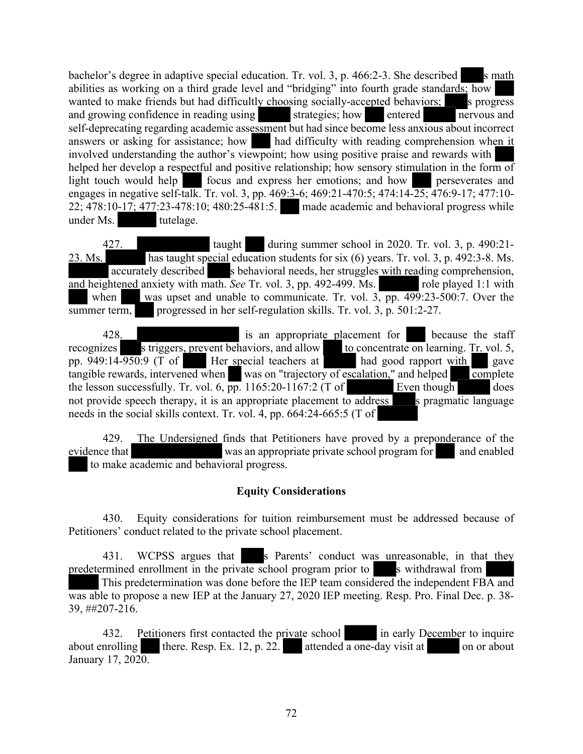bachelor's degree in adaptive special education. Tr. vol. 3, p.  $466:2-3$ . She described s math abilities as working on a third grade level and "bridging" into fourth grade standards; how wanted to make friends but had difficultly choosing socially-accepted behaviors; s progress and growing confidence in reading using strategies; how entered nervous and self-deprecating regarding academic assessment but had since become less anxious about incorrect answers or asking for assistance; how had difficulty with reading comprehension when it involved understanding the author's viewpoint; how using positive praise and rewards with helped her develop a respectful and positive relationship; how sensory stimulation in the form of light touch would help focus and express her emotions; and how perseverates and engages in negative self-talk. Tr. vol. 3, pp. 469:3-6; 469:21-470:5; 474:14-25; 476:9-17; 477:10- 22; 478:10-17; 477:23-478:10; 480:25-481:5. made academic and behavioral progress while under Ms. tutelage.

427. taught during summer school in 2020. Tr. vol. 3, p. 490:21- 23. Ms. has taught special education students for six (6) years. Tr. vol. 3, p. 492:3-8. Ms. accurately described s behavioral needs, her struggles with reading comprehension, and heightened anxiety with math. *See* Tr. vol. 3, pp. 492-499. Ms. role played 1:1 with when was upset and unable to communicate. Tr. vol. 3, pp. 499:23-500:7. Over the summer term, progressed in her self-regulation skills. Tr. vol. 3, p. 501:2-27.

428. Is an appropriate placement for the because the staff striggers, prevent behaviors, and allow to concentrate on learning. Tr. vol. 5, recognizes s triggers, prevent behaviors, and allow to concentrate on learning. Tr. vol. 5, pp. 949:14-950:9 (T of Her special teachers at had good rapport with gave tangible rewards, intervened when was on "trajectory of escalation," and helped complete the lesson successfully. Tr. vol. 6, pp. 1165:20-1167:2 (T of Even though does the lesson successfully. Tr. vol. 6,  $\overline{pp}$ . 1165:20-1167:2 (T of Even though does not provide speech therapy, it is an appropriate placement to address s pragmatic language needs in the social skills context. Tr. vol. 4, pp. 664:24-665:5 (T of

429. The Undersigned finds that Petitioners have proved by a preponderance of the evidence that was an appropriate private school program for and enabled to make academic and behavioral progress.

# **Equity Considerations**

430. Equity considerations for tuition reimbursement must be addressed because of Petitioners' conduct related to the private school placement.

431. WCPSS argues that s Parents' conduct was unreasonable, in that they predetermined enrollment in the private school program prior to s withdrawal from

This predetermination was done before the IEP team considered the independent FBA and was able to propose a new IEP at the January 27, 2020 IEP meeting. Resp. Pro. Final Dec. p. 38- 39, ##207-216.

432. Petitioners first contacted the private school in early December to inquire about enrolling there. Resp. Ex. 12, p. 22. attended a one-day visit at on or about January 17, 2020.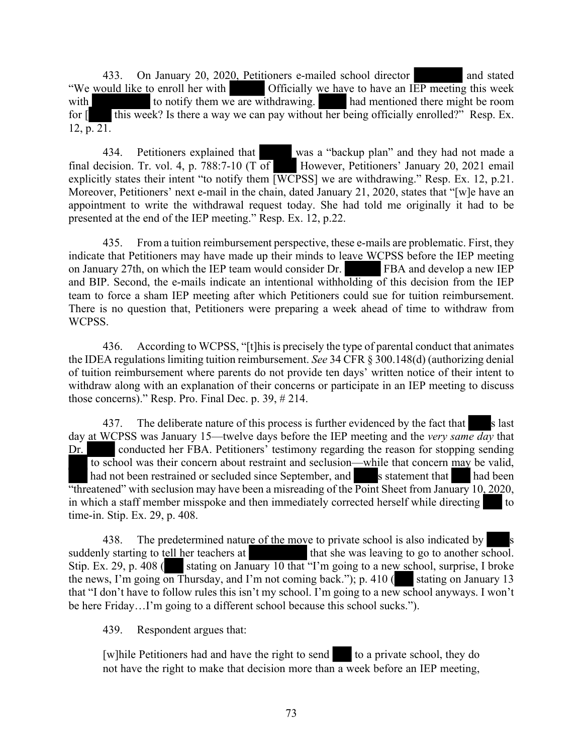433. On January 20, 2020, Petitioners e-mailed school director and stated "We would like to enroll her with Officially we have to have an IEP meeting this week with to notify them we are withdrawing. had mentioned there might be room for  $\lceil \cdot \rceil$  this week? Is there a way we can pay without her being officially enrolled?" Resp. Ex. 12, p. 21.

434. Petitioners explained that was a "backup plan" and they had not made a final decision. Tr. vol. 4, p. 788:7-10 (T of  $\Box$  However, Petitioners' January 20, 2021 email explicitly states their intent "to notify them  $\overline{[WCPSS]}$  we are withdrawing." Resp. Ex. 12, p.21. Moreover, Petitioners' next e-mail in the chain, dated January 21, 2020, states that "[w]e have an appointment to write the withdrawal request today. She had told me originally it had to be presented at the end of the IEP meeting." Resp. Ex. 12, p.22.

435. From a tuition reimbursement perspective, these e-mails are problematic. First, they indicate that Petitioners may have made up their minds to leave WCPSS before the IEP meeting on January 27th, on which the IEP team would consider Dr. FBA and develop a new IEP and BIP. Second, the e-mails indicate an intentional withholding of this decision from the IEP team to force a sham IEP meeting after which Petitioners could sue for tuition reimbursement. There is no question that, Petitioners were preparing a week ahead of time to withdraw from WCPSS.

436. According to WCPSS, "[t]his is precisely the type of parental conduct that animates the IDEA regulations limiting tuition reimbursement. *See* 34 CFR § 300.148(d) (authorizing denial of tuition reimbursement where parents do not provide ten days' written notice of their intent to withdraw along with an explanation of their concerns or participate in an IEP meeting to discuss those concerns)." Resp. Pro. Final Dec. p. 39, # 214.

437. The deliberate nature of this process is further evidenced by the fact that s last day at WCPSS was January 15—twelve days before the IEP meeting and the *very same day* that Dr. conducted her FBA. Petitioners' testimony regarding the reason for stopping sending to school was their concern about restraint and seclusion—while that concern may be valid, had not been restrained or secluded since September, and s statement that had been "threatened" with seclusion may have been a misreading of the  $\overline{Point}$  Sheet from January 10, 2020, in which a staff member misspoke and then immediately corrected herself while directing to time-in. Stip. Ex. 29, p. 408.

438. The predetermined nature of the move to private school is also indicated by suddenly starting to tell her teachers at that she was leaving to go to another so that she was leaving to go to another school. Stip. Ex. 29, p. 408 ( stating on January 10 that "I'm going to a new school, surprise, I broke the news, I'm going on Thursday, and I'm not coming back."); p. 410 ( stating on January 13 that "I don't have to follow rules this isn't my school. I'm going to a new school anyways. I won't be here Friday…I'm going to a different school because this school sucks.").

439. Respondent argues that:

[w]hile Petitioners had and have the right to send to a private school, they do not have the right to make that decision more than a week before an IEP meeting,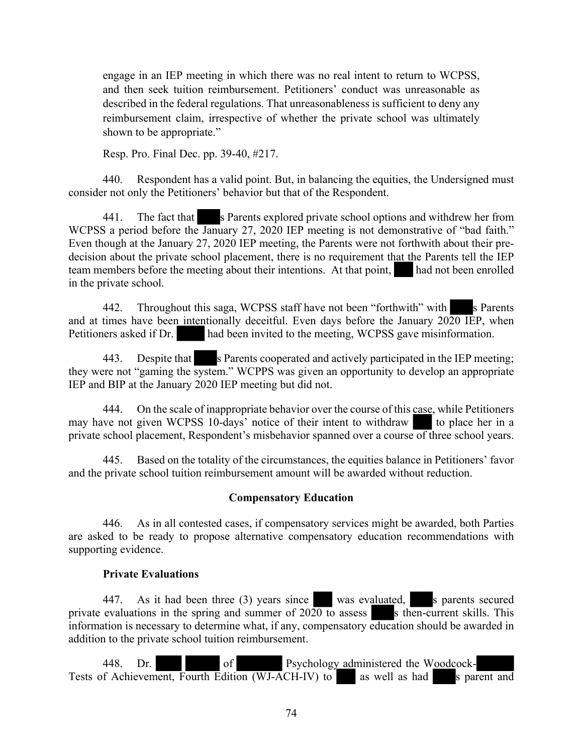engage in an IEP meeting in which there was no real intent to return to WCPSS, and then seek tuition reimbursement. Petitioners' conduct was unreasonable as described in the federal regulations. That unreasonableness is sufficient to deny any reimbursement claim, irrespective of whether the private school was ultimately shown to be appropriate."

Resp. Pro. Final Dec. pp. 39-40, #217.

440. Respondent has a valid point. But, in balancing the equities, the Undersigned must consider not only the Petitioners' behavior but that of the Respondent.

441. The fact that s Parents explored private school options and withdrew her from WCPSS a period before the January 27, 2020 IEP meeting is not demonstrative of "bad faith." Even though at the January 27, 2020 IEP meeting, the Parents were not forthwith about their predecision about the private school placement, there is no requirement that the Parents tell the IEP team members before the meeting about their intentions. At that point, had not been enrolled in the private school.

442. Throughout this saga, WCPSS staff have not been "forthwith" with s Parents and at times have been intentionally deceitful. Even days before the January  $20\overline{20}$  IEP, when Petitioners asked if Dr. had been invited to the meeting, WCPSS gave misinformation.

443. Despite that s Parents cooperated and actively participated in the IEP meeting; they were not "gaming the system." WCPPS was given an opportunity to develop an appropriate IEP and BIP at the January 2020 IEP meeting but did not.

444. On the scale of inappropriate behavior over the course of this case, while Petitioners may have not given WCPSS 10-days' notice of their intent to withdraw to place her in a private school placement, Respondent's misbehavior spanned over a course of three school years.

445. Based on the totality of the circumstances, the equities balance in Petitioners' favor and the private school tuition reimbursement amount will be awarded without reduction.

### **Compensatory Education**

446. As in all contested cases, if compensatory services might be awarded, both Parties are asked to be ready to propose alternative compensatory education recommendations with supporting evidence.

### **Private Evaluations**

447. As it had been three (3) years since was evaluated, s parents secured private evaluations in the spring and summer of  $2020$  to assess s is then-current skills. This information is necessary to determine what, if any, compensatory education should be awarded in addition to the private school tuition reimbursement.

448. Dr. of Psychology administered the Woodcock-Tests of Achievement, Fourth Edition (WJ-ACH-IV) to as well as had s parent and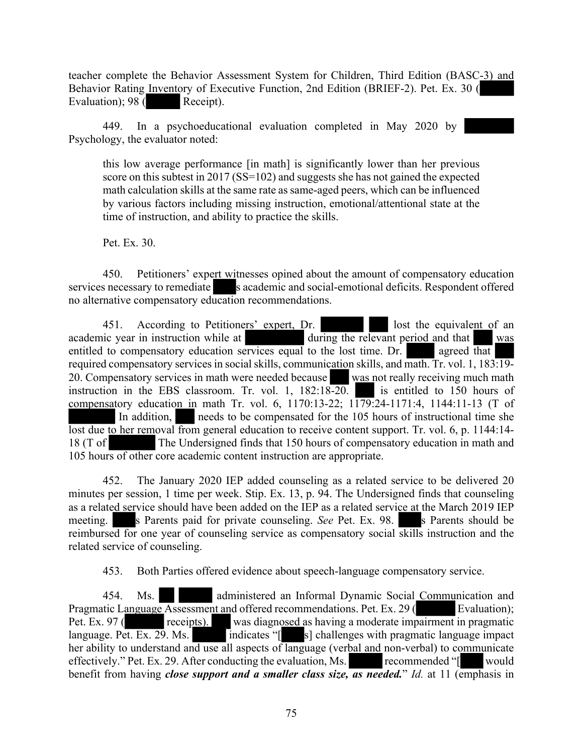teacher complete the Behavior Assessment System for Children, Third Edition (BASC-3) and Behavior Rating Inventory of Executive Function, 2nd Edition (BRIEF-2). Pet. Ex. 30 ( Evaluation); 98 (Receipt).

449. In a psychoeducational evaluation completed in May 2020 by Psychology, the evaluator noted:

this low average performance [in math] is significantly lower than her previous score on this subtest in 2017 (SS=102) and suggests she has not gained the expected math calculation skills at the same rate as same-aged peers, which can be influenced by various factors including missing instruction, emotional/attentional state at the time of instruction, and ability to practice the skills.

Pet. Ex. 30.

450. Petitioners' expert witnesses opined about the amount of compensatory education services necessary to remediate s academic and social-emotional deficits. Respondent offered no alternative compensatory education recommendations.

451. According to Petitioners' expert, Dr. lost the equivalent of an academic year in instruction while at during the relevant period and that was entitled to compensatory education services equal to the lost time. Dr. agreed that required compensatory services in social skills, communication skills, and math. Tr. vol. 1, 183:19- 20. Compensatory services in math were needed because was not really receiving much math instruction in the EBS classroom. Tr. vol. 1, 182:18-20. is entitled to 150 hours of compensatory education in math Tr. vol. 6, 1170:13-22; 1179:24-1171:4, 1144:11-13 (T of In addition, needs to be compensated for the 105 hours of instructional time she lost due to her removal from general education to receive content support. Tr. vol. 6, p. 1144:14- 18 (T of The Undersigned finds that 150 hours of compensatory education in math and 105 hours of other core academic content instruction are appropriate.

452. The January 2020 IEP added counseling as a related service to be delivered 20 minutes per session, 1 time per week. Stip. Ex. 13, p. 94. The Undersigned finds that counseling as a related service should have been added on the IEP as a related service at the March 2019 IEP meeting. s Parents paid for private counseling. *See* Pet. Ex. 98. s Parents should be reimbursed for one year of counseling service as compensatory social skills instruction and the related service of counseling.

453. Both Parties offered evidence about speech-language compensatory service.

454. Ms. administered an Informal Dynamic Social Communication and Pragmatic Language Assessment and offered recommendations. Pet. Ex. 29 (Evaluation); Pet. Ex. 97 (receipts). was diagnosed as having a moderate impairment in pragmatic language. Pet. Ex. 29. Ms.  $\overline{\phantom{a}}$  indicates " $\overline{\phantom{a}}$  s] challenges with pragmatic language impact her ability to understand and use all aspects of language (verbal and non-verbal) to communicate effectively." Pet. Ex. 29. After conducting the evaluation, Ms. recommended "[ would benefit from having *close support and a smaller class size, as needed.*" *Id.* at 11 (emphasis in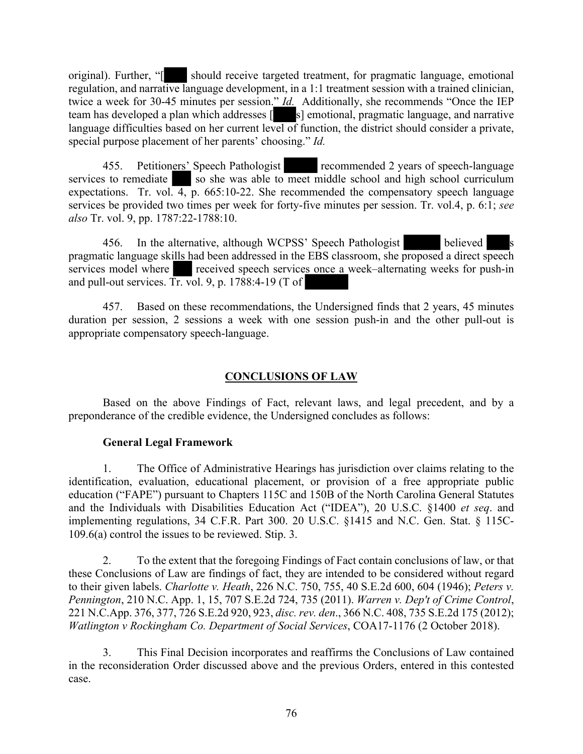original). Further, "[ should receive targeted treatment, for pragmatic language, emotional regulation, and narrative language development, in a 1:1 treatment session with a trained clinician, twice a week for 30-45 minutes per session." *Id.* Additionally, she recommends "Once the IEP team has developed a plan which addresses [see s] emotional, pragmatic language, and narrative language difficulties based on her current level of function, the district should consider a private, special purpose placement of her parents' choosing." *Id.*

455. Petitioners' Speech Pathologist recommended 2 years of speech-language services to remediate so she was able to meet middle school and high school curriculum expectations. Tr. vol.  $\overline{4}$ , p. 665:10-22. She recommended the compensatory speech language services be provided two times per week for forty-five minutes per session. Tr. vol.4, p. 6:1; *see also* Tr. vol. 9, pp. 1787:22-1788:10.

456. In the alternative, although WCPSS' Speech Pathologist believed pragmatic language skills had been addressed in the EBS classroom, she proposed a direct speech services model where received speech services once a week–alternating weeks for push-in and pull-out services. Tr. vol. 9, p. 1788:4-19 (T of

457. Based on these recommendations, the Undersigned finds that 2 years, 45 minutes duration per session, 2 sessions a week with one session push-in and the other pull-out is appropriate compensatory speech-language.

# **CONCLUSIONS OF LAW**

Based on the above Findings of Fact, relevant laws, and legal precedent, and by a preponderance of the credible evidence, the Undersigned concludes as follows:

## **General Legal Framework**

1. The Office of Administrative Hearings has jurisdiction over claims relating to the identification, evaluation, educational placement, or provision of a free appropriate public education ("FAPE") pursuant to Chapters 115C and 150B of the North Carolina General Statutes and the Individuals with Disabilities Education Act ("IDEA"), 20 U.S.C. §1400 *et seq*. and implementing regulations, 34 C.F.R. Part 300. 20 U.S.C. §1415 and N.C. Gen. Stat. § 115C-109.6(a) control the issues to be reviewed. Stip. 3.

2. To the extent that the foregoing Findings of Fact contain conclusions of law, or that these Conclusions of Law are findings of fact, they are intended to be considered without regard to their given labels. *Charlotte v. Heath*, 226 N.C. 750, 755, 40 S.E.2d 600, 604 (1946); *Peters v. Pennington*, 210 N.C. App. 1, 15, 707 S.E.2d 724, 735 (2011). *Warren v. Dep't of Crime Control*, 221 N.C.App. 376, 377, 726 S.E.2d 920, 923, *disc. rev. den*., 366 N.C. 408, 735 S.E.2d 175 (2012); *Watlington v Rockingham Co. Department of Social Services*, COA17-1176 (2 October 2018).

3. This Final Decision incorporates and reaffirms the Conclusions of Law contained in the reconsideration Order discussed above and the previous Orders, entered in this contested case.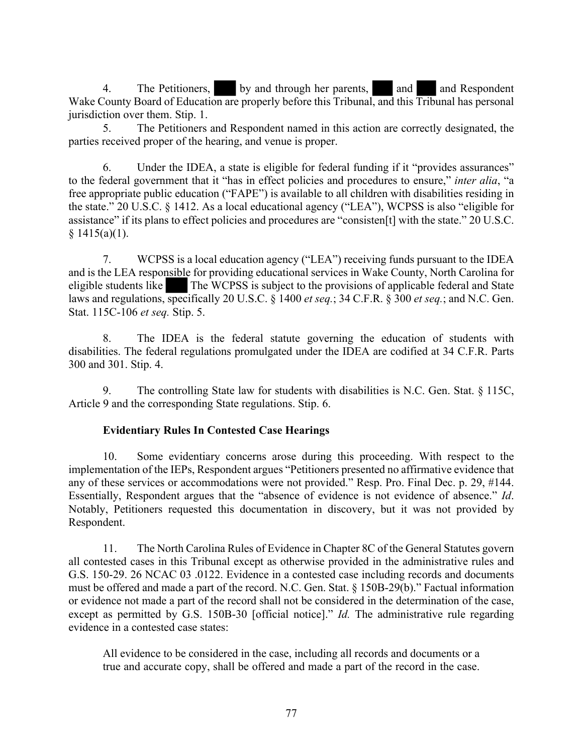4. The Petitioners, by and through her parents, and and Respondent Wake County Board of Education are properly before this Tribunal, and this Tribunal has personal jurisdiction over them. Stip. 1.

5. The Petitioners and Respondent named in this action are correctly designated, the parties received proper of the hearing, and venue is proper.

6. Under the IDEA, a state is eligible for federal funding if it "provides assurances" to the federal government that it "has in effect policies and procedures to ensure," *inter alia*, "a free appropriate public education ("FAPE") is available to all children with disabilities residing in the state." 20 U.S.C. § 1412. As a local educational agency ("LEA"), WCPSS is also "eligible for assistance" if its plans to effect policies and procedures are "consisten[t] with the state." 20 U.S.C.  $§ 1415(a)(1).$ 

7. WCPSS is a local education agency ("LEA") receiving funds pursuant to the IDEA and is the LEA responsible for providing educational services in Wake County, North Carolina for eligible students like The WCPSS is subject to the provisions of applicable federal and State laws and regulations, specifically 20 U.S.C. § 1400 *et seq.*; 34 C.F.R. § 300 *et seq.*; and N.C. Gen. Stat. 115C-106 *et seq.* Stip. 5.

8. The IDEA is the federal statute governing the education of students with disabilities. The federal regulations promulgated under the IDEA are codified at 34 C.F.R. Parts 300 and 301. Stip. 4.

9. The controlling State law for students with disabilities is N.C. Gen. Stat. § 115C, Article 9 and the corresponding State regulations. Stip. 6.

## **Evidentiary Rules In Contested Case Hearings**

10. Some evidentiary concerns arose during this proceeding. With respect to the implementation of the IEPs, Respondent argues "Petitioners presented no affirmative evidence that any of these services or accommodations were not provided." Resp. Pro. Final Dec. p. 29, #144. Essentially, Respondent argues that the "absence of evidence is not evidence of absence." *Id*. Notably, Petitioners requested this documentation in discovery, but it was not provided by Respondent.

11. The North Carolina Rules of Evidence in Chapter 8C of the General Statutes govern all contested cases in this Tribunal except as otherwise provided in the administrative rules and G.S. 150-29. 26 NCAC 03 .0122. Evidence in a contested case including records and documents must be offered and made a part of the record. N.C. Gen. Stat. § 150B-29(b)." Factual information or evidence not made a part of the record shall not be considered in the determination of the case, except as permitted by G.S. 150B-30 [official notice]." *Id.* The administrative rule regarding evidence in a contested case states:

All evidence to be considered in the case, including all records and documents or a true and accurate copy, shall be offered and made a part of the record in the case.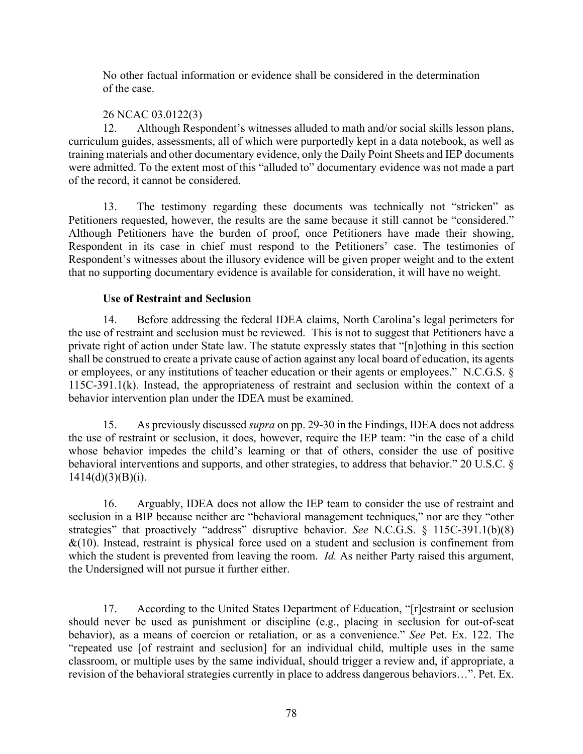No other factual information or evidence shall be considered in the determination of the case.

## 26 NCAC 03.0122(3)

12. Although Respondent's witnesses alluded to math and/or social skills lesson plans, curriculum guides, assessments, all of which were purportedly kept in a data notebook, as well as training materials and other documentary evidence, only the Daily Point Sheets and IEP documents were admitted. To the extent most of this "alluded to" documentary evidence was not made a part of the record, it cannot be considered.

13. The testimony regarding these documents was technically not "stricken" as Petitioners requested, however, the results are the same because it still cannot be "considered." Although Petitioners have the burden of proof, once Petitioners have made their showing, Respondent in its case in chief must respond to the Petitioners' case. The testimonies of Respondent's witnesses about the illusory evidence will be given proper weight and to the extent that no supporting documentary evidence is available for consideration, it will have no weight.

## **Use of Restraint and Seclusion**

14. Before addressing the federal IDEA claims, North Carolina's legal perimeters for the use of restraint and seclusion must be reviewed. This is not to suggest that Petitioners have a private right of action under State law. The statute expressly states that "[n]othing in this section shall be construed to create a private cause of action against any local board of education, its agents or employees, or any institutions of teacher education or their agents or employees." N.C.G.S. § 115C-391.1(k). Instead, the appropriateness of restraint and seclusion within the context of a behavior intervention plan under the IDEA must be examined.

15. As previously discussed *supra* on pp. 29-30 in the Findings, IDEA does not address the use of restraint or seclusion, it does, however, require the IEP team: "in the case of a child whose behavior impedes the child's learning or that of others, consider the use of positive behavioral interventions and supports, and other strategies, to address that behavior." 20 U.S.C. §  $1414(d)(3)(B)(i)$ .

16. Arguably, IDEA does not allow the IEP team to consider the use of restraint and seclusion in a BIP because neither are "behavioral management techniques," nor are they "other strategies" that proactively "address" disruptive behavior. *See* N.C.G.S. § 115C-391.1(b)(8)  $&(10)$ . Instead, restraint is physical force used on a student and seclusion is confinement from which the student is prevented from leaving the room. *Id.* As neither Party raised this argument, the Undersigned will not pursue it further either.

17. According to the United States Department of Education, "[r]estraint or seclusion should never be used as punishment or discipline (e.g., placing in seclusion for out-of-seat behavior), as a means of coercion or retaliation, or as a convenience." *See* Pet. Ex. 122. The "repeated use [of restraint and seclusion] for an individual child, multiple uses in the same classroom, or multiple uses by the same individual, should trigger a review and, if appropriate, a revision of the behavioral strategies currently in place to address dangerous behaviors…". Pet. Ex.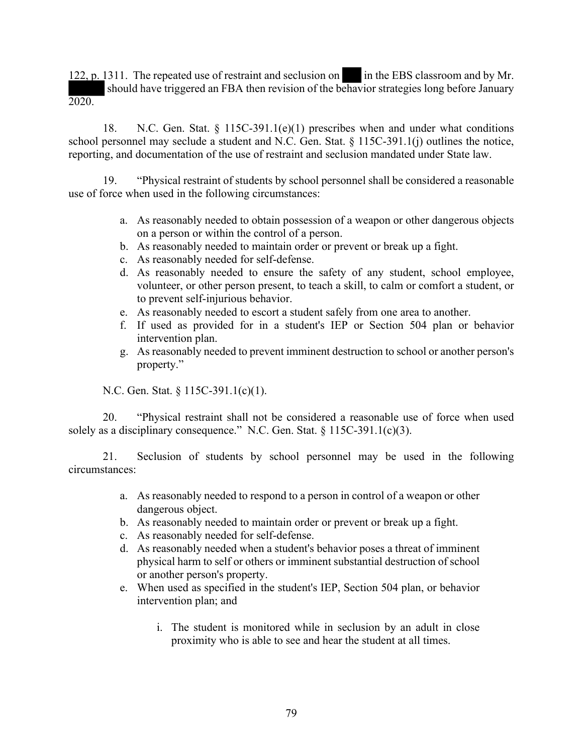122, p. 1311. The repeated use of restraint and seclusion on in the EBS classroom and by Mr. should have triggered an FBA then revision of the behavior strategies long before January 2020.

18. N.C. Gen. Stat. § 115C-391.1(e)(1) prescribes when and under what conditions school personnel may seclude a student and N.C. Gen. Stat. § 115C-391.1(j) outlines the notice, reporting, and documentation of the use of restraint and seclusion mandated under State law.

19. "Physical restraint of students by school personnel shall be considered a reasonable use of force when used in the following circumstances:

- a. As reasonably needed to obtain possession of a weapon or other dangerous objects on a person or within the control of a person.
- b. As reasonably needed to maintain order or prevent or break up a fight.
- c. As reasonably needed for self-defense.
- d. As reasonably needed to ensure the safety of any student, school employee, volunteer, or other person present, to teach a skill, to calm or comfort a student, or to prevent self-injurious behavior.
- e. As reasonably needed to escort a student safely from one area to another.
- f. If used as provided for in a student's IEP or Section 504 plan or behavior intervention plan.
- g. As reasonably needed to prevent imminent destruction to school or another person's property."

N.C. Gen. Stat. § 115C-391.1(c)(1).

20. "Physical restraint shall not be considered a reasonable use of force when used solely as a disciplinary consequence." N.C. Gen. Stat.  $\S 115C-391.1(c)(3)$ .

21. Seclusion of students by school personnel may be used in the following circumstances:

- a. As reasonably needed to respond to a person in control of a weapon or other dangerous object.
- b. As reasonably needed to maintain order or prevent or break up a fight.
- c. As reasonably needed for self-defense.
- d. As reasonably needed when a student's behavior poses a threat of imminent physical harm to self or others or imminent substantial destruction of school or another person's property.
- e. When used as specified in the student's IEP, Section 504 plan, or behavior intervention plan; and
	- i. The student is monitored while in seclusion by an adult in close proximity who is able to see and hear the student at all times.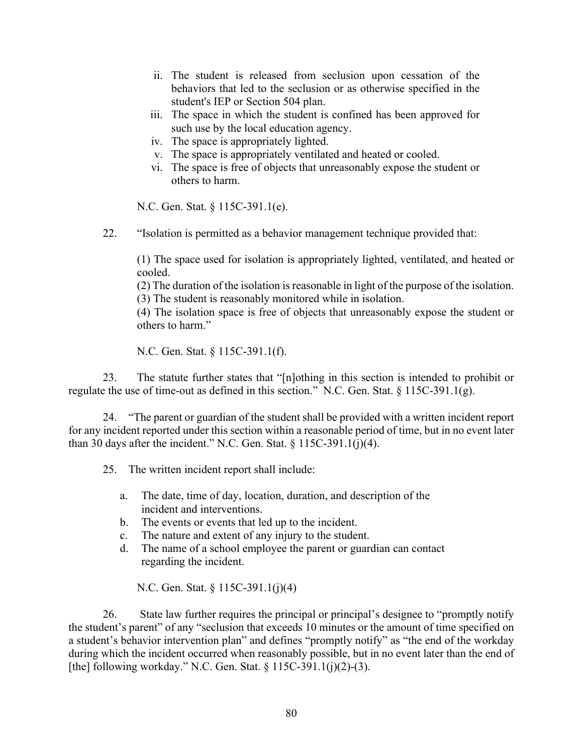- ii. The student is released from seclusion upon cessation of the behaviors that led to the seclusion or as otherwise specified in the student's IEP or Section 504 plan.
- iii. The space in which the student is confined has been approved for such use by the local education agency.
- iv. The space is appropriately lighted.
- v. The space is appropriately ventilated and heated or cooled.
- vi. The space is free of objects that unreasonably expose the student or others to harm.

N.C. Gen. Stat. § 115C-391.1(e).

22. "Isolation is permitted as a behavior management technique provided that:

(1) The space used for isolation is appropriately lighted, ventilated, and heated or cooled.

(2) The duration of the isolation is reasonable in light of the purpose of the isolation.

(3) The student is reasonably monitored while in isolation.

(4) The isolation space is free of objects that unreasonably expose the student or others to harm."

N.C. Gen. Stat. § 115C-391.1(f).

23. The statute further states that "[n]othing in this section is intended to prohibit or regulate the use of time-out as defined in this section." N.C. Gen. Stat. § 115C-391.1(g).

24. "The parent or guardian of the student shall be provided with a written incident report for any incident reported under this section within a reasonable period of time, but in no event later than 30 days after the incident." N.C. Gen. Stat.  $\S 115C-391.1(j)(4)$ .

25. The written incident report shall include:

- a. The date, time of day, location, duration, and description of the incident and interventions.
- b. The events or events that led up to the incident.
- c. The nature and extent of any injury to the student.
- d. The name of a school employee the parent or guardian can contact regarding the incident.

N.C. Gen. Stat. § 115C-391.1(j)(4)

26. State law further requires the principal or principal's designee to "promptly notify the student's parent" of any "seclusion that exceeds 10 minutes or the amount of time specified on a student's behavior intervention plan" and defines "promptly notify" as "the end of the workday during which the incident occurred when reasonably possible, but in no event later than the end of [the] following workday." N.C. Gen. Stat. § 115C-391.1(j)(2)-(3).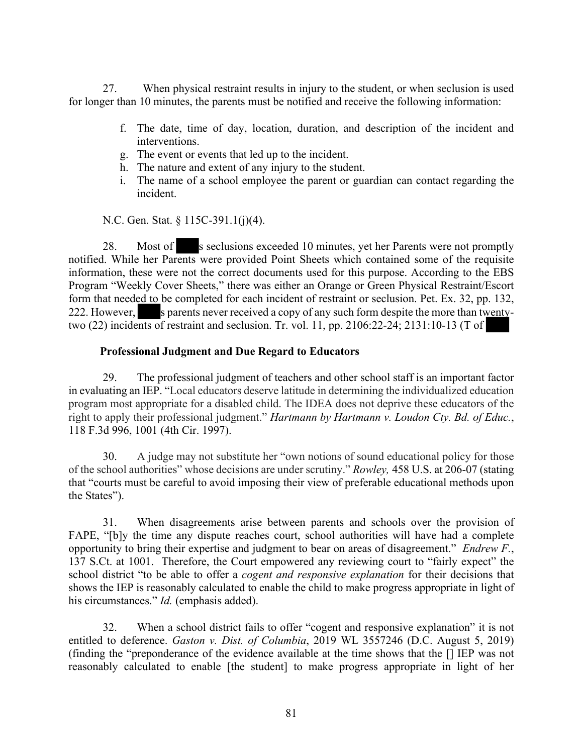27. When physical restraint results in injury to the student, or when seclusion is used for longer than 10 minutes, the parents must be notified and receive the following information:

- f. The date, time of day, location, duration, and description of the incident and interventions.
- g. The event or events that led up to the incident.
- h. The nature and extent of any injury to the student.
- i. The name of a school employee the parent or guardian can contact regarding the incident.

N.C. Gen. Stat. § 115C-391.1(j)(4).

28. Most of s seclusions exceeded 10 minutes, yet her Parents were not promptly notified. While her Parents were provided Point Sheets which contained some of the requisite information, these were not the correct documents used for this purpose. According to the EBS Program "Weekly Cover Sheets," there was either an Orange or Green Physical Restraint/Escort form that needed to be completed for each incident of restraint or seclusion. Pet. Ex. 32, pp. 132, 222. However, s parents never received a copy of any such form despite the more than twentytwo (22) incidents of restraint and seclusion. Tr. vol. 11, pp. 2106:22-24; 2131:10-13 (T of

## **Professional Judgment and Due Regard to Educators**

29. The professional judgment of teachers and other school staff is an important factor in evaluating an IEP. "Local educators deserve latitude in determining the individualized education program most appropriate for a disabled child. The IDEA does not deprive these educators of the right to apply their professional judgment." *Hartmann by Hartmann v. Loudon Cty. Bd. of Educ.*, 118 F.3d 996, 1001 (4th Cir. 1997).

30. A judge may not substitute her "own notions of sound educational policy for those of the school authorities" whose decisions are under scrutiny." *Rowley,* 458 U.S. at 206-07 (stating that "courts must be careful to avoid imposing their view of preferable educational methods upon the States").

31. When disagreements arise between parents and schools over the provision of FAPE, "[b]y the time any dispute reaches court, school authorities will have had a complete opportunity to bring their expertise and judgment to bear on areas of disagreement." *Endrew F.*, 137 S.Ct. at 1001. Therefore, the Court empowered any reviewing court to "fairly expect" the school district "to be able to offer a *cogent and responsive explanation* for their decisions that shows the IEP is reasonably calculated to enable the child to make progress appropriate in light of his circumstances." *Id.* (emphasis added).

32. When a school district fails to offer "cogent and responsive explanation" it is not entitled to deference. *Gaston v. Dist. of Columbia*, 2019 WL 3557246 (D.C. August 5, 2019) (finding the "preponderance of the evidence available at the time shows that the [] IEP was not reasonably calculated to enable [the student] to make progress appropriate in light of her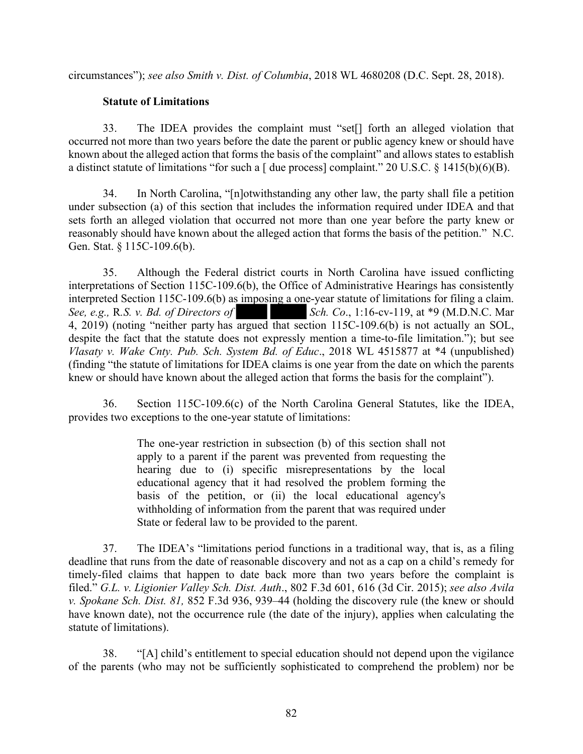circumstances"); *see also Smith v. Dist. of Columbia*, 2018 WL 4680208 (D.C. Sept. 28, 2018).

## **Statute of Limitations**

33. The IDEA provides the complaint must "set[] forth an alleged violation that occurred not more than two years before the date the parent or public agency knew or should have known about the alleged action that forms the basis of the complaint" and allows states to establish a distinct statute of limitations "for such a [ due process] complaint." 20 U.S.C. § 1415(b)(6)(B).

34. In North Carolina, "[n]otwithstanding any other law, the party shall file a petition under subsection (a) of this section that includes the information required under IDEA and that sets forth an alleged violation that occurred not more than one year before the party knew or reasonably should have known about the alleged action that forms the basis of the petition." N.C. Gen. Stat. § 115C-109.6(b).

35. Although the Federal district courts in North Carolina have issued conflicting interpretations of Section 115C-109.6(b), the Office of Administrative Hearings has consistently interpreted Section 115C-109.6(b) as imposing a one-year statute of limitations for filing a claim.<br>See, e.g., R.S. v. Bd. of Directors of Sch. Co., 1:16-cv-119, at \*9 (M.D.N.C. Mar *Sch. Co.,* 1:16-cv-119, at \*9 (M.D.N.C. Mar 4, 2019) (noting "neither party has argued that section 115C-109.6(b) is not actually an SOL, despite the fact that the statute does not expressly mention a time-to-file limitation."); but see *Vlasaty v. Wake Cnty. Pub. Sch. System Bd. of Educ*., 2018 WL 4515877 at \*4 (unpublished) (finding "the statute of limitations for IDEA claims is one year from the date on which the parents knew or should have known about the alleged action that forms the basis for the complaint").

36. Section 115C-109.6(c) of the North Carolina General Statutes, like the IDEA, provides two exceptions to the one-year statute of limitations:

> The one-year restriction in subsection (b) of this section shall not apply to a parent if the parent was prevented from requesting the hearing due to (i) specific misrepresentations by the local educational agency that it had resolved the problem forming the basis of the petition, or (ii) the local educational agency's withholding of information from the parent that was required under State or federal law to be provided to the parent.

37. The IDEA's "limitations period functions in a traditional way, that is, as a filing deadline that runs from the date of reasonable discovery and not as a cap on a child's remedy for timely-filed claims that happen to date back more than two years before the complaint is filed." *G.L. v. Ligionier Valley Sch. Dist. Auth*., 802 F.3d 601, 616 (3d Cir. 2015); *see also Avila v. Spokane Sch. Dist. 81,* 852 F.3d 936, 939–44 (holding the discovery rule (the knew or should have known date), not the occurrence rule (the date of the injury), applies when calculating the statute of limitations).

38. "[A] child's entitlement to special education should not depend upon the vigilance of the parents (who may not be sufficiently sophisticated to comprehend the problem) nor be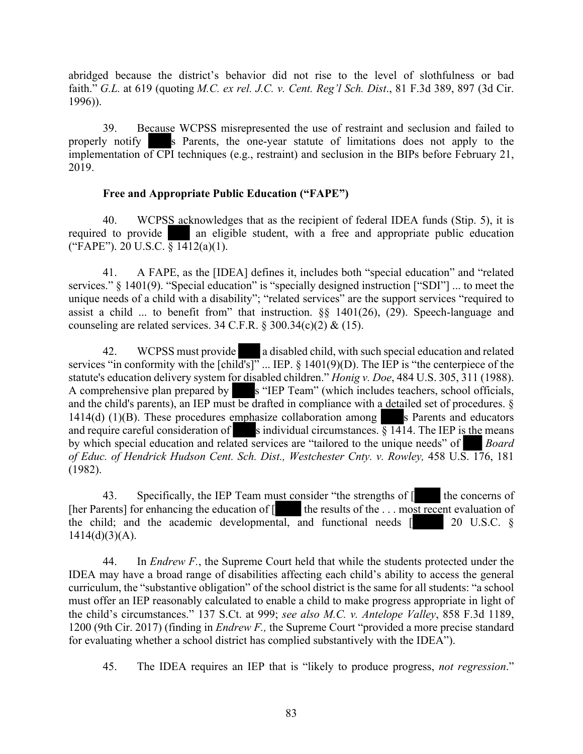abridged because the district's behavior did not rise to the level of slothfulness or bad faith." *G.L.* at 619 (quoting *M.C. ex rel. J.C. v. Cent. Reg'l Sch. Dist*., 81 F.3d 389, 897 (3d Cir. 1996)).

39. Because WCPSS misrepresented the use of restraint and seclusion and failed to properly notify s Parents, the one-year statute of limitations does not apply to the implementation of CPI techniques (e.g., restraint) and seclusion in the BIPs before February 21, 2019.

## **Free and Appropriate Public Education ("FAPE")**

40. WCPSS acknowledges that as the recipient of federal IDEA funds (Stip. 5), it is required to provide an eligible student, with a free and appropriate public education ("FAPE"). 20 U.S.C.  $\frac{1}{8}$  1412(a)(1).

41. A FAPE, as the [IDEA] defines it, includes both "special education" and "related services." § 1401(9). "Special education" is "specially designed instruction ["SDI"] ... to meet the unique needs of a child with a disability"; "related services" are the support services "required to assist a child ... to benefit from" that instruction.  $\S$  1401(26), (29). Speech-language and counseling are related services. 34 C.F.R. § 300.34(c)(2) & (15).

42. WCPSS must provide a disabled child, with such special education and related services "in conformity with the  $\lceil \text{child's} \rceil$ " ... IEP. § 1401(9)(D). The IEP is "the centerpiece of the statute's education delivery system for disabled children." *Honig v. Doe*, 484 U.S. 305, 311 (1988). A comprehensive plan prepared by s "IEP Team" (which includes teachers, school officials, and the child's parents), an IEP must be drafted in compliance with a detailed set of procedures. § 1414(d) (1)(B). These procedures emphasize collaboration among s Parents and educators and require careful consideration of s individual circumstances.  $§$  1414. The IEP is the means by which special education and related services are "tailored to the unique needs" of *Board of Educ. of Hendrick Hudson Cent. Sch. Dist., Westchester Cnty. v. Rowley,* 458 U.S. 176, 181 (1982).

43. Specifically, the IEP Team must consider "the strengths of  $\llbracket$  the concerns of [her Parents] for enhancing the education of  $\left[$  the results of the . . . most recent evaluation of the child; and the academic developmental, and functional needs [ 20 U.S.C. §  $1414(d)(3)(A)$ .

44. In *Endrew F.*, the Supreme Court held that while the students protected under the IDEA may have a broad range of disabilities affecting each child's ability to access the general curriculum, the "substantive obligation" of the school district is the same for all students: "a school must offer an IEP reasonably calculated to enable a child to make progress appropriate in light of the child's circumstances." 137 S.Ct. at 999; *see also M.C. v. Antelope Valley*, 858 F.3d 1189, 1200 (9th Cir. 2017) (finding in *Endrew F.,* the Supreme Court "provided a more precise standard for evaluating whether a school district has complied substantively with the IDEA").

45. The IDEA requires an IEP that is "likely to produce progress, *not regression*."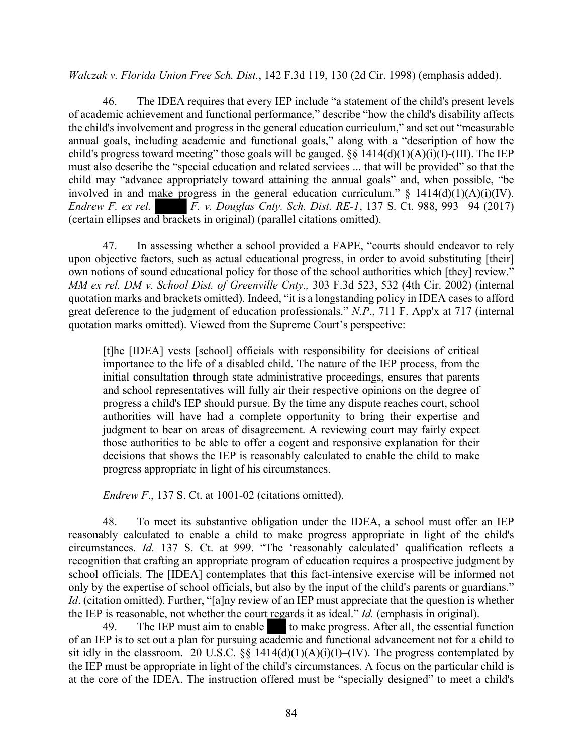*Walczak v. Florida Union Free Sch. Dist.*, 142 F.3d 119, 130 (2d Cir. 1998) (emphasis added).

46. The IDEA requires that every IEP include "a statement of the child's present levels of academic achievement and functional performance," describe "how the child's disability affects the child's involvement and progress in the general education curriculum," and set out "measurable annual goals, including academic and functional goals," along with a "description of how the child's progress toward meeting" those goals will be gauged.  $\S$ § 1414(d)(1)(A)(i)(I)-(III). The IEP must also describe the "special education and related services ... that will be provided" so that the child may "advance appropriately toward attaining the annual goals" and, when possible, "be involved in and make progress in the general education curriculum."  $\S$  1414(d)(1)(A)(i)(IV). *Endrew F. ex rel. F. v. Douglas Cnty. Sch. Dist. RE-1*, 137 S. Ct. 988, 993– 94 (2017) (certain ellipses and brackets in original) (parallel citations omitted).

47. In assessing whether a school provided a FAPE, "courts should endeavor to rely upon objective factors, such as actual educational progress, in order to avoid substituting [their] own notions of sound educational policy for those of the school authorities which [they] review." *MM ex rel. DM v. School Dist. of Greenville Cnty.,* 303 F.3d 523, 532 (4th Cir. 2002) (internal quotation marks and brackets omitted). Indeed, "it is a longstanding policy in IDEA cases to afford great deference to the judgment of education professionals." *N.P*., 711 F. App'x at 717 (internal quotation marks omitted). Viewed from the Supreme Court's perspective:

[t]he [IDEA] vests [school] officials with responsibility for decisions of critical importance to the life of a disabled child. The nature of the IEP process, from the initial consultation through state administrative proceedings, ensures that parents and school representatives will fully air their respective opinions on the degree of progress a child's IEP should pursue. By the time any dispute reaches court, school authorities will have had a complete opportunity to bring their expertise and judgment to bear on areas of disagreement. A reviewing court may fairly expect those authorities to be able to offer a cogent and responsive explanation for their decisions that shows the IEP is reasonably calculated to enable the child to make progress appropriate in light of his circumstances.

*Endrew F*., 137 S. Ct. at 1001-02 (citations omitted).

48. To meet its substantive obligation under the IDEA, a school must offer an IEP reasonably calculated to enable a child to make progress appropriate in light of the child's circumstances. *Id.* 137 S. Ct. at 999. "The 'reasonably calculated' qualification reflects a recognition that crafting an appropriate program of education requires a prospective judgment by school officials. The [IDEA] contemplates that this fact-intensive exercise will be informed not only by the expertise of school officials, but also by the input of the child's parents or guardians." *Id.* (citation omitted). Further, "[a]ny review of an IEP must appreciate that the question is whether the IEP is reasonable, not whether the court regards it as ideal." *Id.* (emphasis in original).

49. The IEP must aim to enable to make progress. After all, the essential function of an IEP is to set out a plan for pursuing academic and functional advancement not for a child to sit idly in the classroom. 20 U.S.C. §§  $1414(d)(1)(A)(i)(I)$ –(IV). The progress contemplated by the IEP must be appropriate in light of the child's circumstances. A focus on the particular child is at the core of the IDEA. The instruction offered must be "specially designed" to meet a child's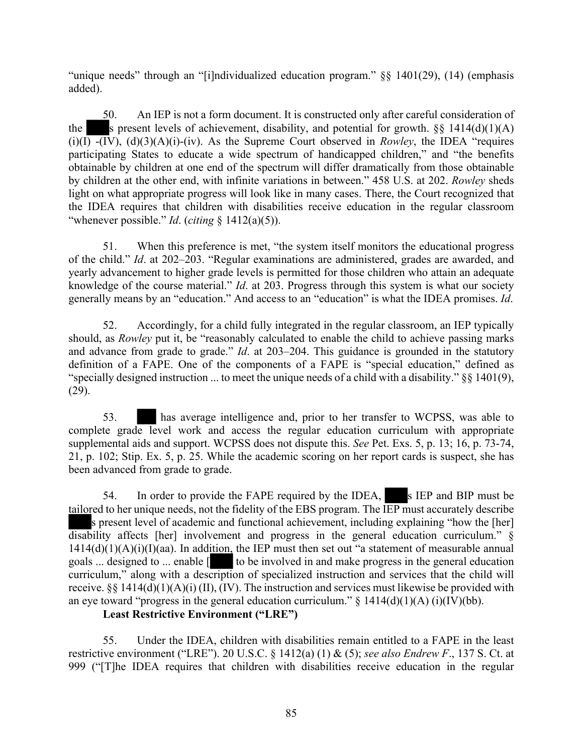"unique needs" through an "[i]ndividualized education program." §§ 1401(29), (14) (emphasis added).

50. An IEP is not a form document. It is constructed only after careful consideration of the s present levels of achievement, disability, and potential for growth.  $\S$ § 1414(d)(1)(A)  $(i)(I)$   $-(IV)$ ,  $(d)(3)(A)(i)$  $-(iv)$ . As the Supreme Court observed in *Rowley*, the IDEA "requires" participating States to educate a wide spectrum of handicapped children," and "the benefits obtainable by children at one end of the spectrum will differ dramatically from those obtainable by children at the other end, with infinite variations in between." 458 U.S. at 202. *Rowley* sheds light on what appropriate progress will look like in many cases. There, the Court recognized that the IDEA requires that children with disabilities receive education in the regular classroom "whenever possible." *Id*. (*citing* § 1412(a)(5)).

51. When this preference is met, "the system itself monitors the educational progress of the child." *Id*. at 202–203. "Regular examinations are administered, grades are awarded, and yearly advancement to higher grade levels is permitted for those children who attain an adequate knowledge of the course material." *Id*. at 203. Progress through this system is what our society generally means by an "education." And access to an "education" is what the IDEA promises. *Id*.

52. Accordingly, for a child fully integrated in the regular classroom, an IEP typically should, as *Rowley* put it, be "reasonably calculated to enable the child to achieve passing marks and advance from grade to grade." *Id*. at 203–204. This guidance is grounded in the statutory definition of a FAPE. One of the components of a FAPE is "special education," defined as "specially designed instruction ... to meet the unique needs of a child with a disability." §§ 1401(9), (29).

53. has average intelligence and, prior to her transfer to WCPSS, was able to complete grade level work and access the regular education curriculum with appropriate supplemental aids and support. WCPSS does not dispute this. *See* Pet. Exs. 5, p. 13; 16, p. 73-74, 21, p. 102; Stip. Ex. 5, p. 25. While the academic scoring on her report cards is suspect, she has been advanced from grade to grade.

54. In order to provide the FAPE required by the IDEA, s IEP and BIP must be tailored to her unique needs, not the fidelity of the EBS program. The IEP must accurately describe s present level of academic and functional achievement, including explaining "how the [her] disability affects [her] involvement and progress in the general education curriculum." §  $1414(d)(1)(A)(i)(I)(aa)$ . In addition, the IEP must then set out "a statement of measurable annual goals ... designed to ... enable [ to be involved in and make progress in the general education curriculum," along with a description of specialized instruction and services that the child will receive.  $\S$ § 1414(d)(1)(A)(i) (II), (IV). The instruction and services must likewise be provided with an eye toward "progress in the general education curriculum."  $\S$  1414(d)(1)(A) (i)(IV)(bb).

## **Least Restrictive Environment ("LRE")**

55. Under the IDEA, children with disabilities remain entitled to a FAPE in the least restrictive environment ("LRE"). 20 U.S.C. § 1412(a) (1) & (5); *see also Endrew F*., 137 S. Ct. at 999 ("[T]he IDEA requires that children with disabilities receive education in the regular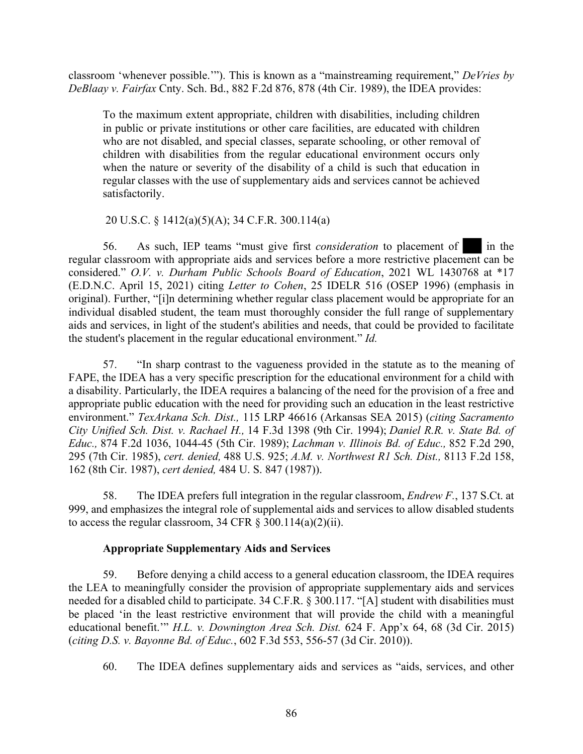classroom 'whenever possible.'"). This is known as a "mainstreaming requirement," *DeVries by DeBlaay v. Fairfax* Cnty. Sch. Bd., 882 F.2d 876, 878 (4th Cir. 1989), the IDEA provides:

To the maximum extent appropriate, children with disabilities, including children in public or private institutions or other care facilities, are educated with children who are not disabled, and special classes, separate schooling, or other removal of children with disabilities from the regular educational environment occurs only when the nature or severity of the disability of a child is such that education in regular classes with the use of supplementary aids and services cannot be achieved satisfactorily.

## 20 U.S.C. § 1412(a)(5)(A); 34 C.F.R. 300.114(a)

56. As such, IEP teams "must give first *consideration* to placement of in the regular classroom with appropriate aids and services before a more restrictive placement can be considered." *O.V. v. Durham Public Schools Board of Education*, 2021 WL 1430768 at \*17 (E.D.N.C. April 15, 2021) citing *Letter to Cohen*, 25 IDELR 516 (OSEP 1996) (emphasis in original). Further, "[i]n determining whether regular class placement would be appropriate for an individual disabled student, the team must thoroughly consider the full range of supplementary aids and services, in light of the student's abilities and needs, that could be provided to facilitate the student's placement in the regular educational environment." *Id.*

57. "In sharp contrast to the vagueness provided in the statute as to the meaning of FAPE, the IDEA has a very specific prescription for the educational environment for a child with a disability. Particularly, the IDEA requires a balancing of the need for the provision of a free and appropriate public education with the need for providing such an education in the least restrictive environment." *TexArkana Sch. Dist.,* 115 LRP 46616 (Arkansas SEA 2015) (*citing Sacramento City Unified Sch. Dist. v. Rachael H.,* 14 F.3d 1398 (9th Cir. 1994); *Daniel R.R. v. State Bd. of Educ.,* 874 F.2d 1036, 1044-45 (5th Cir. 1989); *Lachman v. Illinois Bd. of Educ.,* 852 F.2d 290, 295 (7th Cir. 1985), *cert. denied,* 488 U.S. 925; *A.M. v. Northwest R1 Sch. Dist.,* 8113 F.2d 158, 162 (8th Cir. 1987), *cert denied,* 484 U. S. 847 (1987)).

58. The IDEA prefers full integration in the regular classroom, *Endrew F.*, 137 S.Ct. at 999, and emphasizes the integral role of supplemental aids and services to allow disabled students to access the regular classroom, 34 CFR  $\S$  300.114(a)(2)(ii).

## **Appropriate Supplementary Aids and Services**

59. Before denying a child access to a general education classroom, the IDEA requires the LEA to meaningfully consider the provision of appropriate supplementary aids and services needed for a disabled child to participate. 34 C.F.R. § 300.117. "[A] student with disabilities must be placed 'in the least restrictive environment that will provide the child with a meaningful educational benefit.'" *H.L. v. Downington Area Sch. Dist.* 624 F. App'x 64, 68 (3d Cir. 2015) (*citing D.S. v. Bayonne Bd. of Educ.*, 602 F.3d 553, 556-57 (3d Cir. 2010)).

60. The IDEA defines supplementary aids and services as "aids, services, and other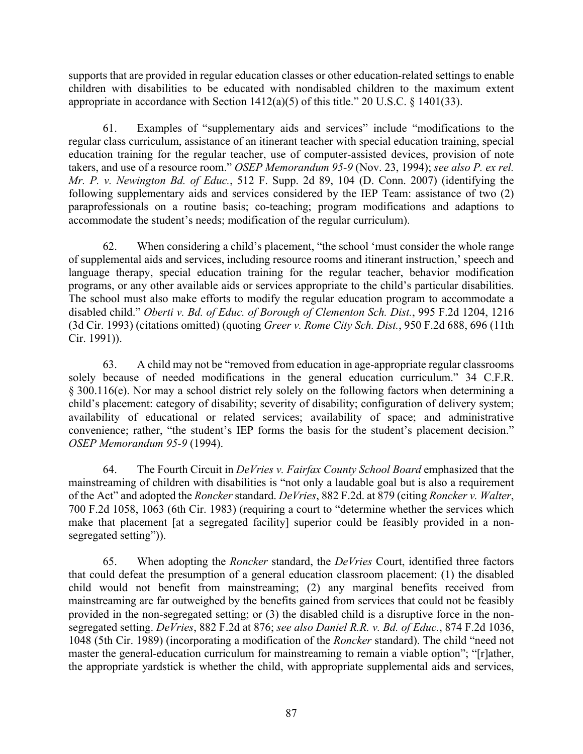supports that are provided in regular education classes or other education-related settings to enable children with disabilities to be educated with nondisabled children to the maximum extent appropriate in accordance with Section  $1412(a)(5)$  of this title." 20 U.S.C. § 1401(33).

61. Examples of "supplementary aids and services" include "modifications to the regular class curriculum, assistance of an itinerant teacher with special education training, special education training for the regular teacher, use of computer-assisted devices, provision of note takers, and use of a resource room." *OSEP Memorandum 95-9* (Nov. 23, 1994); *see also P. ex rel. Mr. P. v. Newington Bd. of Educ.*, 512 F. Supp. 2d 89, 104 (D. Conn. 2007) (identifying the following supplementary aids and services considered by the IEP Team: assistance of two (2) paraprofessionals on a routine basis; co-teaching; program modifications and adaptions to accommodate the student's needs; modification of the regular curriculum).

62. When considering a child's placement, "the school 'must consider the whole range of supplemental aids and services, including resource rooms and itinerant instruction,' speech and language therapy, special education training for the regular teacher, behavior modification programs, or any other available aids or services appropriate to the child's particular disabilities. The school must also make efforts to modify the regular education program to accommodate a disabled child." *Oberti v. Bd. of Educ. of Borough of Clementon Sch. Dist.*, 995 F.2d 1204, 1216 (3d Cir. 1993) (citations omitted) (quoting *Greer v. Rome City Sch. Dist.*, 950 F.2d 688, 696 (11th Cir. 1991)).

63. A child may not be "removed from education in age-appropriate regular classrooms solely because of needed modifications in the general education curriculum." 34 C.F.R. § 300.116(e). Nor may a school district rely solely on the following factors when determining a child's placement: category of disability; severity of disability; configuration of delivery system; availability of educational or related services; availability of space; and administrative convenience; rather, "the student's IEP forms the basis for the student's placement decision." *OSEP Memorandum 95-9* (1994).

64. The Fourth Circuit in *DeVries v. Fairfax County School Board* emphasized that the mainstreaming of children with disabilities is "not only a laudable goal but is also a requirement of the Act" and adopted the *Roncker* standard. *DeVries*, 882 F.2d. at 879 (citing *Roncker v. Walter*, 700 F.2d 1058, 1063 (6th Cir. 1983) (requiring a court to "determine whether the services which make that placement [at a segregated facility] superior could be feasibly provided in a nonsegregated setting")).

65. When adopting the *Roncker* standard, the *DeVries* Court, identified three factors that could defeat the presumption of a general education classroom placement: (1) the disabled child would not benefit from mainstreaming; (2) any marginal benefits received from mainstreaming are far outweighed by the benefits gained from services that could not be feasibly provided in the non-segregated setting; or (3) the disabled child is a disruptive force in the nonsegregated setting. *DeVries*, 882 F.2d at 876; *see also Daniel R.R. v. Bd. of Educ.*, 874 F.2d 1036, 1048 (5th Cir. 1989) (incorporating a modification of the *Roncker* standard). The child "need not master the general-education curriculum for mainstreaming to remain a viable option"; "[r]ather, the appropriate yardstick is whether the child, with appropriate supplemental aids and services,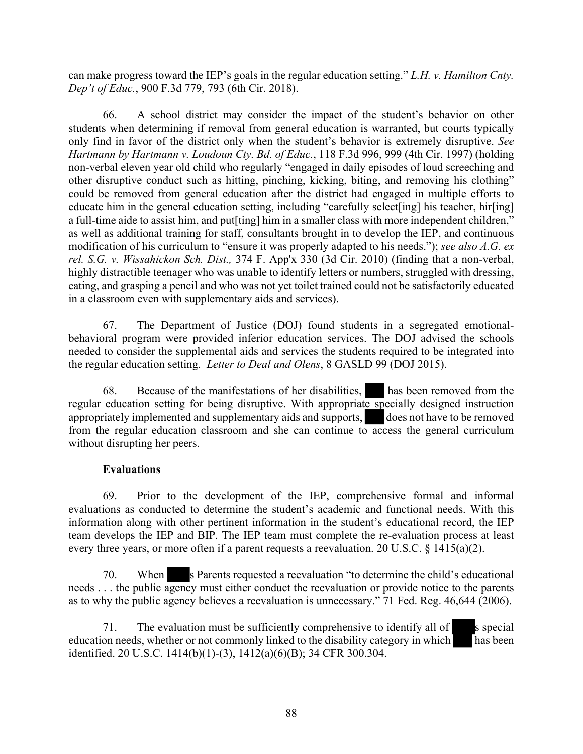can make progress toward the IEP's goals in the regular education setting." *L.H. v. Hamilton Cnty. Dep't of Educ.*, 900 F.3d 779, 793 (6th Cir. 2018).

66. A school district may consider the impact of the student's behavior on other students when determining if removal from general education is warranted, but courts typically only find in favor of the district only when the student's behavior is extremely disruptive. *See Hartmann by Hartmann v. Loudoun Cty. Bd. of Educ.*, 118 F.3d 996, 999 (4th Cir. 1997) (holding non-verbal eleven year old child who regularly "engaged in daily episodes of loud screeching and other disruptive conduct such as hitting, pinching, kicking, biting, and removing his clothing" could be removed from general education after the district had engaged in multiple efforts to educate him in the general education setting, including "carefully select[ing] his teacher, hir[ing] a full-time aide to assist him, and put[ting] him in a smaller class with more independent children," as well as additional training for staff, consultants brought in to develop the IEP, and continuous modification of his curriculum to "ensure it was properly adapted to his needs."); *see also A.G. ex rel. S.G. v. Wissahickon Sch. Dist.,* 374 F. App'x 330 (3d Cir. 2010) (finding that a non-verbal, highly distractible teenager who was unable to identify letters or numbers, struggled with dressing, eating, and grasping a pencil and who was not yet toilet trained could not be satisfactorily educated in a classroom even with supplementary aids and services).

67. The Department of Justice (DOJ) found students in a segregated emotionalbehavioral program were provided inferior education services. The DOJ advised the schools needed to consider the supplemental aids and services the students required to be integrated into the regular education setting. *Letter to Deal and Olens*, 8 GASLD 99 (DOJ 2015).

68. Because of the manifestations of her disabilities, has been removed from the regular education setting for being disruptive. With appropriate specially designed instruction appropriately implemented and supplementary aids and supports, does not have to be removed from the regular education classroom and she can continue to access the general curriculum without disrupting her peers.

## **Evaluations**

69. Prior to the development of the IEP, comprehensive formal and informal evaluations as conducted to determine the student's academic and functional needs. With this information along with other pertinent information in the student's educational record, the IEP team develops the IEP and BIP. The IEP team must complete the re-evaluation process at least every three years, or more often if a parent requests a reevaluation. 20 U.S.C. § 1415(a)(2).

70. When s Parents requested a reevaluation "to determine the child's educational needs . . . the public agency must either conduct the reevaluation or provide notice to the parents as to why the public agency believes a reevaluation is unnecessary." 71 Fed. Reg. 46,644 (2006).

71. The evaluation must be sufficiently comprehensive to identify all of s special education needs, whether or not commonly linked to the disability category in which has been identified. 20 U.S.C. 1414(b)(1)-(3), 1412(a)(6)(B); 34 CFR 300.304.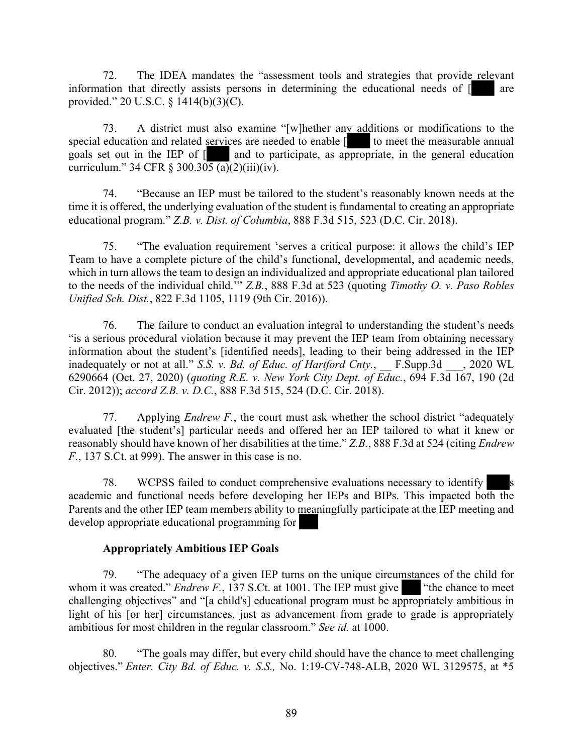72. The IDEA mandates the "assessment tools and strategies that provide relevant information that directly assists persons in determining the educational needs of  $\lceil \cdot \cdot \rceil$  are provided." 20 U.S.C. § 1414(b)(3)(C).

73. A district must also examine "[w]hether any additions or modifications to the special education and related services are needed to enable [**1899** to meet the measurable annual goals set out in the IEP of  $\lceil \cdot \rceil$  and to participate, as appropriate, in the general education curriculum." 34 CFR § 300.305 (a)(2)(iii)(iv).

74. "Because an IEP must be tailored to the student's reasonably known needs at the time it is offered, the underlying evaluation of the student is fundamental to creating an appropriate educational program." *Z.B. v. Dist. of Columbia*, 888 F.3d 515, 523 (D.C. Cir. 2018).

75. "The evaluation requirement 'serves a critical purpose: it allows the child's IEP Team to have a complete picture of the child's functional, developmental, and academic needs, which in turn allows the team to design an individualized and appropriate educational plan tailored to the needs of the individual child.'" *Z.B.*, 888 F.3d at 523 (quoting *Timothy O. v. Paso Robles Unified Sch. Dist.*, 822 F.3d 1105, 1119 (9th Cir. 2016)).

76. The failure to conduct an evaluation integral to understanding the student's needs "is a serious procedural violation because it may prevent the IEP team from obtaining necessary information about the student's [identified needs], leading to their being addressed in the IEP inadequately or not at all." *S.S. v. Bd. of Educ. of Hartford Cnty.*, \_\_ F.Supp.3d \_\_\_, 2020 WL 6290664 (Oct. 27, 2020) (*quoting R.E. v. New York City Dept. of Educ.*, 694 F.3d 167, 190 (2d Cir. 2012)); *accord Z.B. v. D.C.*, 888 F.3d 515, 524 (D.C. Cir. 2018).

77. Applying *Endrew F.*, the court must ask whether the school district "adequately evaluated [the student's] particular needs and offered her an IEP tailored to what it knew or reasonably should have known of her disabilities at the time." *Z.B.*, 888 F.3d at 524 (citing *Endrew F.*, 137 S.Ct. at 999). The answer in this case is no.

78. WCPSS failed to conduct comprehensive evaluations necessary to identify academic and functional needs before developing her IEPs and BIPs. This impacted both the Parents and the other IEP team members ability to meaningfully participate at the IEP meeting and develop appropriate educational programming for

## **Appropriately Ambitious IEP Goals**

79. "The adequacy of a given IEP turns on the unique circumstances of the child for whom it was created." *Endrew F.*, 137 S.Ct. at 1001. The IEP must give  $\blacksquare$  "the chance to meet challenging objectives" and "[a child's] educational program must be appropriately ambitious in light of his [or her] circumstances, just as advancement from grade to grade is appropriately ambitious for most children in the regular classroom." *See id.* at 1000.

80. "The goals may differ, but every child should have the chance to meet challenging objectives." *Enter. City Bd. of Educ. v. S.S.,* No. 1:19-CV-748-ALB, 2020 WL 3129575, at \*5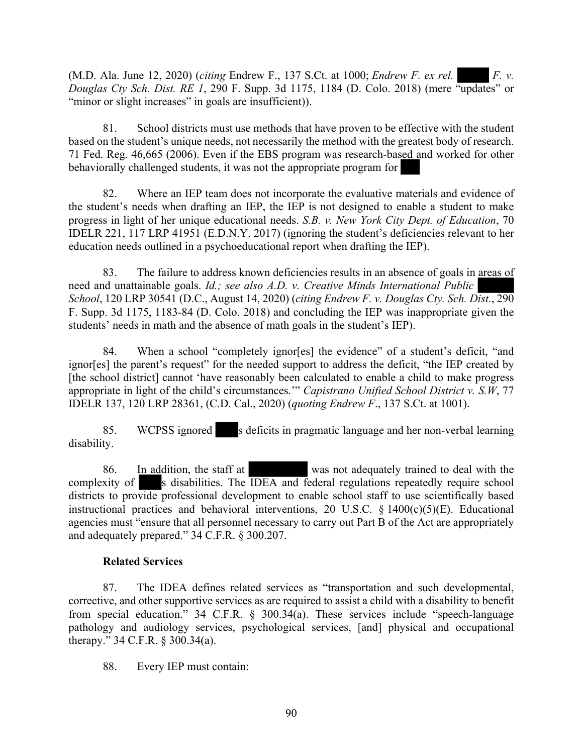(M.D. Ala. June 12, 2020) (*citing* Endrew F., 137 S.Ct. at 1000; *Endrew F. ex rel. F. v. Douglas Cty Sch. Dist. RE 1*, 290 F. Supp. 3d 1175, 1184 (D. Colo. 2018) (mere "updates" or "minor or slight increases" in goals are insufficient)).

81. School districts must use methods that have proven to be effective with the student based on the student's unique needs, not necessarily the method with the greatest body of research. 71 Fed. Reg. 46,665 (2006). Even if the EBS program was research-based and worked for other behaviorally challenged students, it was not the appropriate program for

82. Where an IEP team does not incorporate the evaluative materials and evidence of the student's needs when drafting an IEP, the IEP is not designed to enable a student to make progress in light of her unique educational needs. *S.B. v. New York City Dept. of Education*, 70 IDELR 221, 117 LRP 41951 (E.D.N.Y. 2017) (ignoring the student's deficiencies relevant to her education needs outlined in a psychoeducational report when drafting the IEP).

83. The failure to address known deficiencies results in an absence of goals in areas of need and unattainable goals. *Id.; see also A.D. v. Creative Minds International Public School*, 120 LRP 30541 (D.C., August 14, 2020) (*citing Endrew F. v. Douglas Cty. Sch. Dist*., 290 F. Supp. 3d 1175, 1183-84 (D. Colo. 2018) and concluding the IEP was inappropriate given the students' needs in math and the absence of math goals in the student's IEP).

84. When a school "completely ignor[es] the evidence" of a student's deficit, "and ignor[es] the parent's request" for the needed support to address the deficit, "the IEP created by [the school district] cannot 'have reasonably been calculated to enable a child to make progress appropriate in light of the child's circumstances.'" *Capistrano Unified School District v. S.W*, 77 IDELR 137, 120 LRP 28361, (C.D. Cal., 2020) (*quoting Endrew F*., 137 S.Ct. at 1001).

85. WCPSS ignored s deficits in pragmatic language and her non-verbal learning disability.

86. In addition, the staff at was not adequately trained to deal with the complexity of s disabilities. The IDEA and federal regulations repeatedly require school districts to provide professional development to enable school staff to use scientifically based instructional practices and behavioral interventions, 20 U.S.C.  $\S$  1400(c)(5)(E). Educational agencies must "ensure that all personnel necessary to carry out Part B of the Act are appropriately and adequately prepared." 34 C.F.R. § 300.207.

## **Related Services**

87. The IDEA defines related services as "transportation and such developmental, corrective, and other supportive services as are required to assist a child with a disability to benefit from special education." 34 C.F.R. § 300.34(a). These services include "speech-language pathology and audiology services, psychological services, [and] physical and occupational therapy." 34 C.F.R. § 300.34(a).

88. Every IEP must contain: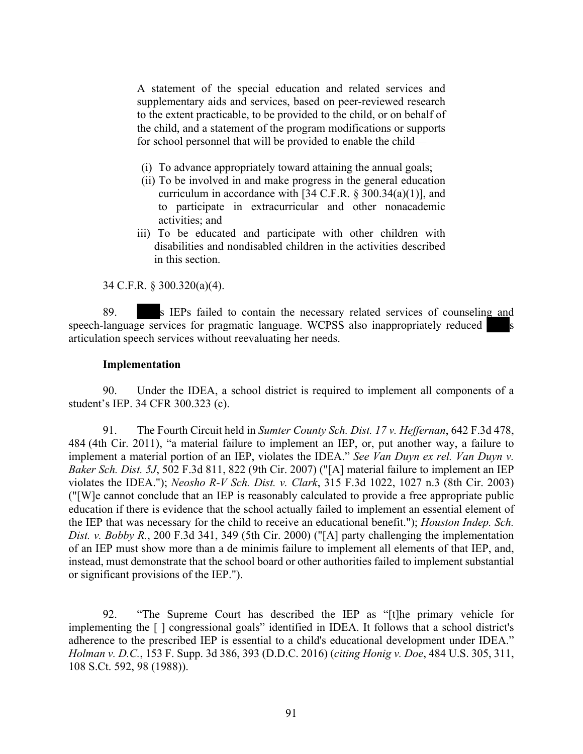A statement of the special education and related services and supplementary aids and services, based on peer-reviewed research to the extent practicable, to be provided to the child, or on behalf of the child, and a statement of the program modifications or supports for school personnel that will be provided to enable the child—

- (i) To advance appropriately toward attaining the annual goals;
- (ii) To be involved in and make progress in the general education curriculum in accordance with [34 C.F.R.  $\S 300.34(a)(1)$ ], and to participate in extracurricular and other nonacademic activities; and
- iii) To be educated and participate with other children with disabilities and nondisabled children in the activities described in this section.

34 C.F.R. § 300.320(a)(4).

89. s IEPs failed to contain the necessary related services of counseling and speech-language services for pragmatic language. WCPSS also inappropriately reduced articulation speech services without reevaluating her needs.

#### **Implementation**

90. Under the IDEA, a school district is required to implement all components of a student's IEP. 34 CFR 300.323 (c).

91. The Fourth Circuit held in *Sumter County Sch. Dist. 17 v. Heffernan*, 642 F.3d 478, 484 (4th Cir. 2011), "a material failure to implement an IEP, or, put another way, a failure to implement a material portion of an IEP, violates the IDEA." *See Van Duyn ex rel. Van Duyn v. Baker Sch. Dist. 5J*, 502 F.3d 811, 822 (9th Cir. 2007) ("[A] material failure to implement an IEP violates the IDEA."); *Neosho R-V Sch. Dist. v. Clark*, 315 F.3d 1022, 1027 n.3 (8th Cir. 2003) ("[W]e cannot conclude that an IEP is reasonably calculated to provide a free appropriate public education if there is evidence that the school actually failed to implement an essential element of the IEP that was necessary for the child to receive an educational benefit."); *Houston Indep. Sch. Dist. v. Bobby R.*, 200 F.3d 341, 349 (5th Cir. 2000) ("[A] party challenging the implementation of an IEP must show more than a de minimis failure to implement all elements of that IEP, and, instead, must demonstrate that the school board or other authorities failed to implement substantial or significant provisions of the IEP.").

92. "The Supreme Court has described the IEP as "[t]he primary vehicle for implementing the [ ] congressional goals" identified in IDEA. It follows that a school district's adherence to the prescribed IEP is essential to a child's educational development under IDEA." *Holman v. D.C.*, 153 F. Supp. 3d 386, 393 (D.D.C. 2016) (*citing Honig v. Doe*, 484 U.S. 305, 311, 108 S.Ct. 592, 98 (1988)).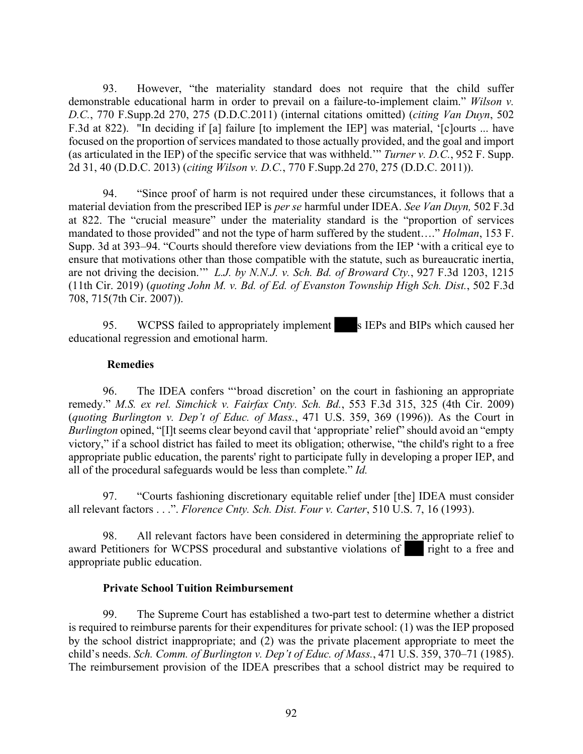93. However, "the materiality standard does not require that the child suffer demonstrable educational harm in order to prevail on a failure-to-implement claim." *Wilson v. D.C.*, 770 F.Supp.2d 270, 275 (D.D.C.2011) (internal citations omitted) (*citing Van Duyn*, 502 F.3d at 822). "In deciding if [a] failure [to implement the IEP] was material, '[c]ourts ... have focused on the proportion of services mandated to those actually provided, and the goal and import (as articulated in the IEP) of the specific service that was withheld.'" *Turner v. D.C.*, 952 F. Supp. 2d 31, 40 (D.D.C. 2013) (*citing Wilson v. D.C.*, 770 F.Supp.2d 270, 275 (D.D.C. 2011)).

94. "Since proof of harm is not required under these circumstances, it follows that a material deviation from the prescribed IEP is *per se* harmful under IDEA. *See Van Duyn,* 502 F.3d at 822. The "crucial measure" under the materiality standard is the "proportion of services mandated to those provided" and not the type of harm suffered by the student…." *Holman*, 153 F. Supp. 3d at 393–94. "Courts should therefore view deviations from the IEP 'with a critical eye to ensure that motivations other than those compatible with the statute, such as bureaucratic inertia, are not driving the decision.'" *L.J. by N.N.J. v. Sch. Bd. of Broward Cty.*, 927 F.3d 1203, 1215 (11th Cir. 2019) (*quoting John M. v. Bd. of Ed. of Evanston Township High Sch. Dist.*, 502 F.3d 708, 715(7th Cir. 2007)).

95. WCPSS failed to appropriately implement s IEPs and BIPs which caused her educational regression and emotional harm.

## **Remedies**

96. The IDEA confers "'broad discretion' on the court in fashioning an appropriate remedy." *M.S. ex rel. Simchick v. Fairfax Cnty. Sch. Bd.*, 553 F.3d 315, 325 (4th Cir. 2009) (*quoting Burlington v. Dep't of Educ. of Mass.*, 471 U.S. 359, 369 (1996)). As the Court in *Burlington* opined, "[I]t seems clear beyond cavil that 'appropriate' relief' should avoid an "empty" victory," if a school district has failed to meet its obligation; otherwise, "the child's right to a free appropriate public education, the parents' right to participate fully in developing a proper IEP, and all of the procedural safeguards would be less than complete." *Id.*

97. "Courts fashioning discretionary equitable relief under [the] IDEA must consider all relevant factors . . .". *Florence Cnty. Sch. Dist. Four v. Carter*, 510 U.S. 7, 16 (1993).

98. All relevant factors have been considered in determining the appropriate relief to award Petitioners for WCPSS procedural and substantive violations of right to a free and appropriate public education.

### **Private School Tuition Reimbursement**

99. The Supreme Court has established a two-part test to determine whether a district is required to reimburse parents for their expenditures for private school: (1) was the IEP proposed by the school district inappropriate; and (2) was the private placement appropriate to meet the child's needs. *Sch. Comm. of Burlington v. Dep't of Educ. of Mass.*, 471 U.S. 359, 370–71 (1985). The reimbursement provision of the IDEA prescribes that a school district may be required to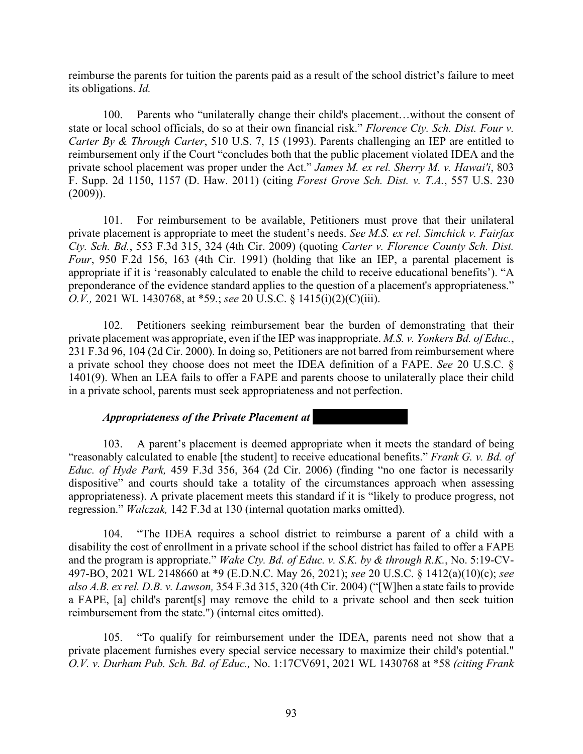reimburse the parents for tuition the parents paid as a result of the school district's failure to meet its obligations. *Id.*

100. Parents who "unilaterally change their child's placement...without the consent of state or local school officials, do so at their own financial risk." *Florence Cty. Sch. Dist. Four v. Carter By & Through Carter*, 510 U.S. 7, 15 (1993). Parents challenging an IEP are entitled to reimbursement only if the Court "concludes both that the public placement violated IDEA and the private school placement was proper under the Act." *James M. ex rel. Sherry M. v. Hawai'i*, 803 F. Supp. 2d 1150, 1157 (D. Haw. 2011) (citing *Forest Grove Sch. Dist. v. T.A.*, 557 U.S. 230  $(2009)$ ).

101. For reimbursement to be available, Petitioners must prove that their unilateral private placement is appropriate to meet the student's needs. *See M.S. ex rel. Simchick v. Fairfax Cty. Sch. Bd.*, 553 F.3d 315, 324 (4th Cir. 2009) (quoting *Carter v. Florence County Sch. Dist. Four*, 950 F.2d 156, 163 (4th Cir. 1991) (holding that like an IEP, a parental placement is appropriate if it is 'reasonably calculated to enable the child to receive educational benefits'). "A preponderance of the evidence standard applies to the question of a placement's appropriateness." *O.V.,* 2021 WL 1430768, at \*59*.*; *see* 20 U.S.C. § 1415(i)(2)(C)(iii).

102. Petitioners seeking reimbursement bear the burden of demonstrating that their private placement was appropriate, even if the IEP was inappropriate. *M.S. v. Yonkers Bd. of Educ.*, 231 F.3d 96, 104 (2d Cir. 2000). In doing so, Petitioners are not barred from reimbursement where a private school they choose does not meet the IDEA definition of a FAPE. *See* 20 U.S.C. § 1401(9). When an LEA fails to offer a FAPE and parents choose to unilaterally place their child in a private school, parents must seek appropriateness and not perfection.

#### *Appropriateness of the Private Placement at*

103. A parent's placement is deemed appropriate when it meets the standard of being "reasonably calculated to enable [the student] to receive educational benefits." *Frank G. v. Bd. of Educ. of Hyde Park,* 459 F.3d 356, 364 (2d Cir. 2006) (finding "no one factor is necessarily dispositive" and courts should take a totality of the circumstances approach when assessing appropriateness). A private placement meets this standard if it is "likely to produce progress, not regression." *Walczak,* 142 F.3d at 130 (internal quotation marks omitted).

104. "The IDEA requires a school district to reimburse a parent of a child with a disability the cost of enrollment in a private school if the school district has failed to offer a FAPE and the program is appropriate." *Wake Cty. Bd. of Educ. v. S.K. by & through R.K.*, No. 5:19-CV-497-BO, 2021 WL 2148660 at \*9 (E.D.N.C. May 26, 2021); *see* 20 U.S.C. § 1412(a)(10)(c); *see also A.B. ex rel. D.B. v. Lawson,* 354 F.3d 315, 320 (4th Cir. 2004) ("[W]hen a state fails to provide a FAPE, [a] child's parent[s] may remove the child to a private school and then seek tuition reimbursement from the state.") (internal cites omitted).

105. "To qualify for reimbursement under the IDEA, parents need not show that a private placement furnishes every special service necessary to maximize their child's potential." *O.V. v. Durham Pub. Sch. Bd. of Educ.,* No. 1:17CV691, 2021 WL 1430768 at \*58 *(citing Frank*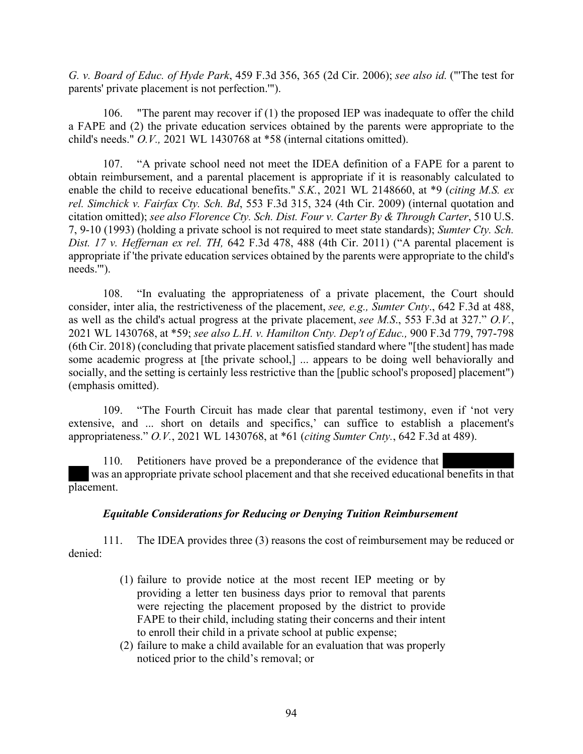*G. v. Board of Educ. of Hyde Park*, 459 F.3d 356, 365 (2d Cir. 2006); *see also id.* ("'The test for parents' private placement is not perfection.'").

106. "The parent may recover if (1) the proposed IEP was inadequate to offer the child a FAPE and (2) the private education services obtained by the parents were appropriate to the child's needs." *O.V.,* 2021 WL 1430768 at \*58 (internal citations omitted).

107. "A private school need not meet the IDEA definition of a FAPE for a parent to obtain reimbursement, and a parental placement is appropriate if it is reasonably calculated to enable the child to receive educational benefits." *S.K.*, 2021 WL 2148660, at \*9 (*citing M.S. ex rel. Simchick v. Fairfax Cty. Sch. Bd*, 553 F.3d 315, 324 (4th Cir. 2009) (internal quotation and citation omitted); *see also Florence Cty. Sch. Dist. Four v. Carter By & Through Carter*, 510 U.S. 7, 9-10 (1993) (holding a private school is not required to meet state standards); *Sumter Cty. Sch. Dist. 17 v. Heffernan ex rel. TH,* 642 F.3d 478, 488 (4th Cir. 2011) ("A parental placement is appropriate if 'the private education services obtained by the parents were appropriate to the child's needs.'").

108. "In evaluating the appropriateness of a private placement, the Court should consider, inter alia, the restrictiveness of the placement, *see, e.g., Sumter Cnty*., 642 F.3d at 488, as well as the child's actual progress at the private placement, *see M.S*., 553 F.3d at 327." *O.V.*, 2021 WL 1430768, at \*59; *see also L.H. v. Hamilton Cnty. Dep't of Educ.,* 900 F.3d 779, 797-798 (6th Cir. 2018) (concluding that private placement satisfied standard where "[the student] has made some academic progress at [the private school,] ... appears to be doing well behaviorally and socially, and the setting is certainly less restrictive than the [public school's proposed] placement") (emphasis omitted).

109. "The Fourth Circuit has made clear that parental testimony, even if 'not very extensive, and ... short on details and specifics,' can suffice to establish a placement's appropriateness." *O.V.*, 2021 WL 1430768, at \*61 (*citing Sumter Cnty.*, 642 F.3d at 489).

110. Petitioners have proved be a preponderance of the evidence that was an appropriate private school placement and that she received educational benefits in that placement.

### *Equitable Considerations for Reducing or Denying Tuition Reimbursement*

111. The IDEA provides three (3) reasons the cost of reimbursement may be reduced or denied:

- (1) failure to provide notice at the most recent IEP meeting or by providing a letter ten business days prior to removal that parents were rejecting the placement proposed by the district to provide FAPE to their child, including stating their concerns and their intent to enroll their child in a private school at public expense;
- (2) failure to make a child available for an evaluation that was properly noticed prior to the child's removal; or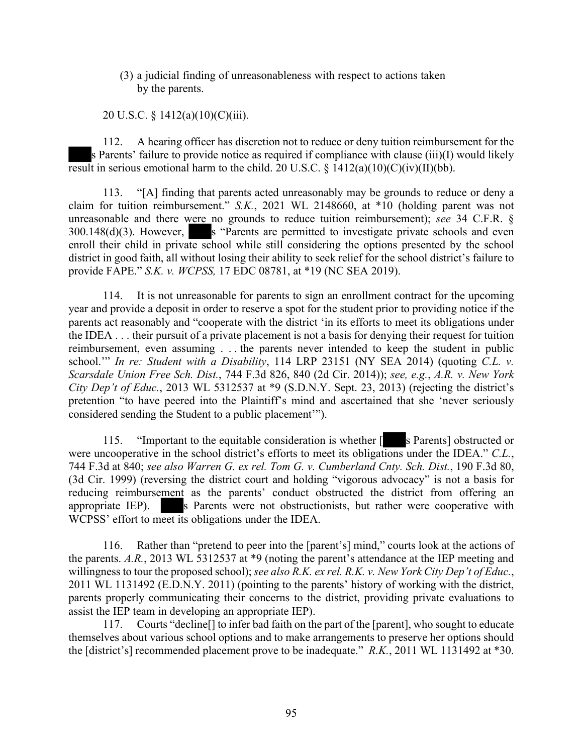### (3) a judicial finding of unreasonableness with respect to actions taken by the parents.

### 20 U.S.C. § 1412(a)(10)(C)(iii).

112. A hearing officer has discretion not to reduce or deny tuition reimbursement for the s Parents' failure to provide notice as required if compliance with clause (iii)(I) would likely result in serious emotional harm to the child. 20 U.S.C.  $\frac{\xi}{2}$  1412(a)(10)(C)(iv)(II)(bb).

113. "[A] finding that parents acted unreasonably may be grounds to reduce or deny a claim for tuition reimbursement." *S.K.*, 2021 WL 2148660, at \*10 (holding parent was not unreasonable and there were no grounds to reduce tuition reimbursement); *see* 34 C.F.R. §  $300.148(d)(3)$ . However, s "Parents are permitted to investigate private schools and even enroll their child in private school while still considering the options presented by the school district in good faith, all without losing their ability to seek relief for the school district's failure to provide FAPE." *S.K. v. WCPSS,* 17 EDC 08781, at \*19 (NC SEA 2019).

114. It is not unreasonable for parents to sign an enrollment contract for the upcoming year and provide a deposit in order to reserve a spot for the student prior to providing notice if the parents act reasonably and "cooperate with the district 'in its efforts to meet its obligations under the IDEA . . . their pursuit of a private placement is not a basis for denying their request for tuition reimbursement, even assuming . . . the parents never intended to keep the student in public school.'" *In re: Student with a Disability*, 114 LRP 23151 (NY SEA 2014) (quoting *C.L. v. Scarsdale Union Free Sch. Dist.*, 744 F.3d 826, 840 (2d Cir. 2014)); *see, e.g.*, *A.R. v. New York City Dep't of Educ.*, 2013 WL 5312537 at \*9 (S.D.N.Y. Sept. 23, 2013) (rejecting the district's pretention "to have peered into the Plaintiff's mind and ascertained that she 'never seriously considered sending the Student to a public placement'").

115. "Important to the equitable consideration is whether  $\lceil \cdot \rceil$  s Parents] obstructed or were uncooperative in the school district's efforts to meet its obligations under the IDEA." *C.L.*, 744 F.3d at 840; *see also Warren G. ex rel. Tom G. v. Cumberland Cnty. Sch. Dist.*, 190 F.3d 80, (3d Cir. 1999) (reversing the district court and holding "vigorous advocacy" is not a basis for reducing reimbursement as the parents' conduct obstructed the district from offering an appropriate IEP). S Parents were not obstructionists, but rather were cooperative with WCPSS' effort to meet its obligations under the IDEA.

116. Rather than "pretend to peer into the [parent's] mind," courts look at the actions of the parents. *A.R.*, 2013 WL 5312537 at \*9 (noting the parent's attendance at the IEP meeting and willingness to tour the proposed school); *see also R.K. ex rel. R.K. v. New York City Dep't of Educ.*, 2011 WL 1131492 (E.D.N.Y. 2011) (pointing to the parents' history of working with the district, parents properly communicating their concerns to the district, providing private evaluations to assist the IEP team in developing an appropriate IEP).

117. Courts "decline<sup>[]</sup> to infer bad faith on the part of the [parent], who sought to educate themselves about various school options and to make arrangements to preserve her options should the [district's] recommended placement prove to be inadequate." *R.K.*, 2011 WL 1131492 at \*30.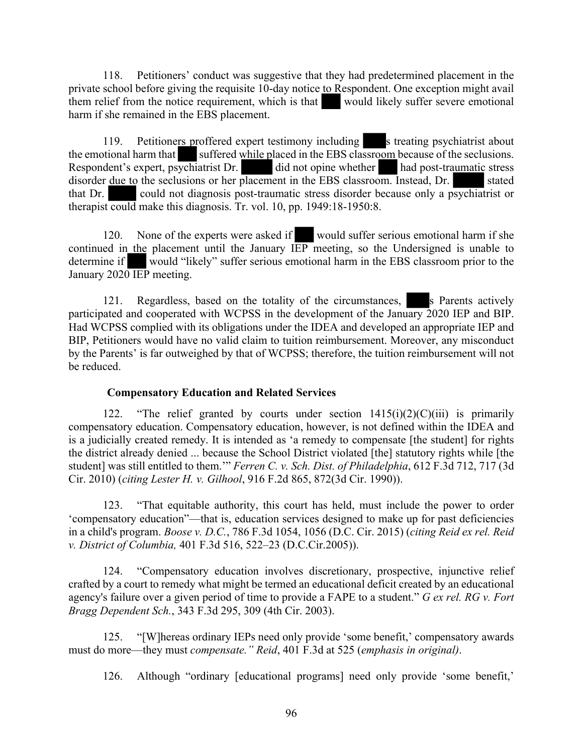118. Petitioners' conduct was suggestive that they had predetermined placement in the private school before giving the requisite 10-day notice to Respondent. One exception might avail them relief from the notice requirement, which is that would likely suffer severe emotional harm if she remained in the EBS placement.

119. Petitioners proffered expert testimony including streating psychiatrist about the emotional harm that suffered while placed in the EBS classroom because of the seclusions. Respondent's expert, psychiatrist Dr. did not opine whether had post-traumatic stress disorder <u>due to</u> the seclusions or her placement in the EBS classroom. Instead, Dr. stated that Dr. could not diagnosis post-traumatic stress disorder because only a psychiatrist or therapist could make this diagnosis. Tr. vol. 10, pp. 1949:18-1950:8.

120. None of the experts were asked if would suffer serious emotional harm if she continued in the placement until the January IEP meeting, so the Undersigned is unable to determine if would "likely" suffer serious emotional harm in the EBS classroom prior to the January 2020 IEP meeting.

121. Regardless, based on the totality of the circumstances, s Parents actively participated and cooperated with WCPSS in the development of the January 2020 IEP and BIP. Had WCPSS complied with its obligations under the IDEA and developed an appropriate IEP and BIP, Petitioners would have no valid claim to tuition reimbursement. Moreover, any misconduct by the Parents' is far outweighed by that of WCPSS; therefore, the tuition reimbursement will not be reduced.

## **Compensatory Education and Related Services**

122. "The relief granted by courts under section  $1415(i)(2)(C)(iii)$  is primarily compensatory education. Compensatory education, however, is not defined within the IDEA and is a judicially created remedy. It is intended as 'a remedy to compensate [the student] for rights the district already denied ... because the School District violated [the] statutory rights while [the student] was still entitled to them.'" *Ferren C. v. Sch. Dist. of Philadelphia*, 612 F.3d 712, 717 (3d Cir. 2010) (*citing Lester H. v. Gilhool*, 916 F.2d 865, 872(3d Cir. 1990)).

123. "That equitable authority, this court has held, must include the power to order 'compensatory education"—that is, education services designed to make up for past deficiencies in a child's program. *Boose v. D.C.*, 786 F.3d 1054, 1056 (D.C. Cir. 2015) (*citing Reid ex rel. Reid v. District of Columbia,* 401 F.3d 516, 522–23 (D.C.Cir.2005)).

124. "Compensatory education involves discretionary, prospective, injunctive relief crafted by a court to remedy what might be termed an educational deficit created by an educational agency's failure over a given period of time to provide a FAPE to a student." *G ex rel. RG v. Fort Bragg Dependent Sch.*, 343 F.3d 295, 309 (4th Cir. 2003).

125. "[W]hereas ordinary IEPs need only provide 'some benefit,' compensatory awards must do more—they must *compensate." Reid*, 401 F.3d at 525 (*emphasis in original)*.

126. Although "ordinary [educational programs] need only provide 'some benefit,'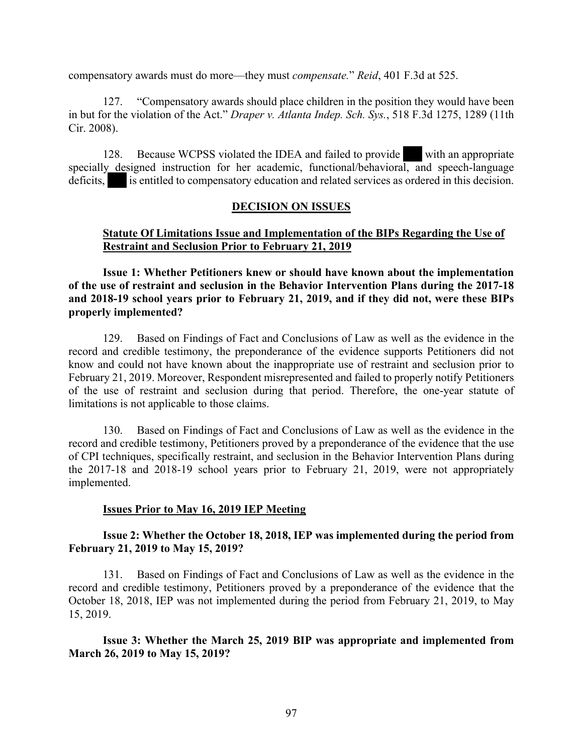compensatory awards must do more—they must *compensate.*" *Reid*, 401 F.3d at 525.

127. "Compensatory awards should place children in the position they would have been in but for the violation of the Act." *Draper v. Atlanta Indep. Sch. Sys.*, 518 F.3d 1275, 1289 (11th Cir. 2008).

128. Because WCPSS violated the IDEA and failed to provide with an appropriate specially designed instruction for her academic, functional/behavioral, and speech-language deficits, is entitled to compensatory education and related services as ordered in this decision.

### **DECISION ON ISSUES**

## **Statute Of Limitations Issue and Implementation of the BIPs Regarding the Use of Restraint and Seclusion Prior to February 21, 2019**

**Issue 1: Whether Petitioners knew or should have known about the implementation of the use of restraint and seclusion in the Behavior Intervention Plans during the 2017-18 and 2018-19 school years prior to February 21, 2019, and if they did not, were these BIPs properly implemented?**

129. Based on Findings of Fact and Conclusions of Law as well as the evidence in the record and credible testimony, the preponderance of the evidence supports Petitioners did not know and could not have known about the inappropriate use of restraint and seclusion prior to February 21, 2019. Moreover, Respondent misrepresented and failed to properly notify Petitioners of the use of restraint and seclusion during that period. Therefore, the one-year statute of limitations is not applicable to those claims.

130. Based on Findings of Fact and Conclusions of Law as well as the evidence in the record and credible testimony, Petitioners proved by a preponderance of the evidence that the use of CPI techniques, specifically restraint, and seclusion in the Behavior Intervention Plans during the 2017-18 and 2018-19 school years prior to February 21, 2019, were not appropriately implemented.

### **Issues Prior to May 16, 2019 IEP Meeting**

**Issue 2: Whether the October 18, 2018, IEP was implemented during the period from February 21, 2019 to May 15, 2019?**

131. Based on Findings of Fact and Conclusions of Law as well as the evidence in the record and credible testimony, Petitioners proved by a preponderance of the evidence that the October 18, 2018, IEP was not implemented during the period from February 21, 2019, to May 15, 2019.

### **Issue 3: Whether the March 25, 2019 BIP was appropriate and implemented from March 26, 2019 to May 15, 2019?**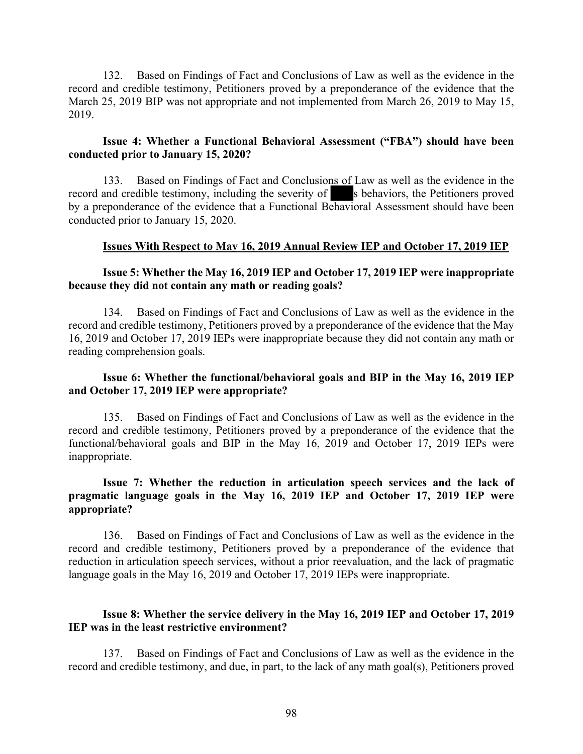132. Based on Findings of Fact and Conclusions of Law as well as the evidence in the record and credible testimony, Petitioners proved by a preponderance of the evidence that the March 25, 2019 BIP was not appropriate and not implemented from March 26, 2019 to May 15, 2019.

### **Issue 4: Whether a Functional Behavioral Assessment ("FBA") should have been conducted prior to January 15, 2020?**

133. Based on Findings of Fact and Conclusions of Law as well as the evidence in the record and credible testimony, including the severity of s behaviors, the Petitioners proved by a preponderance of the evidence that a Functional Behavioral Assessment should have been conducted prior to January 15, 2020.

#### **Issues With Respect to May 16, 2019 Annual Review IEP and October 17, 2019 IEP**

### **Issue 5: Whether the May 16, 2019 IEP and October 17, 2019 IEP were inappropriate because they did not contain any math or reading goals?**

134. Based on Findings of Fact and Conclusions of Law as well as the evidence in the record and credible testimony, Petitioners proved by a preponderance of the evidence that the May 16, 2019 and October 17, 2019 IEPs were inappropriate because they did not contain any math or reading comprehension goals.

## **Issue 6: Whether the functional/behavioral goals and BIP in the May 16, 2019 IEP and October 17, 2019 IEP were appropriate?**

135. Based on Findings of Fact and Conclusions of Law as well as the evidence in the record and credible testimony, Petitioners proved by a preponderance of the evidence that the functional/behavioral goals and BIP in the May 16, 2019 and October 17, 2019 IEPs were inappropriate.

## **Issue 7: Whether the reduction in articulation speech services and the lack of pragmatic language goals in the May 16, 2019 IEP and October 17, 2019 IEP were appropriate?**

136. Based on Findings of Fact and Conclusions of Law as well as the evidence in the record and credible testimony, Petitioners proved by a preponderance of the evidence that reduction in articulation speech services, without a prior reevaluation, and the lack of pragmatic language goals in the May 16, 2019 and October 17, 2019 IEPs were inappropriate.

## **Issue 8: Whether the service delivery in the May 16, 2019 IEP and October 17, 2019 IEP was in the least restrictive environment?**

137. Based on Findings of Fact and Conclusions of Law as well as the evidence in the record and credible testimony, and due, in part, to the lack of any math goal(s), Petitioners proved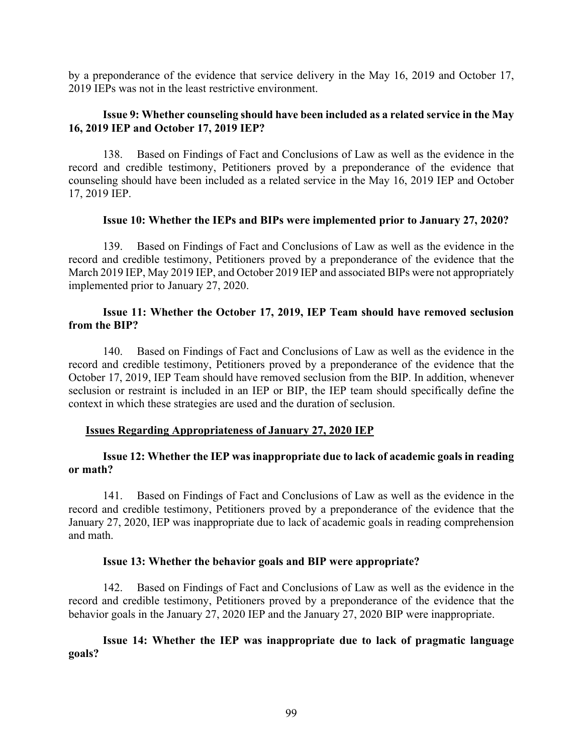by a preponderance of the evidence that service delivery in the May 16, 2019 and October 17, 2019 IEPs was not in the least restrictive environment.

## **Issue 9: Whether counseling should have been included as a related service in the May 16, 2019 IEP and October 17, 2019 IEP?**

138. Based on Findings of Fact and Conclusions of Law as well as the evidence in the record and credible testimony, Petitioners proved by a preponderance of the evidence that counseling should have been included as a related service in the May 16, 2019 IEP and October 17, 2019 IEP.

### **Issue 10: Whether the IEPs and BIPs were implemented prior to January 27, 2020?**

139. Based on Findings of Fact and Conclusions of Law as well as the evidence in the record and credible testimony, Petitioners proved by a preponderance of the evidence that the March 2019 IEP, May 2019 IEP, and October 2019 IEP and associated BIPs were not appropriately implemented prior to January 27, 2020.

## **Issue 11: Whether the October 17, 2019, IEP Team should have removed seclusion from the BIP?**

140. Based on Findings of Fact and Conclusions of Law as well as the evidence in the record and credible testimony, Petitioners proved by a preponderance of the evidence that the October 17, 2019, IEP Team should have removed seclusion from the BIP. In addition, whenever seclusion or restraint is included in an IEP or BIP, the IEP team should specifically define the context in which these strategies are used and the duration of seclusion.

### **Issues Regarding Appropriateness of January 27, 2020 IEP**

## **Issue 12: Whether the IEP was inappropriate due to lack of academic goals in reading or math?**

141. Based on Findings of Fact and Conclusions of Law as well as the evidence in the record and credible testimony, Petitioners proved by a preponderance of the evidence that the January 27, 2020, IEP was inappropriate due to lack of academic goals in reading comprehension and math.

### **Issue 13: Whether the behavior goals and BIP were appropriate?**

142. Based on Findings of Fact and Conclusions of Law as well as the evidence in the record and credible testimony, Petitioners proved by a preponderance of the evidence that the behavior goals in the January 27, 2020 IEP and the January 27, 2020 BIP were inappropriate.

## **Issue 14: Whether the IEP was inappropriate due to lack of pragmatic language goals?**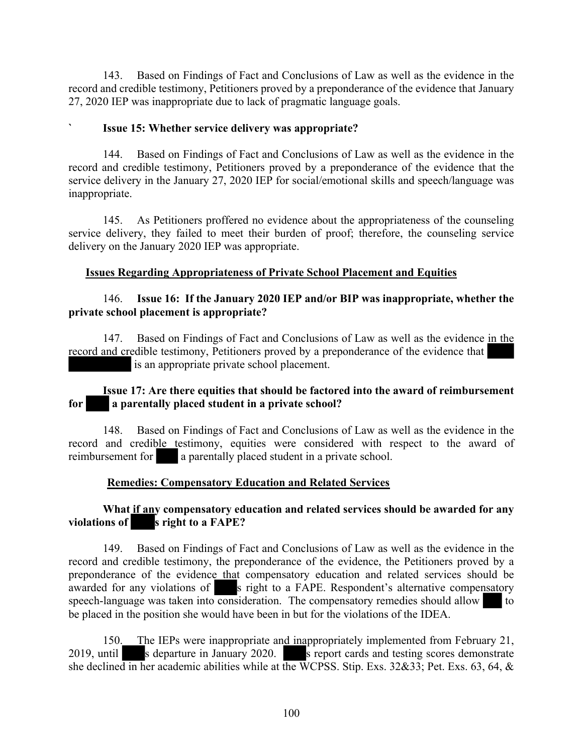143. Based on Findings of Fact and Conclusions of Law as well as the evidence in the record and credible testimony, Petitioners proved by a preponderance of the evidence that January 27, 2020 IEP was inappropriate due to lack of pragmatic language goals.

## **` Issue 15: Whether service delivery was appropriate?**

144. Based on Findings of Fact and Conclusions of Law as well as the evidence in the record and credible testimony, Petitioners proved by a preponderance of the evidence that the service delivery in the January 27, 2020 IEP for social/emotional skills and speech/language was inappropriate.

145. As Petitioners proffered no evidence about the appropriateness of the counseling service delivery, they failed to meet their burden of proof; therefore, the counseling service delivery on the January 2020 IEP was appropriate.

## **Issues Regarding Appropriateness of Private School Placement and Equities**

## 146. **Issue 16: If the January 2020 IEP and/or BIP was inappropriate, whether the private school placement is appropriate?**

147. Based on Findings of Fact and Conclusions of Law as well as the evidence in the record and credible testimony, Petitioners proved by a preponderance of the evidence that is an appropriate private school placement.

## **Issue 17: Are there equities that should be factored into the award of reimbursement for a parentally placed student in a private school?**

148. Based on Findings of Fact and Conclusions of Law as well as the evidence in the record and credible testimony, equities were considered with respect to the award of reimbursement for a parentally placed student in a private school.

## **Remedies: Compensatory Education and Related Services**

## **What if any compensatory education and related services should be awarded for any violations of s right to a FAPE?**

149. Based on Findings of Fact and Conclusions of Law as well as the evidence in the record and credible testimony, the preponderance of the evidence, the Petitioners proved by a preponderance of the evidence that compensatory education and related services should be awarded for any violations of s right to a FAPE. Respondent's alternative compensatory speech-language was taken into consideration. The compensatory remedies should allow to be placed in the position she would have been in but for the violations of the IDEA.

150. The IEPs were inappropriate and inappropriately implemented from February 21, 2019, until s departure in January 2020. S report cards and testing scores demonstrate she declined in her academic abilities while at the WCPSS. Stip. Exs. 32&33; Pet. Exs. 63, 64, &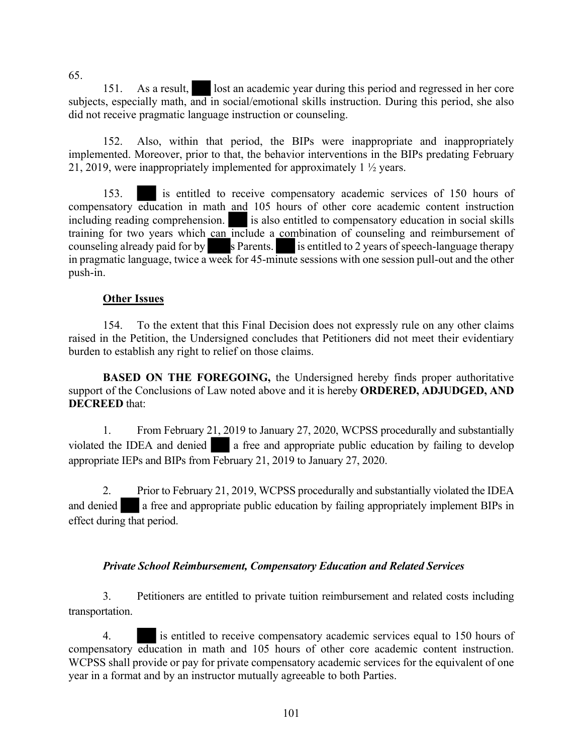151. As a result, lost an academic year during this period and regressed in her core subjects, especially math, and in social/emotional skills instruction. During this period, she also did not receive pragmatic language instruction or counseling.

152. Also, within that period, the BIPs were inappropriate and inappropriately implemented. Moreover, prior to that, the behavior interventions in the BIPs predating February 21, 2019, were inappropriately implemented for approximately 1 ½ years.

153. is entitled to receive compensatory academic services of 150 hours of compensatory education in math and 105 hours of other core academic content instruction including reading comprehension.  $\blacksquare$  is also entitled to compensatory education in social skills training for two years which can include a combination of counseling and reimbursement of counseling already paid for by s Parents. is entitled to 2 years of speech-language therapy in pragmatic language, twice a week for 45-minute sessions with one session pull-out and the other push-in.

## **Other Issues**

154. To the extent that this Final Decision does not expressly rule on any other claims raised in the Petition, the Undersigned concludes that Petitioners did not meet their evidentiary burden to establish any right to relief on those claims.

**BASED ON THE FOREGOING, the Undersigned hereby finds proper authoritative** support of the Conclusions of Law noted above and it is hereby **ORDERED, ADJUDGED, AND DECREED** that:

1. From February 21, 2019 to January 27, 2020, WCPSS procedurally and substantially violated the IDEA and denied a free and appropriate public education by failing to develop appropriate IEPs and BIPs from February 21, 2019 to January 27, 2020.

2. Prior to February 21, 2019, WCPSS procedurally and substantially violated the IDEA and denied a free and appropriate public education by failing appropriately implement BIPs in effect during that period.

## *Private School Reimbursement, Compensatory Education and Related Services*

3. Petitioners are entitled to private tuition reimbursement and related costs including transportation.

4. is entitled to receive compensatory academic services equal to 150 hours of compensatory education in math and 105 hours of other core academic content instruction. WCPSS shall provide or pay for private compensatory academic services for the equivalent of one year in a format and by an instructor mutually agreeable to both Parties.

65.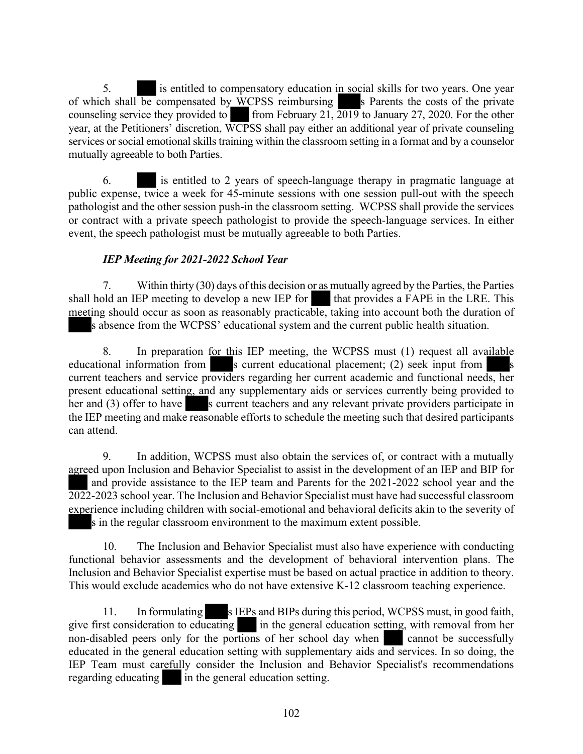5. is entitled to compensatory education in social skills for two years. One year of which shall be compensated by  $\hat{W}$ CPSS reimbursing s Parents the costs of the private counseling service they provided to from February 21,  $\overline{2019}$  to January 27, 2020. For the other year, at the Petitioners' discretion, WCPSS shall pay either an additional year of private counseling services or social emotional skills training within the classroom setting in a format and by a counselor mutually agreeable to both Parties.

6. is entitled to 2 years of speech-language therapy in pragmatic language at public expense, twice a week for 45-minute sessions with one session pull-out with the speech pathologist and the other session push-in the classroom setting. WCPSS shall provide the services or contract with a private speech pathologist to provide the speech-language services. In either event, the speech pathologist must be mutually agreeable to both Parties.

# *IEP Meeting for 2021-2022 School Year*

7. Within thirty (30) days of this decision or as mutually agreed by the Parties, the Parties shall hold an IEP meeting to develop a new IEP for that provides a FAPE in the LRE. This meeting should occur as soon as reasonably practicable, taking into account both the duration of s absence from the WCPSS' educational system and the current public health situation.

8. In preparation for this IEP meeting, the WCPSS must (1) request all available educational information from s current educational placement; (2) seek input from current teachers and service providers regarding her current academic and functional needs, her present educational setting, and any supplementary aids or services currently being provided to her and  $(3)$  offer to have s current teachers and any relevant private providers participate in the IEP meeting and make reasonable efforts to schedule the meeting such that desired participants can attend.

9. In addition, WCPSS must also obtain the services of, or contract with a mutually agreed upon Inclusion and Behavior Specialist to assist in the development of an IEP and BIP for and provide assistance to the IEP team and Parents for the 2021-2022 school year and the 2022-2023 school year. The Inclusion and Behavior Specialist must have had successful classroom experience including children with social-emotional and behavioral deficits akin to the severity of s in the regular classroom environment to the maximum extent possible.

10. The Inclusion and Behavior Specialist must also have experience with conducting functional behavior assessments and the development of behavioral intervention plans. The Inclusion and Behavior Specialist expertise must be based on actual practice in addition to theory. This would exclude academics who do not have extensive K-12 classroom teaching experience.

11. In formulating s IEPs and BIPs during this period, WCPSS must, in good faith, give first consideration to educating in the general education setting, with removal from her non-disabled peers only for the portions of her school day when cannot be successfully educated in the general education setting with supplementary aids and services. In so doing, the IEP Team must carefully consider the Inclusion and Behavior Specialist's recommendations regarding educating in the general education setting.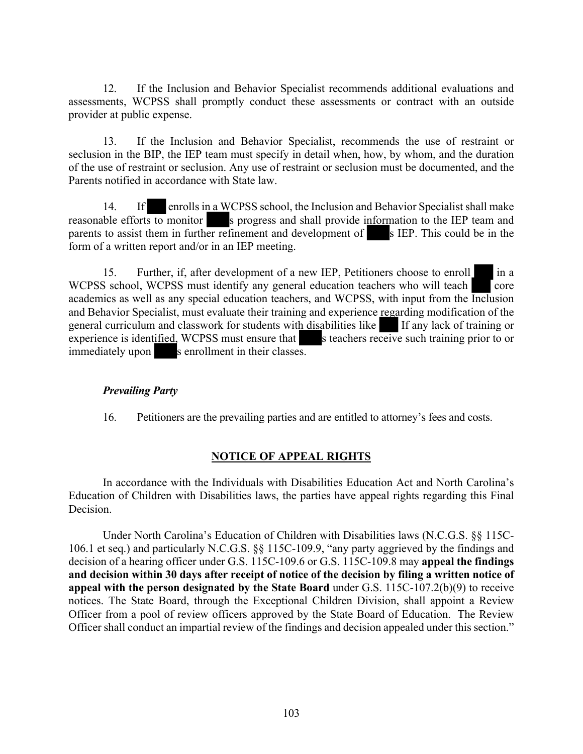12. If the Inclusion and Behavior Specialist recommends additional evaluations and assessments, WCPSS shall promptly conduct these assessments or contract with an outside provider at public expense.

13. If the Inclusion and Behavior Specialist, recommends the use of restraint or seclusion in the BIP, the IEP team must specify in detail when, how, by whom, and the duration of the use of restraint or seclusion. Any use of restraint or seclusion must be documented, and the Parents notified in accordance with State law.

14. If enrolls in a WCPSS school, the Inclusion and Behavior Specialist shall make reasonable efforts to monitor s progress and shall provide information to the IEP team and parents to assist them in further refinement and development of s IEP. This could be in the form of a written report and/or in an IEP meeting.

15. Further, if, after development of a new IEP, Petitioners choose to enroll in a WCPSS school, WCPSS must identify any general education teachers who will teach  $\Box$  core academics as well as any special education teachers, and WCPSS, with input from the Inclusion and Behavior Specialist, must evaluate their training and experience regarding modification of the general curriculum and classwork for students with disabilities like If any lack of training or experience is identified, WCPSS must ensure that s teachers receive such training prior to or immediately upon s enrollment in their classes.

## *Prevailing Party*

16. Petitioners are the prevailing parties and are entitled to attorney's fees and costs.

## **NOTICE OF APPEAL RIGHTS**

In accordance with the Individuals with Disabilities Education Act and North Carolina's Education of Children with Disabilities laws, the parties have appeal rights regarding this Final Decision.

Under North Carolina's Education of Children with Disabilities laws (N.C.G.S. §§ 115C-106.1 et seq.) and particularly N.C.G.S. §§ 115C-109.9, "any party aggrieved by the findings and decision of a hearing officer under G.S. 115C-109.6 or G.S. 115C-109.8 may **appeal the findings and decision within 30 days after receipt of notice of the decision by filing a written notice of appeal with the person designated by the State Board** under G.S. 115C-107.2(b)(9) to receive notices. The State Board, through the Exceptional Children Division, shall appoint a Review Officer from a pool of review officers approved by the State Board of Education. The Review Officer shall conduct an impartial review of the findings and decision appealed under this section."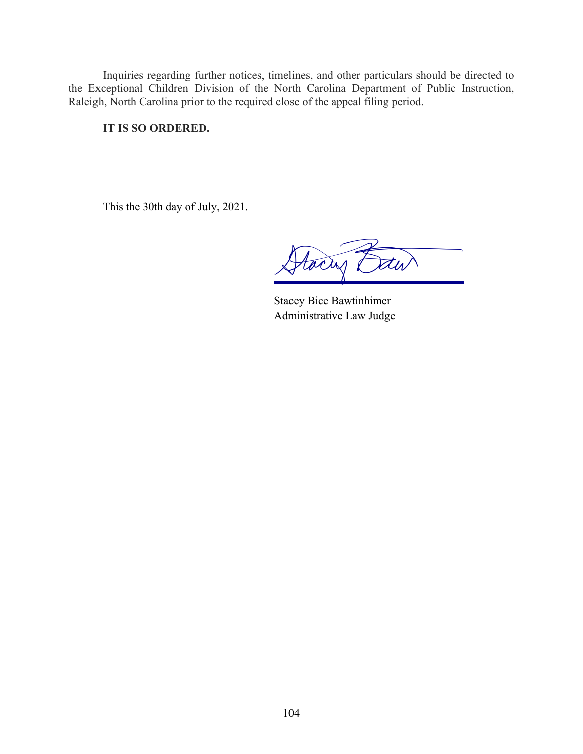Inquiries regarding further notices, timelines, and other particulars should be directed to the Exceptional Children Division of the North Carolina Department of Public Instruction, Raleigh, North Carolina prior to the required close of the appeal filing period.

## **IT IS SO ORDERED.**

This the 30th day of July, 2021.

Hacry

Stacey Bice Bawtinhimer Administrative Law Judge